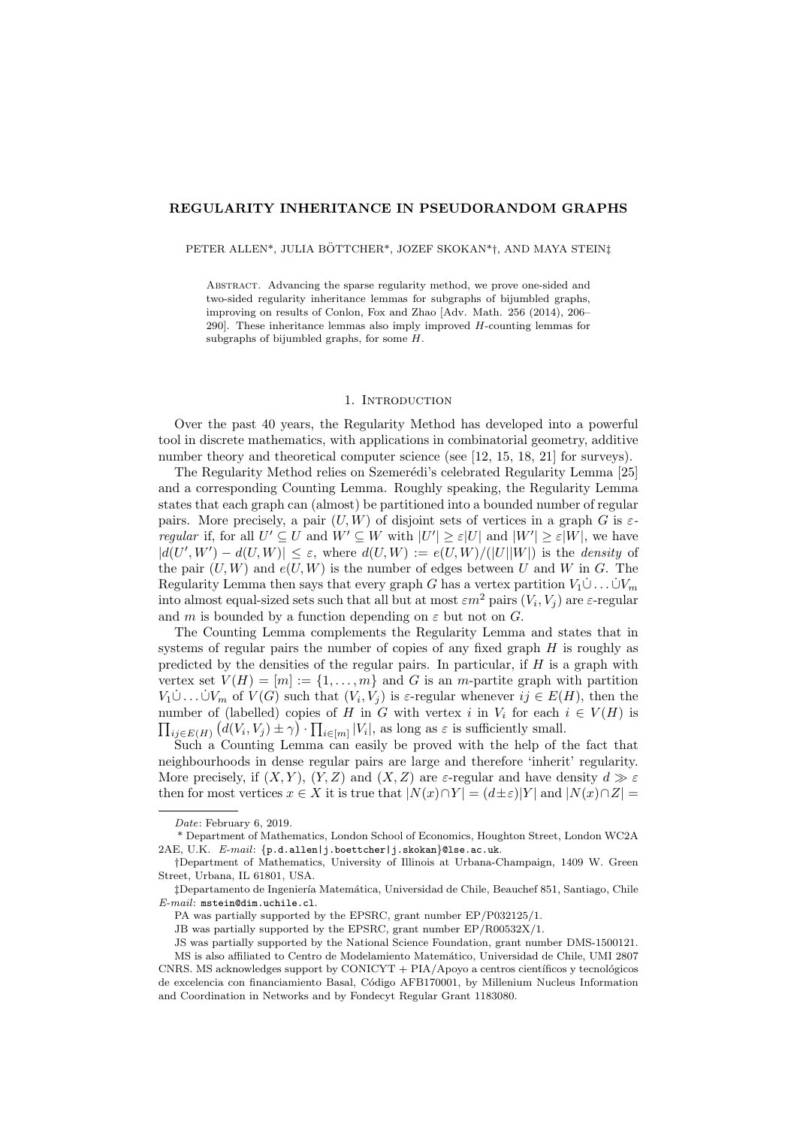### REGULARITY INHERITANCE IN PSEUDORANDOM GRAPHS

PETER ALLEN\*, JULIA BÖTTCHER\*, JOZEF SKOKAN\*†, AND MAYA STEIN‡

Abstract. Advancing the sparse regularity method, we prove one-sided and two-sided regularity inheritance lemmas for subgraphs of bijumbled graphs, improving on results of Conlon, Fox and Zhao [Adv. Math. 256 (2014), 206– 290]. These inheritance lemmas also imply improved  $H$ -counting lemmas for subgraphs of bijumbled graphs, for some H.

### 1. Introduction

Over the past 40 years, the Regularity Method has developed into a powerful tool in discrete mathematics, with applications in combinatorial geometry, additive number theory and theoretical computer science (see [\[12,](#page-19-0) [15,](#page-19-1) [18,](#page-19-2) [21\]](#page-19-3) for surveys).

The Regularity Method relies on Szemerédi's celebrated Regularity Lemma [\[25\]](#page-19-4) and a corresponding Counting Lemma. Roughly speaking, the Regularity Lemma states that each graph can (almost) be partitioned into a bounded number of regular pairs. More precisely, a pair  $(U, W)$  of disjoint sets of vertices in a graph G is  $\varepsilon$ regular if, for all  $U' \subseteq U$  and  $W' \subseteq W$  with  $|U'| \geq \varepsilon |U|$  and  $|W'| \geq \varepsilon |W|$ , we have  $|d(U',W') - d(U,W)| \leq \varepsilon$ , where  $d(U,W) := e(U,W)/(|U||W|)$  is the *density* of the pair  $(U, W)$  and  $e(U, W)$  is the number of edges between U and W in G. The Regularity Lemma then says that every graph G has a vertex partition  $V_1 \cup \ldots \cup V_m$ into almost equal-sized sets such that all but at most  $\varepsilon m^2$  pairs  $(V_i, V_j)$  are  $\varepsilon$ -regular and m is bounded by a function depending on  $\varepsilon$  but not on  $G$ .

The Counting Lemma complements the Regularity Lemma and states that in systems of regular pairs the number of copies of any fixed graph H is roughly as predicted by the densities of the regular pairs. In particular, if  $H$  is a graph with vertex set  $V(H) = [m] := \{1, \ldots, m\}$  and G is an m-partite graph with partition  $V_1\dot{\cup}\dots\dot{\cup}V_m$  of  $V(G)$  such that  $(V_i,V_j)$  is  $\varepsilon$ -regular whenever  $ij \in E(H)$ , then the  $\prod_{ij \in E(H)} (d(V_i, V_j) \pm \gamma) \cdot \prod_{i \in [m]} |V_i|$ , as long as  $\varepsilon$  is sufficiently small. number of (labelled) copies of H in G with vertex i in  $V_i$  for each  $i \in V(H)$  is

Such a Counting Lemma can easily be proved with the help of the fact that neighbourhoods in dense regular pairs are large and therefore 'inherit' regularity. More precisely, if  $(X, Y)$ ,  $(Y, Z)$  and  $(X, Z)$  are  $\varepsilon$ -regular and have density  $d \gg \varepsilon$ then for most vertices  $x \in X$  it is true that  $|N(x) \cap Y| = (d \pm \varepsilon)|Y|$  and  $|N(x) \cap Z| =$ 

Date: February 6, 2019.

<sup>\*</sup> Department of Mathematics, London School of Economics, Houghton Street, London WC2A 2AE, U.K. E-mail: {p.d.allen|j.boettcher|j.skokan}@lse.ac.uk.

<sup>†</sup>Department of Mathematics, University of Illinois at Urbana-Champaign, 1409 W. Green Street, Urbana, IL 61801, USA.

 $\ddagger$ Departamento de Ingeniería Matemática, Universidad de Chile, Beauchef 851, Santiago, Chile E-mail: mstein@dim.uchile.cl.

PA was partially supported by the EPSRC, grant number EP/P032125/1.

JB was partially supported by the EPSRC, grant number EP/R00532X/1.

JS was partially supported by the National Science Foundation, grant number DMS-1500121. MS is also affiliated to Centro de Modelamiento Matem´atico, Universidad de Chile, UMI 2807 CNRS. MS acknowledges support by CONICYT  $+$  PIA/Apoyo a centros científicos y tecnológicos de excelencia con financiamiento Basal, C´odigo AFB170001, by Millenium Nucleus Information and Coordination in Networks and by Fondecyt Regular Grant 1183080.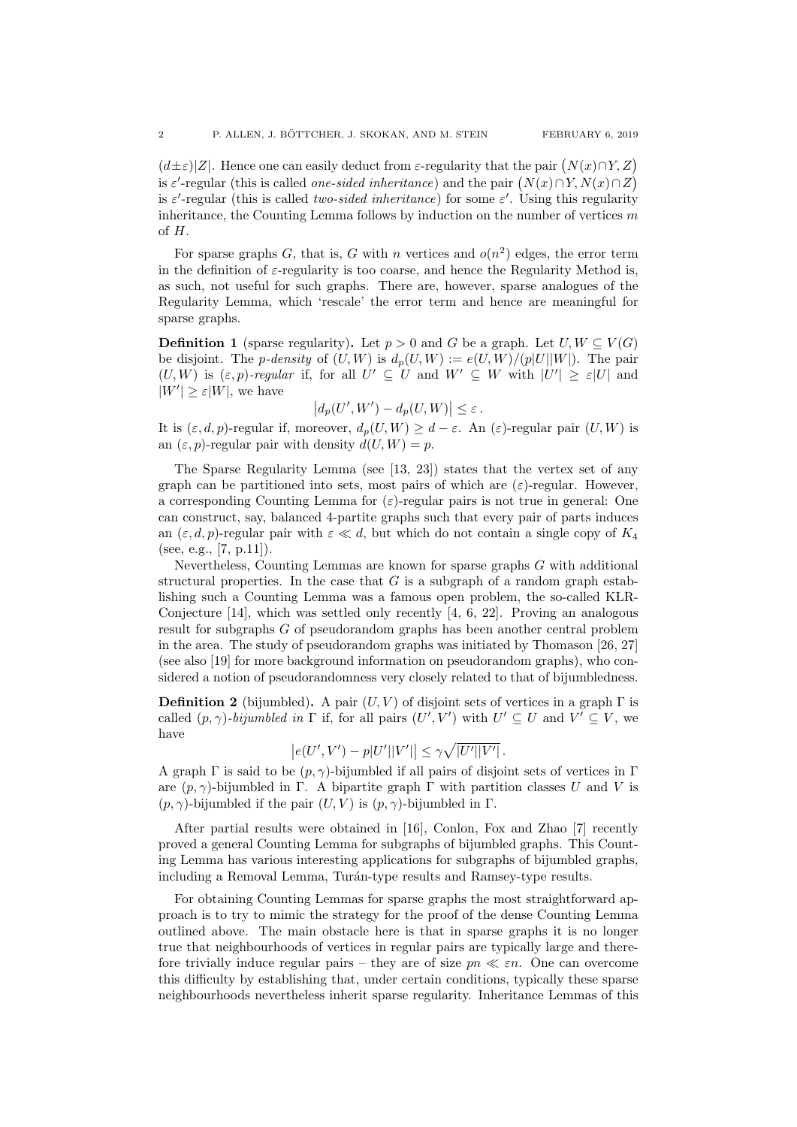$(d\pm\varepsilon)|Z|$ . Hence one can easily deduct from  $\varepsilon$ -regularity that the pair  $(N(x)\cap Y, Z)$ is  $\varepsilon'$ -regular (this is called *one-sided inheritance*) and the pair  $(N(x) \cap Y, N(x) \cap Z)$ is  $\varepsilon'$ -regular (this is called *two-sided inheritance*) for some  $\varepsilon'$ . Using this regularity inheritance, the Counting Lemma follows by induction on the number of vertices  $m$ of H.

For sparse graphs G, that is, G with n vertices and  $o(n^2)$  edges, the error term in the definition of  $\varepsilon$ -regularity is too coarse, and hence the Regularity Method is, as such, not useful for such graphs. There are, however, sparse analogues of the Regularity Lemma, which 'rescale' the error term and hence are meaningful for sparse graphs.

<span id="page-1-0"></span>**Definition 1** (sparse regularity). Let  $p > 0$  and G be a graph. Let  $U, W \subseteq V(G)$ be disjoint. The *p*-density of  $(U, W)$  is  $d_p(U, W) := e(U, W)/(p|U||W|)$ . The pair  $(U, W)$  is  $(\varepsilon, p)$ -regular if, for all  $U' \subseteq U$  and  $W' \subseteq W$  with  $|U'| \geq \varepsilon |U|$  and  $|W'| \geq \varepsilon |W|$ , we have

$$
\left|d_p(U',W') - d_p(U,W)\right| \leq \varepsilon.
$$

It is  $(\varepsilon, d, p)$ -regular if, moreover,  $d_p(U, W) \geq d - \varepsilon$ . An  $(\varepsilon)$ -regular pair  $(U, W)$  is an  $(\varepsilon, p)$ -regular pair with density  $d(U, W) = p$ .

The Sparse Regularity Lemma (see [\[13,](#page-19-5) [23\]](#page-19-6)) states that the vertex set of any graph can be partitioned into sets, most pairs of which are  $(\varepsilon)$ -regular. However, a corresponding Counting Lemma for  $(\varepsilon)$ -regular pairs is not true in general: One can construct, say, balanced 4-partite graphs such that every pair of parts induces an  $(\varepsilon, d, p)$ -regular pair with  $\varepsilon \ll d$ , but which do not contain a single copy of  $K_4$ (see, e.g., [\[7,](#page-19-7) p.11]).

Nevertheless, Counting Lemmas are known for sparse graphs  $G$  with additional structural properties. In the case that  $G$  is a subgraph of a random graph establishing such a Counting Lemma was a famous open problem, the so-called  $KLR$ -Conjecture  $[14]$ , which was settled only recently  $[4, 6, 22]$  $[4, 6, 22]$  $[4, 6, 22]$  $[4, 6, 22]$ . Proving an analogous result for subgraphs G of pseudorandom graphs has been another central problem in the area. The study of pseudorandom graphs was initiated by Thomason [\[26,](#page-19-12) [27\]](#page-20-0) (see also [\[19\]](#page-19-13) for more background information on pseudorandom graphs), who considered a notion of pseudorandomness very closely related to that of bijumbledness.

**Definition 2** (bijumbled). A pair  $(U, V)$  of disjoint sets of vertices in a graph  $\Gamma$  is called  $(p, \gamma)$ -bijumbled in  $\Gamma$  if, for all pairs  $(U', V')$  with  $U' \subseteq U$  and  $V' \subseteq V$ , we have

$$
\left|e(U',V')-p|U'||V'|\right|\leq \gamma\sqrt{|U'||V'|}.
$$

A graph  $\Gamma$  is said to be  $(p, \gamma)$ -bijumbled if all pairs of disjoint sets of vertices in  $\Gamma$ are  $(p, \gamma)$ -bijumbled in Γ. A bipartite graph Γ with partition classes U and V is  $(p, \gamma)$ -bijumbled if the pair  $(U, V)$  is  $(p, \gamma)$ -bijumbled in  $\Gamma$ .

After partial results were obtained in [\[16\]](#page-19-14), Conlon, Fox and Zhao [\[7\]](#page-19-7) recently proved a general Counting Lemma for subgraphs of bijumbled graphs. This Counting Lemma has various interesting applications for subgraphs of bijumbled graphs, including a Removal Lemma, Turán-type results and Ramsey-type results.

For obtaining Counting Lemmas for sparse graphs the most straightforward approach is to try to mimic the strategy for the proof of the dense Counting Lemma outlined above. The main obstacle here is that in sparse graphs it is no longer true that neighbourhoods of vertices in regular pairs are typically large and therefore trivially induce regular pairs – they are of size  $pn \ll \varepsilon n$ . One can overcome this difficulty by establishing that, under certain conditions, typically these sparse neighbourhoods nevertheless inherit sparse regularity. Inheritance Lemmas of this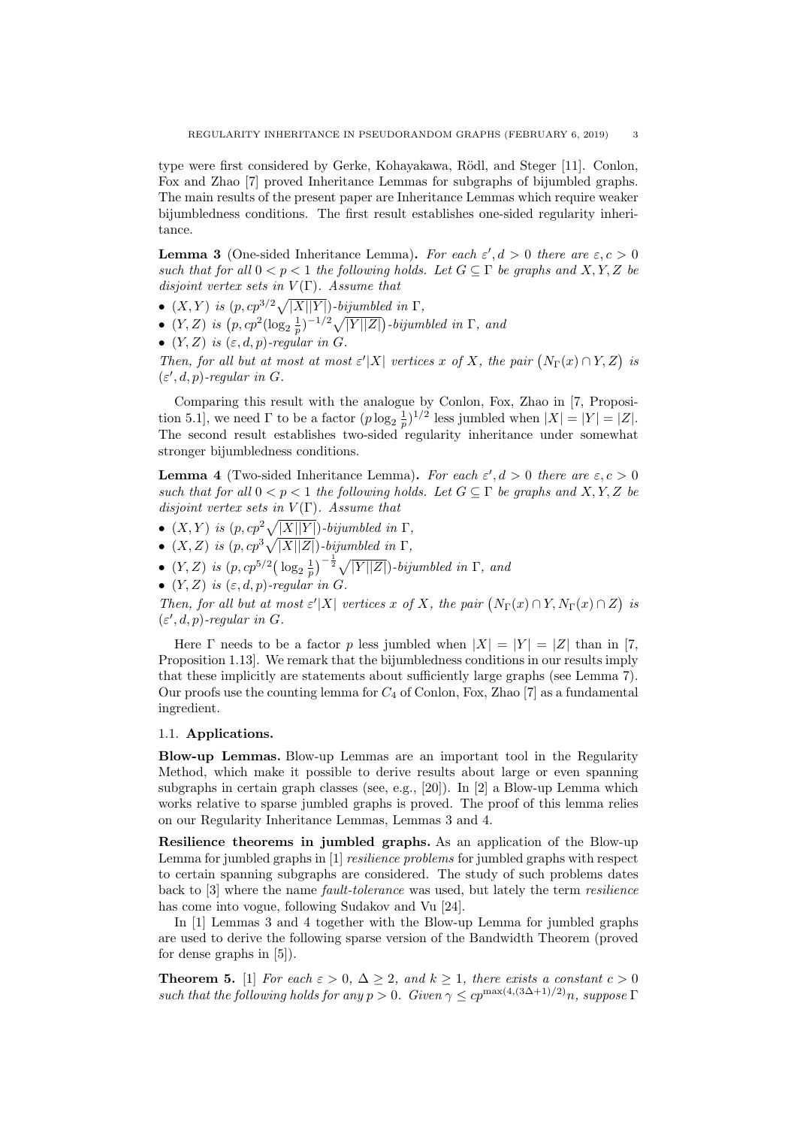type were first considered by Gerke, Kohayakawa, Rödl, and Steger [\[11\]](#page-19-15). Conlon, Fox and Zhao [\[7\]](#page-19-7) proved Inheritance Lemmas for subgraphs of bijumbled graphs. The main results of the present paper are Inheritance Lemmas which require weaker bijumbledness conditions. The first result establishes one-sided regularity inheritance.

<span id="page-2-0"></span>**Lemma 3** (One-sided Inheritance Lemma). For each  $\varepsilon', d > 0$  there are  $\varepsilon, c > 0$ such that for all  $0 < p < 1$  the following holds. Let  $G \subseteq \Gamma$  be graphs and  $X, Y, Z$  be disjoint vertex sets in  $V(\Gamma)$ . Assume that

- $(X, Y)$  is  $(p, cp^{3/2}\sqrt{|X||Y|})$ -bijumbled in  $\Gamma$ ,
- $(Y, Z)$  is  $(p, cp^2(log_2 \frac{1}{p})^{-1/2}\sqrt{|Y||Z|})$ -bijumbled in  $\Gamma$ , and
- $(Y, Z)$  is  $(\varepsilon, d, p)$ -regular in G.

Then, for all but at most at most  $\varepsilon' |X|$  vertices x of X, the pair  $(N_{\Gamma}(x) \cap Y, Z)$  is  $(\varepsilon', d, p)$ -regular in G.

Comparing this result with the analogue by Conlon, Fox, Zhao in [\[7,](#page-19-7) Proposition 5.1], we need  $\Gamma$  to be a factor  $(p \log_2 \frac{1}{p})^{1/2}$  less jumbled when  $|X| = |Y| = |Z|$ . The second result establishes two-sided regularity inheritance under somewhat stronger bijumbledness conditions.

<span id="page-2-1"></span>**Lemma 4** (Two-sided Inheritance Lemma). For each  $\varepsilon', d > 0$  there are  $\varepsilon, c > 0$ such that for all  $0 < p < 1$  the following holds. Let  $G \subseteq \Gamma$  be graphs and X, Y, Z be disjoint vertex sets in  $V(\Gamma)$ . Assume that

- $(X, Y)$  is  $(p, cp^2\sqrt{|X||Y|})$ -bijumbled in  $\Gamma$ ,
- $(X, Z)$  is  $(p, cp^3\sqrt{|X||Z|})$ -bijumbled in  $\Gamma$ ,
- $(Y, Z)$  is  $(p, cp^{5/2} (\log_2 \frac{1}{p})^{-\frac{1}{2}} \sqrt{|Y||Z|})$ -bijumbled in  $\Gamma$ , and
- $(Y, Z)$  is  $(\varepsilon, d, p)$ -regular in G.

Then, for all but at most  $\varepsilon' |X|$  vertices x of X, the pair  $(N_{\Gamma}(x) \cap Y, N_{\Gamma}(x) \cap Z)$  is  $(\varepsilon', d, p)$ -regular in G.

Here  $\Gamma$  needs to be a factor p less jumbled when  $|X| = |Y| = |Z|$  than in [\[7,](#page-19-7) Proposition 1.13]. We remark that the bijumbledness conditions in our results imply that these implicitly are statements about sufficiently large graphs (see Lemma [7\)](#page-5-0). Our proofs use the counting lemma for  $C_4$  of Conlon, Fox, Zhao [\[7\]](#page-19-7) as a fundamental ingredient.

### 1.1. Applications.

Blow-up Lemmas. Blow-up Lemmas are an important tool in the Regularity Method, which make it possible to derive results about large or even spanning subgraphs in certain graph classes (see, e.g., [\[20\]](#page-19-16)). In [\[2\]](#page-19-17) a Blow-up Lemma which works relative to sparse jumbled graphs is proved. The proof of this lemma relies on our Regularity Inheritance Lemmas, Lemmas [3](#page-2-0) and [4.](#page-2-1)

Resilience theorems in jumbled graphs. As an application of the Blow-up Lemma for jumbled graphs in [\[1\]](#page-19-18) *resilience problems* for jumbled graphs with respect to certain spanning subgraphs are considered. The study of such problems dates back to [\[3\]](#page-19-19) where the name *fault-tolerance* was used, but lately the term *resilience* has come into vogue, following Sudakov and Vu [\[24\]](#page-19-20).

In [\[1\]](#page-19-18) Lemmas [3](#page-2-0) and [4](#page-2-1) together with the Blow-up Lemma for jumbled graphs are used to derive the following sparse version of the Bandwidth Theorem (proved for dense graphs in [\[5\]](#page-19-21)).

**Theorem 5.** [\[1\]](#page-19-18) For each  $\varepsilon > 0$ ,  $\Delta \geq 2$ , and  $k \geq 1$ , there exists a constant  $c > 0$ such that the following holds for any  $p > 0$ . Given  $\gamma \leq cp^{\max(4,(3\Delta+1)/2)}n$ , suppose  $\Gamma$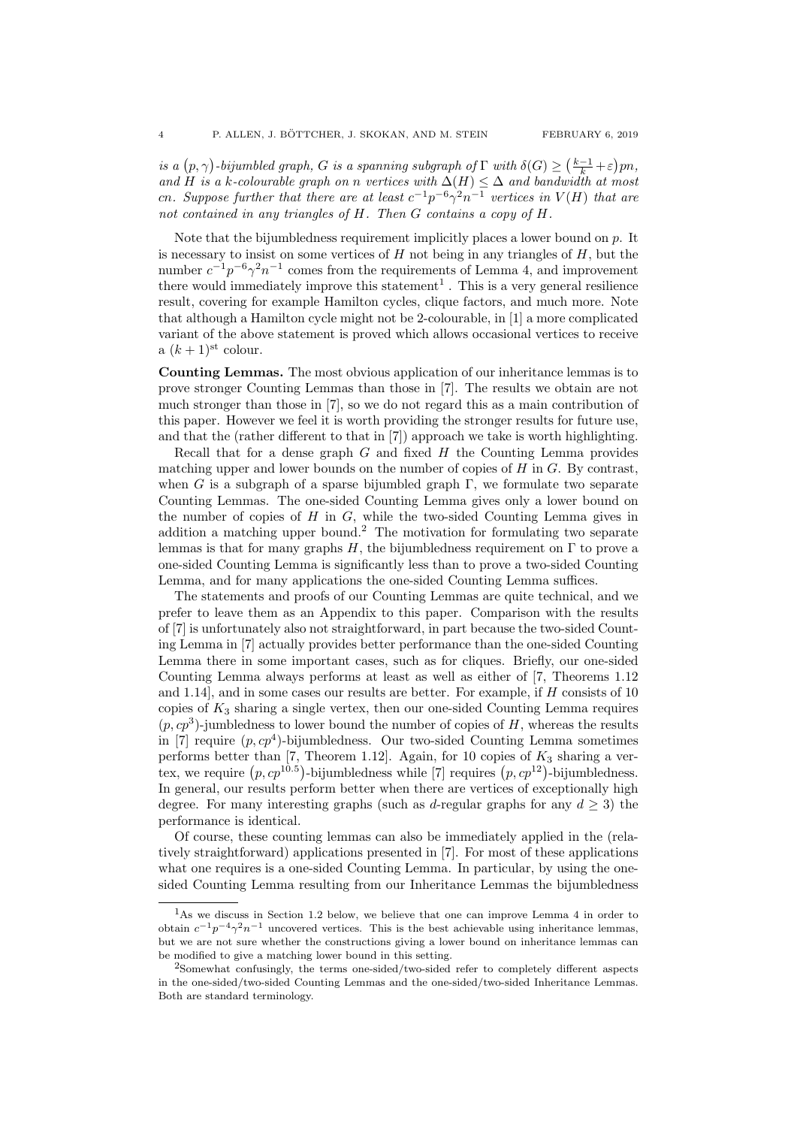is a  $(p, \gamma)$ -bijumbled graph, G is a spanning subgraph of  $\Gamma$  with  $\delta(G) \geq (\frac{k-1}{k} + \varepsilon)pn$ , and H is a k-colourable graph on n vertices with  $\Delta(H) \leq \Delta$  and bandwidth at most cn. Suppose further that there are at least  $c^{-1}p^{-6}\gamma^2n^{-1}$  vertices in  $V(H)$  that are not contained in any triangles of H. Then G contains a copy of H.

Note that the bijumbledness requirement implicitly places a lower bound on  $p$ . It is necessary to insist on some vertices of  $H$  not being in any triangles of  $H$ , but the number  $c^{-1}p^{-6}\gamma^2n^{-1}$  comes from the requirements of Lemma [4,](#page-2-1) and improvement there would immediately improve this statement<sup>[1](#page-3-0)</sup>. This is a very general resilience result, covering for example Hamilton cycles, clique factors, and much more. Note that although a Hamilton cycle might not be 2-colourable, in [\[1\]](#page-19-18) a more complicated variant of the above statement is proved which allows occasional vertices to receive a  $(k+1)$ <sup>st</sup> colour.

Counting Lemmas. The most obvious application of our inheritance lemmas is to prove stronger Counting Lemmas than those in [\[7\]](#page-19-7). The results we obtain are not much stronger than those in [\[7\]](#page-19-7), so we do not regard this as a main contribution of this paper. However we feel it is worth providing the stronger results for future use, and that the (rather different to that in [\[7\]](#page-19-7)) approach we take is worth highlighting.

Recall that for a dense graph  $G$  and fixed  $H$  the Counting Lemma provides matching upper and lower bounds on the number of copies of  $H$  in  $G$ . By contrast, when G is a subgraph of a sparse bijumbled graph  $\Gamma$ , we formulate two separate Counting Lemmas. The one-sided Counting Lemma gives only a lower bound on the number of copies of  $H$  in  $G$ , while the two-sided Counting Lemma gives in addition a matching upper bound.<sup>[2](#page-3-1)</sup> The motivation for formulating two separate lemmas is that for many graphs  $H$ , the bijumbledness requirement on  $\Gamma$  to prove a one-sided Counting Lemma is significantly less than to prove a two-sided Counting Lemma, and for many applications the one-sided Counting Lemma suffices.

The statements and proofs of our Counting Lemmas are quite technical, and we prefer to leave them as an Appendix to this paper. Comparison with the results of [\[7\]](#page-19-7) is unfortunately also not straightforward, in part because the two-sided Counting Lemma in [\[7\]](#page-19-7) actually provides better performance than the one-sided Counting Lemma there in some important cases, such as for cliques. Briefly, our one-sided Counting Lemma always performs at least as well as either of [\[7,](#page-19-7) Theorems 1.12 and 1.14], and in some cases our results are better. For example, if H consists of 10 copies of  $K_3$  sharing a single vertex, then our one-sided Counting Lemma requires  $(p, cp^3)$ -jumbledness to lower bound the number of copies of H, whereas the results in [\[7\]](#page-19-7) require  $(p, cp^4)$ -bijumbledness. Our two-sided Counting Lemma sometimes performs better than [\[7,](#page-19-7) Theorem 1.12]. Again, for 10 copies of  $K_3$  sharing a vertex, we require  $(p, cp^{10.5})$ -bijumbledness while [\[7\]](#page-19-7) requires  $(p, cp^{12})$ -bijumbledness. In general, our results perform better when there are vertices of exceptionally high degree. For many interesting graphs (such as d-regular graphs for any  $d \geq 3$ ) the performance is identical.

Of course, these counting lemmas can also be immediately applied in the (relatively straightforward) applications presented in [\[7\]](#page-19-7). For most of these applications what one requires is a one-sided Counting Lemma. In particular, by using the onesided Counting Lemma resulting from our Inheritance Lemmas the bijumbledness

<span id="page-3-0"></span><sup>1</sup>As we discuss in Section [1.2](#page-4-0) below, we believe that one can improve Lemma [4](#page-2-1) in order to obtain  $c^{-1}p^{-4}\gamma^2n^{-1}$  uncovered vertices. This is the best achievable using inheritance lemmas, but we are not sure whether the constructions giving a lower bound on inheritance lemmas can be modified to give a matching lower bound in this setting.

<span id="page-3-1"></span><sup>2</sup>Somewhat confusingly, the terms one-sided/two-sided refer to completely different aspects in the one-sided/two-sided Counting Lemmas and the one-sided/two-sided Inheritance Lemmas. Both are standard terminology.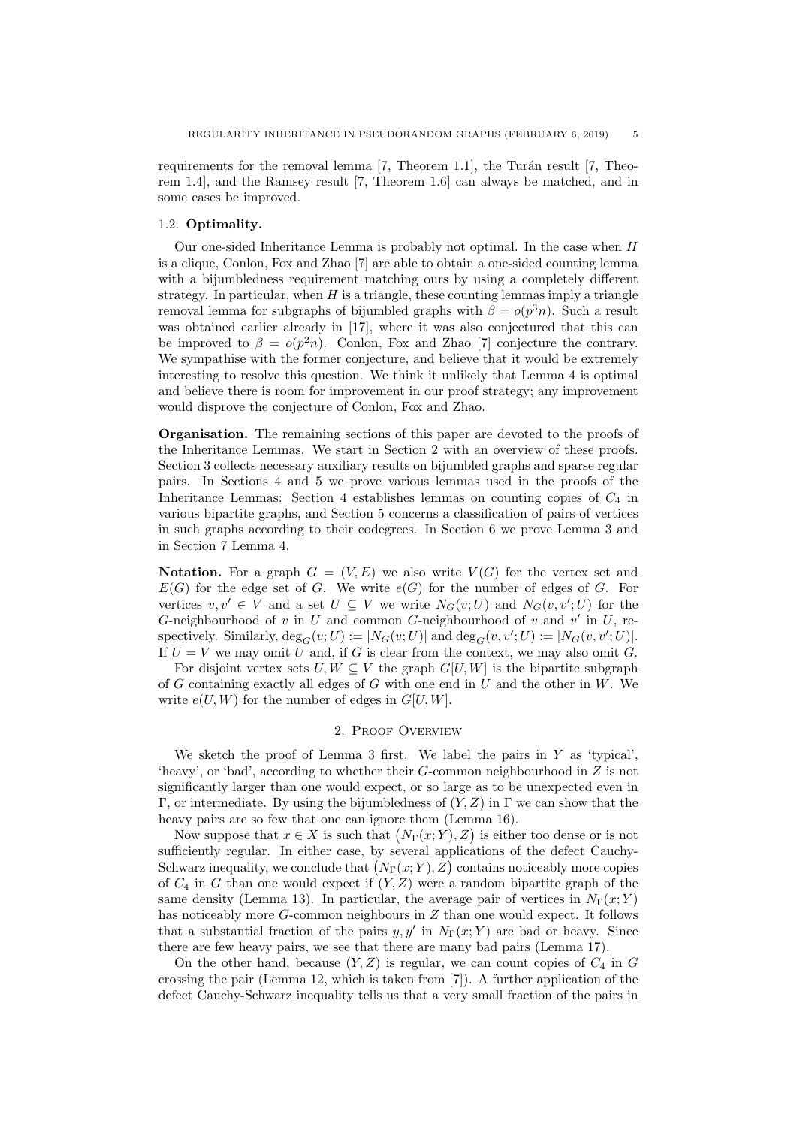requirements for the removal lemma  $[7,$  Theorem 1.1], the Turán result  $[7,$  Theorem 1.4], and the Ramsey result [\[7,](#page-19-7) Theorem 1.6] can always be matched, and in some cases be improved.

## <span id="page-4-0"></span>1.2. Optimality.

Our one-sided Inheritance Lemma is probably not optimal. In the case when H is a clique, Conlon, Fox and Zhao [\[7\]](#page-19-7) are able to obtain a one-sided counting lemma with a bijumbledness requirement matching ours by using a completely different strategy. In particular, when  $H$  is a triangle, these counting lemmas imply a triangle removal lemma for subgraphs of bijumbled graphs with  $\beta = o(p^3n)$ . Such a result was obtained earlier already in [\[17\]](#page-19-22), where it was also conjectured that this can be improved to  $\beta = o(p^2n)$ . Conlon, Fox and Zhao [\[7\]](#page-19-7) conjecture the contrary. We sympathise with the former conjecture, and believe that it would be extremely interesting to resolve this question. We think it unlikely that Lemma [4](#page-2-1) is optimal and believe there is room for improvement in our proof strategy; any improvement would disprove the conjecture of Conlon, Fox and Zhao.

Organisation. The remaining sections of this paper are devoted to the proofs of the Inheritance Lemmas. We start in Section [2](#page-4-1) with an overview of these proofs. Section [3](#page-5-1) collects necessary auxiliary results on bijumbled graphs and sparse regular pairs. In Sections [4](#page-7-0) and [5](#page-10-0) we prove various lemmas used in the proofs of the Inheritance Lemmas: Section [4](#page-7-0) establishes lemmas on counting copies of  $C_4$  in various bipartite graphs, and Section [5](#page-10-0) concerns a classification of pairs of vertices in such graphs according to their codegrees. In Section [6](#page-14-0) we prove Lemma [3](#page-2-0) and in Section [7](#page-15-0) Lemma [4.](#page-2-1)

**Notation.** For a graph  $G = (V, E)$  we also write  $V(G)$  for the vertex set and  $E(G)$  for the edge set of G. We write  $e(G)$  for the number of edges of G. For vertices  $v, v' \in V$  and a set  $U \subseteq V$  we write  $N_G(v; U)$  and  $N_G(v, v'; U)$  for the G-neighbourhood of v in U and common G-neighbourhood of v and  $v'$  in U, respectively. Similarly,  $\deg_G(v; U) := |N_G(v; U)|$  and  $\deg_G(v, v'; U) := |N_G(v, v'; U)|$ . If  $U = V$  we may omit U and, if G is clear from the context, we may also omit G.

For disjoint vertex sets  $U, W \subseteq V$  the graph  $G[U, W]$  is the bipartite subgraph of G containing exactly all edges of G with one end in U and the other in W. We write  $e(U, W)$  for the number of edges in  $G[U, W]$ .

### 2. Proof Overview

<span id="page-4-1"></span>We sketch the proof of Lemma [3](#page-2-0) first. We label the pairs in  $Y$  as 'typical'. 'heavy', or 'bad', according to whether their G-common neighbourhood in Z is not significantly larger than one would expect, or so large as to be unexpected even in Γ, or intermediate. By using the bijumbledness of  $(Y, Z)$  in Γ we can show that the heavy pairs are so few that one can ignore them (Lemma [16\)](#page-10-1).

Now suppose that  $x \in X$  is such that  $(N_{\Gamma}(x; Y), Z)$  is either too dense or is not sufficiently regular. In either case, by several applications of the defect Cauchy-Schwarz inequality, we conclude that  $(N_{\Gamma}(x;Y), Z)$  contains noticeably more copies of  $C_4$  in G than one would expect if  $(Y, Z)$  were a random bipartite graph of the same density (Lemma [13\)](#page-7-1). In particular, the average pair of vertices in  $N_{\Gamma}(x; Y)$ has noticeably more G-common neighbours in Z than one would expect. It follows that a substantial fraction of the pairs  $y, y'$  in  $N_{\Gamma}(x; Y)$  are bad or heavy. Since there are few heavy pairs, we see that there are many bad pairs (Lemma [17\)](#page-11-0).

On the other hand, because  $(Y, Z)$  is regular, we can count copies of  $C_4$  in G crossing the pair (Lemma [12,](#page-7-2) which is taken from [\[7\]](#page-19-7)). A further application of the defect Cauchy-Schwarz inequality tells us that a very small fraction of the pairs in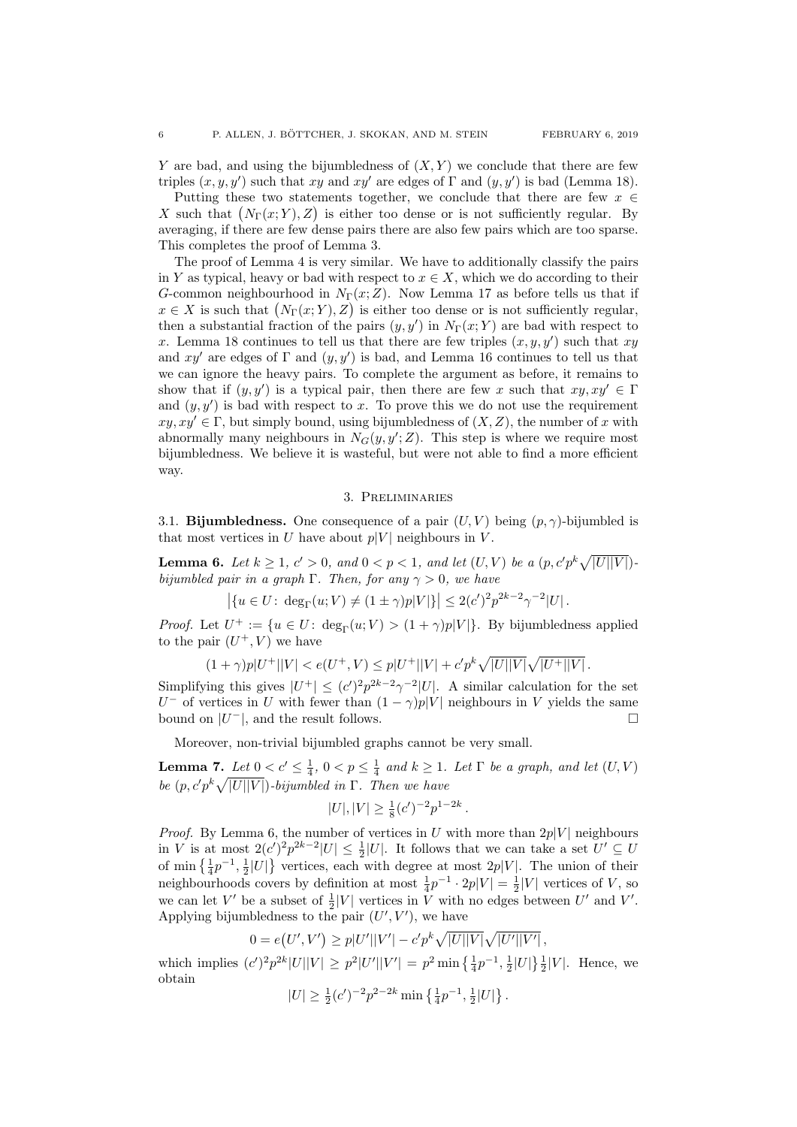Y are bad, and using the bijumbledness of  $(X, Y)$  we conclude that there are few triples  $(x, y, y')$  such that xy and xy' are edges of  $\Gamma$  and  $(y, y')$  is bad (Lemma [18\)](#page-12-0).

Putting these two statements together, we conclude that there are few  $x \in \mathbb{R}$ X such that  $(N_{\Gamma}(x; Y), Z)$  is either too dense or is not sufficiently regular. By averaging, if there are few dense pairs there are also few pairs which are too sparse. This completes the proof of Lemma [3.](#page-2-0)

The proof of Lemma [4](#page-2-1) is very similar. We have to additionally classify the pairs in Y as typical, heavy or bad with respect to  $x \in X$ , which we do according to their G-common neighbourhood in  $N_{\Gamma}(x;Z)$ . Now Lemma [17](#page-11-0) as before tells us that if  $x \in X$  is such that  $(N_{\Gamma}(x; Y), Z)$  is either too dense or is not sufficiently regular, then a substantial fraction of the pairs  $(y, y')$  in  $N_{\Gamma}(x; Y)$  are bad with respect to x. Lemma [18](#page-12-0) continues to tell us that there are few triples  $(x, y, y')$  such that xy and xy' are edges of  $\Gamma$  and  $(y, y')$  is bad, and Lemma [16](#page-10-1) continues to tell us that we can ignore the heavy pairs. To complete the argument as before, it remains to show that if  $(y, y')$  is a typical pair, then there are few x such that  $xy, xy' \in \Gamma$ and  $(y, y')$  is bad with respect to x. To prove this we do not use the requirement  $xy, xy' \in \Gamma$ , but simply bound, using bijumbledness of  $(X, Z)$ , the number of x with abnormally many neighbours in  $N_G(y, y'; Z)$ . This step is where we require most bijumbledness. We believe it is wasteful, but were not able to find a more efficient way.

### 3. Preliminaries

<span id="page-5-1"></span>3.1. **Bijumbledness.** One consequence of a pair  $(U, V)$  being  $(p, \gamma)$ -bijumbled is that most vertices in U have about  $p|V|$  neighbours in V.

<span id="page-5-2"></span>**Lemma 6.** Let  $k \geq 1$ ,  $c' > 0$ , and  $0 < p < 1$ , and let  $(U, V)$  be a  $(p, c'p^k \sqrt{|U||V|})$ . bijumbled pair in a graph Γ. Then, for any  $\gamma > 0$ , we have

$$
|\{u \in U : \deg_{\Gamma}(u;V) \neq (1 \pm \gamma)p|V|\}| \leq 2(c')^2 p^{2k-2} \gamma^{-2}|U|.
$$

*Proof.* Let  $U^+ := \{u \in U: \deg_{\Gamma}(u; V) > (1 + \gamma)p|V|\}$ . By bijumbledness applied to the pair  $(U^+, V)$  we have

$$
(1+\gamma)p|U^+||V| < e(U^+,V) \leq p|U^+||V| + c'p^k\sqrt{|U||V|}\sqrt{|U^+||V|}.
$$

Simplifying this gives  $|U^+| \leq (c')^2 p^{2k-2} \gamma^{-2} |U|$ . A similar calculation for the set U<sup>-</sup> of vertices in U with fewer than  $(1 - \gamma)p|V|$  neighbours in V yields the same bound on  $|U^-|$ , and the result follows.

Moreover, non-trivial bijumbled graphs cannot be very small.

<span id="page-5-0"></span>**Lemma 7.** Let  $0 < c' \leq \frac{1}{4}$ ,  $0 < p \leq \frac{1}{4}$  and  $k \geq 1$ . Let  $\Gamma$  be a graph, and let  $(U, V)$ be  $(p, c'p^k\sqrt{|U||V|})$ -bijumbled in  $\Gamma$ . Then we have

$$
|U|, |V| \ge \frac{1}{8}(c')^{-2}p^{1-2k}.
$$

*Proof.* By Lemma [6,](#page-5-2) the number of vertices in U with more than  $2p|V|$  neighbours in V is at most  $2(c')^2 p^{2k-2} |U| \leq \frac{1}{2} |U|$ . It follows that we can take a set  $U' \subseteq U$ of min  $\left\{\frac{1}{4}p^{-1},\frac{1}{2}|U|\right\}$  vertices, each with degree at most  $2p|V|$ . The union of their neighbourhoods covers by definition at most  $\frac{1}{4}p^{-1} \cdot 2p|V| = \frac{1}{2}|V|$  vertices of V, so we can let V' be a subset of  $\frac{1}{2}|V|$  vertices in V with no edges between U' and V'. Applying bijumbledness to the pair  $(U', V')$ , we have

$$
0 = e(U', V') \ge p|U'||V'| - c'p^{k}\sqrt{|U||V|}\sqrt{|U'||V'|},
$$

which implies  $(c')^2 p^{2k} |U||V| \ge p^2 |U'||V'| = p^2 \min\left\{\frac{1}{4}p^{-1}, \frac{1}{2}|U|\right\}\frac{1}{2}|V|$ . Hence, we obtain

$$
|U| \ge \frac{1}{2} (c')^{-2} p^{2-2k} \min \left\{ \frac{1}{4} p^{-1}, \frac{1}{2} |U| \right\}.
$$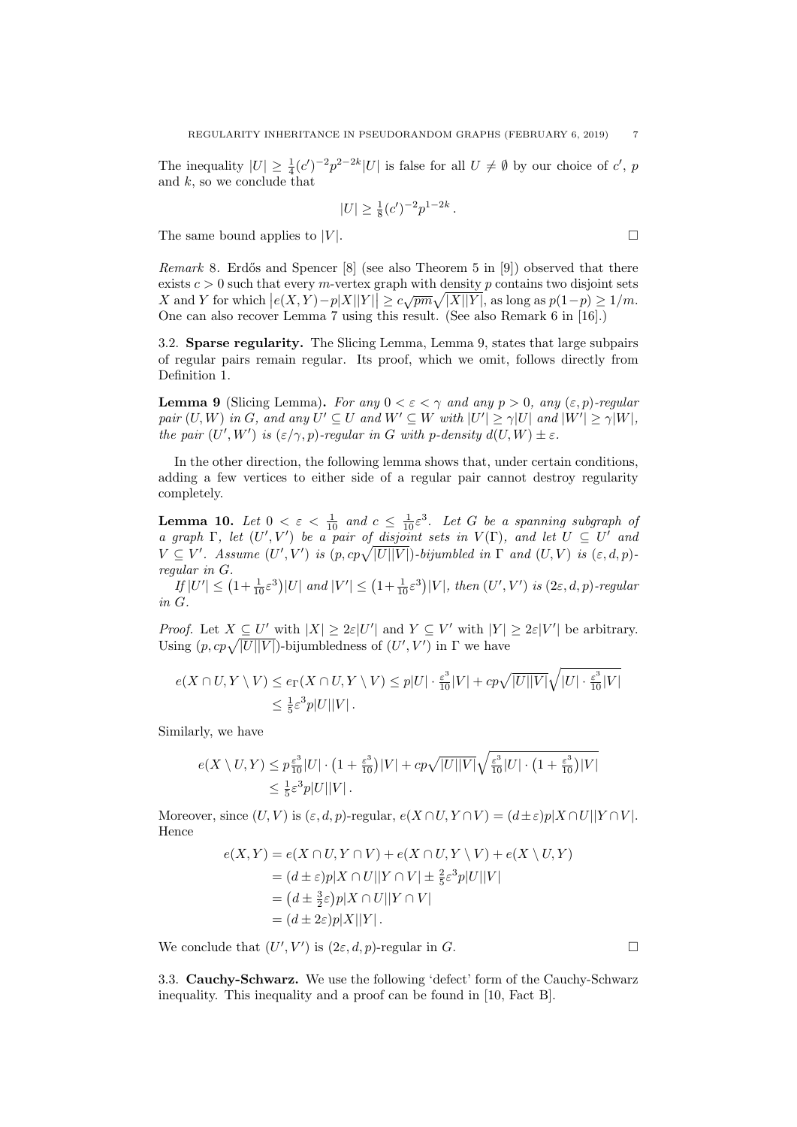The inequality  $|U| \geq \frac{1}{4} (c')^{-2} p^{2-2k} |U|$  is false for all  $U \neq \emptyset$  by our choice of  $c'$ , p and  $k$ , so we conclude that

$$
|U| \ge \frac{1}{8} (c')^{-2} p^{1-2k} .
$$

The same bound applies to |V|.  $\square$ 

*Remark* 8. Erdős and Spencer  $[8]$  (see also Theorem 5 in  $[9]$ ) observed that there exists  $c > 0$  such that every m-vertex graph with density p contains two disjoint sets  $X$  and Y for which  $|e(X, Y) - p|X||Y|| \ge c\sqrt{pm}\sqrt{|X||Y|}$ , as long as  $p(1-p) \ge 1/m$ . One can also recover Lemma [7](#page-5-0) using this result. (See also Remark 6 in [\[16\]](#page-19-14).)

3.2. Sparse regularity. The Slicing Lemma, Lemma [9,](#page-6-0) states that large subpairs of regular pairs remain regular. Its proof, which we omit, follows directly from Definition [1.](#page-1-0)

<span id="page-6-0"></span>**Lemma 9** (Slicing Lemma). For any  $0 < \varepsilon < \gamma$  and any  $p > 0$ , any  $(\varepsilon, p)$ -regular pair  $(U, W)$  in G, and any  $U' \subseteq U$  and  $W' \subseteq W$  with  $|U'| \ge \gamma |U|$  and  $|W'| \ge \gamma |W|$ , the pair  $(U', W')$  is  $(\varepsilon/\gamma, p)$ -regular in G with p-density  $d(U, W) \pm \varepsilon$ .

In the other direction, the following lemma shows that, under certain conditions, adding a few vertices to either side of a regular pair cannot destroy regularity completely.

<span id="page-6-1"></span>**Lemma 10.** Let  $0 < \varepsilon < \frac{1}{10}$  and  $c \leq \frac{1}{10} \varepsilon^3$ . Let G be a spanning subgraph of a graph  $\Gamma$ , let  $(U', V')$  be a pair of disjoint sets in  $V(\Gamma)$ , and let  $U \subseteq U'$  and  $V \subseteq V'$ . Assume  $(U', V')$  is  $(p, cp\sqrt{|U||V|})$ -bijumbled in  $\Gamma$  and  $(U, V)$  is  $(\varepsilon, d, p)$ regular in G.

 $If |U'| \leq (1 + \frac{1}{10} \varepsilon^3)|U|$  and  $|V'| \leq (1 + \frac{1}{10} \varepsilon^3)|V|$ , then  $(U', V')$  is  $(2\varepsilon, d, p)$ -regular in G.

*Proof.* Let  $X \subseteq U'$  with  $|X| \geq 2\varepsilon|U'|$  and  $Y \subseteq V'$  with  $|Y| \geq 2\varepsilon|V'|$  be arbitrary. Using  $(p, cp\sqrt{|U||V|})$ -bijumbledness of  $(U', V')$  in  $\Gamma$  we have

$$
e(X \cap U, Y \setminus V) \le e_{\Gamma}(X \cap U, Y \setminus V) \le p|U| \cdot \frac{\varepsilon^3}{10}|V| + cp\sqrt{|U||V|}\sqrt{|U| \cdot \frac{\varepsilon^3}{10}|V|}
$$
  

$$
\le \frac{1}{5}\varepsilon^3 p|U||V|.
$$

Similarly, we have

$$
e(X \setminus U, Y) \le p \frac{\varepsilon^3}{10} |U| \cdot \left(1 + \frac{\varepsilon^3}{10}\right) |V| + c p \sqrt{|U||V|} \sqrt{\frac{\varepsilon^3}{10} |U| \cdot \left(1 + \frac{\varepsilon^3}{10}\right) |V|}
$$
  

$$
\le \frac{1}{5} \varepsilon^3 p |U||V|.
$$

Moreover, since  $(U, V)$  is  $(\varepsilon, d, p)$ -regular,  $e(X \cap U, Y \cap V) = (d \pm \varepsilon)p|X \cap U||Y \cap V|$ . Hence

$$
e(X,Y) = e(X \cap U, Y \cap V) + e(X \cap U, Y \setminus V) + e(X \setminus U, Y)
$$
  
=  $(d \pm \varepsilon)p|X \cap U||Y \cap V| \pm \frac{2}{5}\varepsilon^3 p|U||V|$   
=  $(d \pm \frac{3}{2}\varepsilon)p|X \cap U||Y \cap V|$   
=  $(d \pm 2\varepsilon)p|X||Y|$ .

We conclude that  $(U', V')$  is  $(2\varepsilon, d, p)$ -regular in G.

3.3. Cauchy-Schwarz. We use the following 'defect' form of the Cauchy-Schwarz inequality. This inequality and a proof can be found in [\[10,](#page-19-25) Fact B].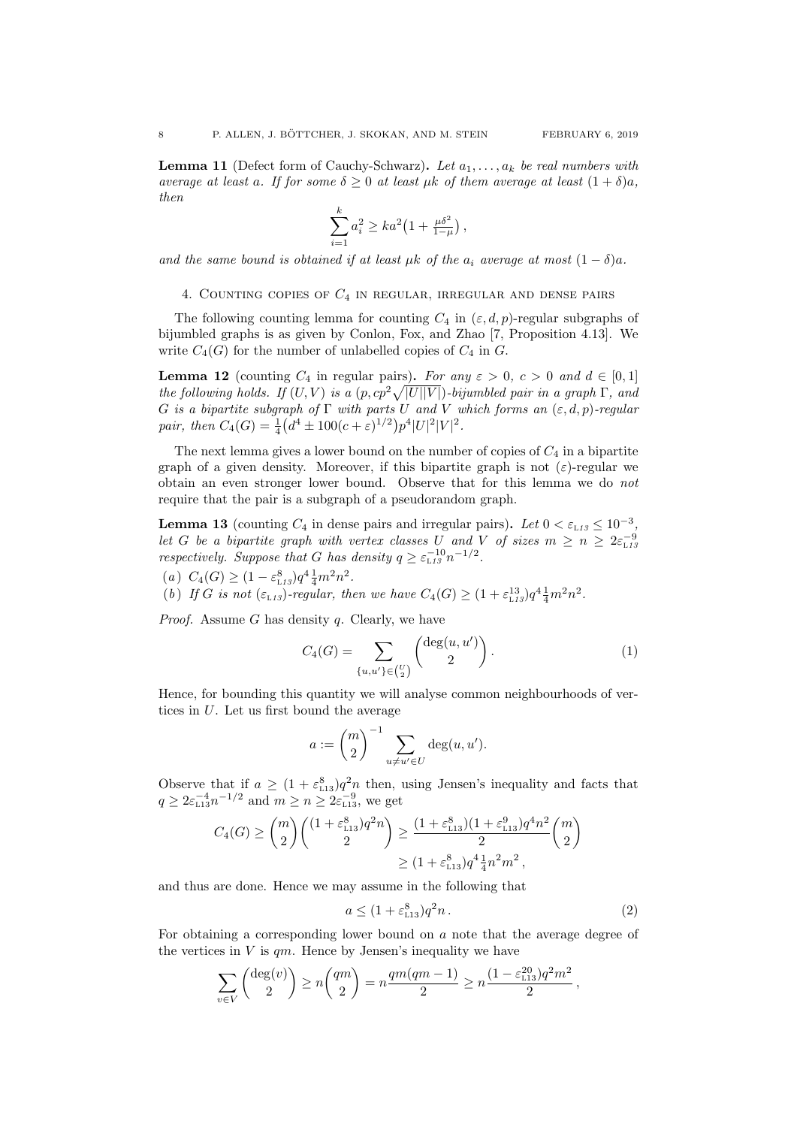<span id="page-7-5"></span>**Lemma 11** (Defect form of Cauchy-Schwarz). Let  $a_1, \ldots, a_k$  be real numbers with average at least a. If for some  $\delta \geq 0$  at least  $\mu k$  of them average at least  $(1 + \delta)a$ , then

$$
\sum_{i=1}^{k} a_i^2 \ge ka^2 \left( 1 + \frac{\mu \delta^2}{1 - \mu} \right),
$$

and the same bound is obtained if at least  $\mu k$  of the  $a_i$  average at most  $(1 - \delta)a$ .

<span id="page-7-0"></span>4. COUNTING COPIES OF  $C_4$  IN REGULAR, IRREGULAR AND DENSE PAIRS

The following counting lemma for counting  $C_4$  in  $(\varepsilon, d, p)$ -regular subgraphs of bijumbled graphs is as given by Conlon, Fox, and Zhao [\[7,](#page-19-7) Proposition 4.13]. We write  $C_4(G)$  for the number of unlabelled copies of  $C_4$  in  $G$ .

<span id="page-7-2"></span>**Lemma 12** (counting  $C_4$  in regular pairs). For any  $\varepsilon > 0$ ,  $c > 0$  and  $d \in [0,1]$ the following holds. If  $(U, V)$  is a  $(p, cp^2\sqrt{|U||V|})$ -bijumbled pair in a graph  $\Gamma$ , and G is a bipartite subgraph of  $\Gamma$  with parts U and V which forms an  $(\varepsilon, d, p)$ -regular pair, then  $C_4(G) = \frac{1}{4} (d^4 \pm 100(c+\varepsilon)^{1/2}) p^4 |U|^2 |V|^2$ .

The next lemma gives a lower bound on the number of copies of  $C_4$  in a bipartite graph of a given density. Moreover, if this bipartite graph is not  $(\varepsilon)$ -regular we obtain an even stronger lower bound. Observe that for this lemma we do not require that the pair is a subgraph of a pseudorandom graph.

<span id="page-7-1"></span>**Lemma [13](#page-7-1)** (counting  $C_4$  in dense pairs and irregular pairs). Let  $0 < \varepsilon_{L13} \leq 10^{-3}$ , let G be a bipartite graph with vertex classes U and V of sizes  $m \ge n \ge 2\varepsilon_{L15}^{-9}$ respectively. Suppose that G has density  $q \geq \varepsilon_{\text{L13}}^{-10} n^{-1/2}$  $q \geq \varepsilon_{\text{L13}}^{-10} n^{-1/2}$  $q \geq \varepsilon_{\text{L13}}^{-10} n^{-1/2}$ .

<span id="page-7-7"></span>(a)  $C_4(G) \geq (1 - \varepsilon_{L13}^8) q^4 \frac{1}{4} m^2 n^2$  $C_4(G) \geq (1 - \varepsilon_{L13}^8) q^4 \frac{1}{4} m^2 n^2$  $C_4(G) \geq (1 - \varepsilon_{L13}^8) q^4 \frac{1}{4} m^2 n^2$ .

<span id="page-7-6"></span>(b) If G is not  $(\varepsilon_{L13})$  $(\varepsilon_{L13})$  $(\varepsilon_{L13})$ -regular, then we have  $C_4(G) \geq (1 + \varepsilon_{L13}^{13})q^4 \frac{1}{4}m^2 n^2$ .

*Proof.* Assume G has density  $q$ . Clearly, we have

<span id="page-7-3"></span>
$$
C_4(G) = \sum_{\{u,u'\}\in {U \choose 2}} \binom{\deg(u,u')}{2}.
$$
 (1)

Hence, for bounding this quantity we will analyse common neighbourhoods of vertices in U. Let us first bound the average

$$
a := \binom{m}{2}^{-1} \sum_{u \neq u' \in U} \deg(u, u').
$$

Observe that if  $a \geq (1 + \varepsilon_{113}^8)q^2n$  $a \geq (1 + \varepsilon_{113}^8)q^2n$  $a \geq (1 + \varepsilon_{113}^8)q^2n$  then, using Jensen's inequality and facts that  $q \geq 2\varepsilon_{\text{\tiny L}13}^{-4}n^{-1/2}$  $q \geq 2\varepsilon_{\text{\tiny L}13}^{-4}n^{-1/2}$  $q \geq 2\varepsilon_{\text{\tiny L}13}^{-4}n^{-1/2}$  and  $m \geq n \geq 2\varepsilon_{\text{\tiny L}13}^{-9}$ , we get

$$
C_4(G) \ge \binom{m}{2} \binom{(1 + \varepsilon_{113}^8)q^2n}{2} \ge \frac{(1 + \varepsilon_{113}^8)(1 + \varepsilon_{113}^9)q^4n^2}{2} \binom{m}{2}
$$
  
 
$$
\ge (1 + \varepsilon_{113}^8)q^4\frac{1}{4}n^2m^2,
$$

and thus are done. Hence we may assume in the following that

<span id="page-7-4"></span>
$$
a \le (1 + \varepsilon_{113}^8) q^2 n \,. \tag{2}
$$

For obtaining a corresponding lower bound on a note that the average degree of the vertices in  $V$  is  $qm$ . Hence by Jensen's inequality we have

$$
\sum_{v \in V} {\deg(v) \choose 2} \ge n {qm \choose 2} = n \frac{qm(qm-1)}{2} \ge n \frac{(1 - \varepsilon_{113}^{20})q^2m^2}{2},
$$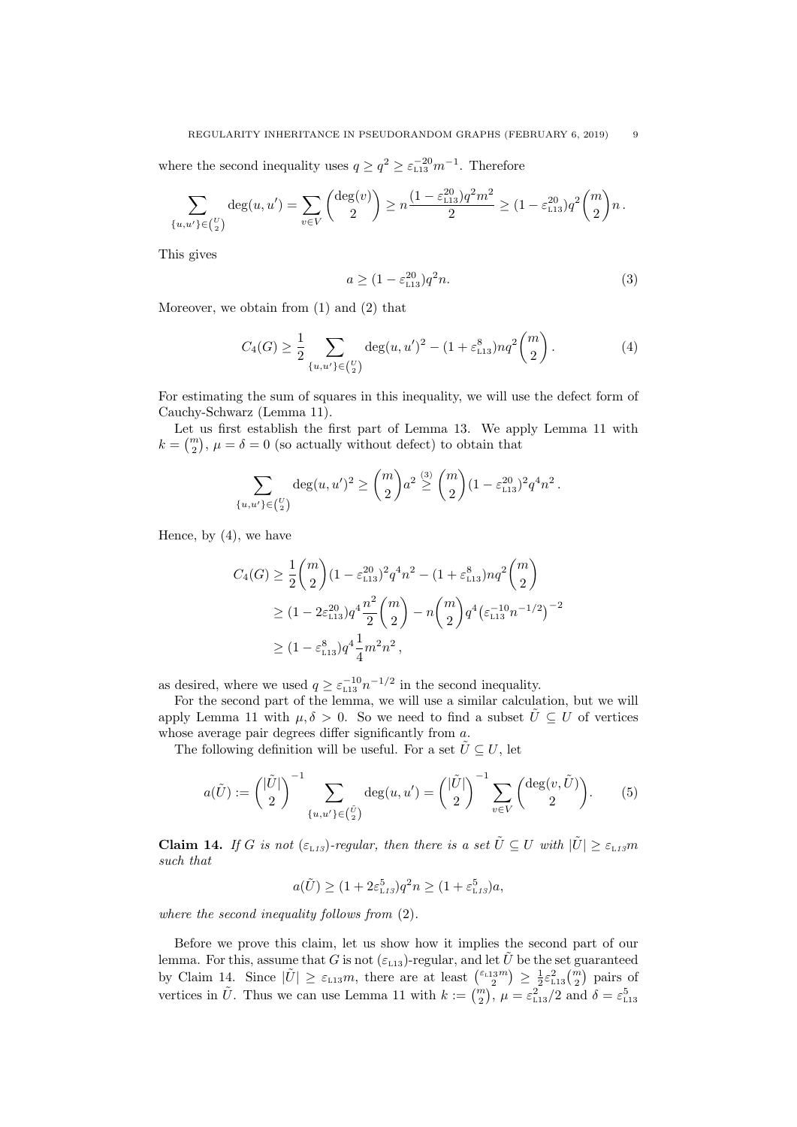where the second inequality uses  $q \ge q^2 \ge \varepsilon_{L13}^{-20} m^{-1}$  $q \ge q^2 \ge \varepsilon_{L13}^{-20} m^{-1}$  $q \ge q^2 \ge \varepsilon_{L13}^{-20} m^{-1}$ . Therefore

$$
\sum_{\{u,u'\}\in\binom{U}{2}}\deg(u,u')=\sum_{v\in V}\binom{\deg(v)}{2}\geq n\frac{(1-\varepsilon_{1.13}^{20})q^2m^2}{2}\geq (1-\varepsilon_{1.13}^{20})q^2\binom{m}{2}n\,.
$$

This gives

<span id="page-8-0"></span>
$$
a \ge (1 - \varepsilon_{113}^{20})q^2 n. \tag{3}
$$

Moreover, we obtain from [\(1\)](#page-7-3) and [\(2\)](#page-7-4) that

<span id="page-8-1"></span>
$$
C_4(G) \ge \frac{1}{2} \sum_{\{u,u'\}\in\binom{U}{2}} \deg(u,u')^2 - (1+\varepsilon_{\text{L13}}^8) nq^2 \binom{m}{2}.
$$
 (4)

For estimating the sum of squares in this inequality, we will use the defect form of Cauchy-Schwarz (Lemma [11\)](#page-7-5).

Let us first establish the first part of Lemma [13.](#page-7-1) We apply Lemma [11](#page-7-5) with  $k = \binom{m}{2}, \mu = \delta = 0$  (so actually without defect) to obtain that

$$
\sum_{\{u,u'\}\in\binom{U}{2}} \deg(u,u')^2 \ge \binom{m}{2} a^2 \stackrel{(3)}{\ge} \binom{m}{2} (1-\varepsilon_{113}^{20})^2 q^4 n^2.
$$

Hence, by [\(4\)](#page-8-1), we have

$$
C_4(G) \ge \frac{1}{2} {m \choose 2} (1 - \varepsilon_{113}^{20})^2 q^4 n^2 - (1 + \varepsilon_{113}^8) n q^2 {m \choose 2}
$$
  
 
$$
\ge (1 - 2\varepsilon_{113}^{20}) q^4 \frac{n^2}{2} {m \choose 2} - n {m \choose 2} q^4 (\varepsilon_{113}^{-1/2})^{-2}
$$
  
 
$$
\ge (1 - \varepsilon_{113}^8) q^4 \frac{1}{4} m^2 n^2,
$$

as desired, where we used  $q \geq \varepsilon_{L13}^{-10} n^{-1/2}$  $q \geq \varepsilon_{L13}^{-10} n^{-1/2}$  $q \geq \varepsilon_{L13}^{-10} n^{-1/2}$  in the second inequality.

For the second part of the lemma, we will use a similar calculation, but we will apply Lemma [11](#page-7-5) with  $\mu, \delta > 0$ . So we need to find a subset  $\hat{U} \subseteq U$  of vertices whose average pair degrees differ significantly from  $a$ .

The following definition will be useful. For a set  $\hat{U} \subseteq U$ , let

$$
a(\tilde{U}) := \binom{|\tilde{U}|}{2}^{-1} \sum_{\{u, u'\} \in \binom{\tilde{U}}{2}} \deg(u, u') = \binom{|\tilde{U}|}{2}^{-1} \sum_{v \in V} \binom{\deg(v, \tilde{U})}{2}.
$$
 (5)

<span id="page-8-2"></span>**Claim 14.** If G is not  $(\varepsilon_{1,13})$  $(\varepsilon_{1,13})$  $(\varepsilon_{1,13})$ -regular, then there is a set  $\tilde{U} \subset U$  with  $|\tilde{U}| > \varepsilon_{1,13}m$ such that

$$
a(\tilde{U}) \ge (1 + 2\varepsilon_{L13}^5)q^2n \ge (1 + \varepsilon_{L13}^5)a,
$$

where the second inequality follows from [\(2\)](#page-7-4).

Before we prove this claim, let us show how it implies the second part of our lemma. For this, assume that G is not  $(\varepsilon_{113})$  $(\varepsilon_{113})$  $(\varepsilon_{113})$ -regular, and let  $\tilde{U}$  be the set guaranteed by Claim [14.](#page-8-2) Since  $|\tilde{U}| \geq \varepsilon_{1,13}m$  $|\tilde{U}| \geq \varepsilon_{1,13}m$  $|\tilde{U}| \geq \varepsilon_{1,13}m$ , there are at least  $\binom{\varepsilon_{1,13}m}{2} \geq \frac{1}{2}\varepsilon_{1,13}^2\binom{m}{2}$  pairs of vertices in  $\tilde{U}$ . Thus we can use Lemma [11](#page-7-5) with  $k := \binom{m}{2}$ ,  $\mu = \varepsilon_{1,13}^2/2$  $\mu = \varepsilon_{1,13}^2/2$  $\mu = \varepsilon_{1,13}^2/2$  and  $\delta = \varepsilon_{1,13}^5$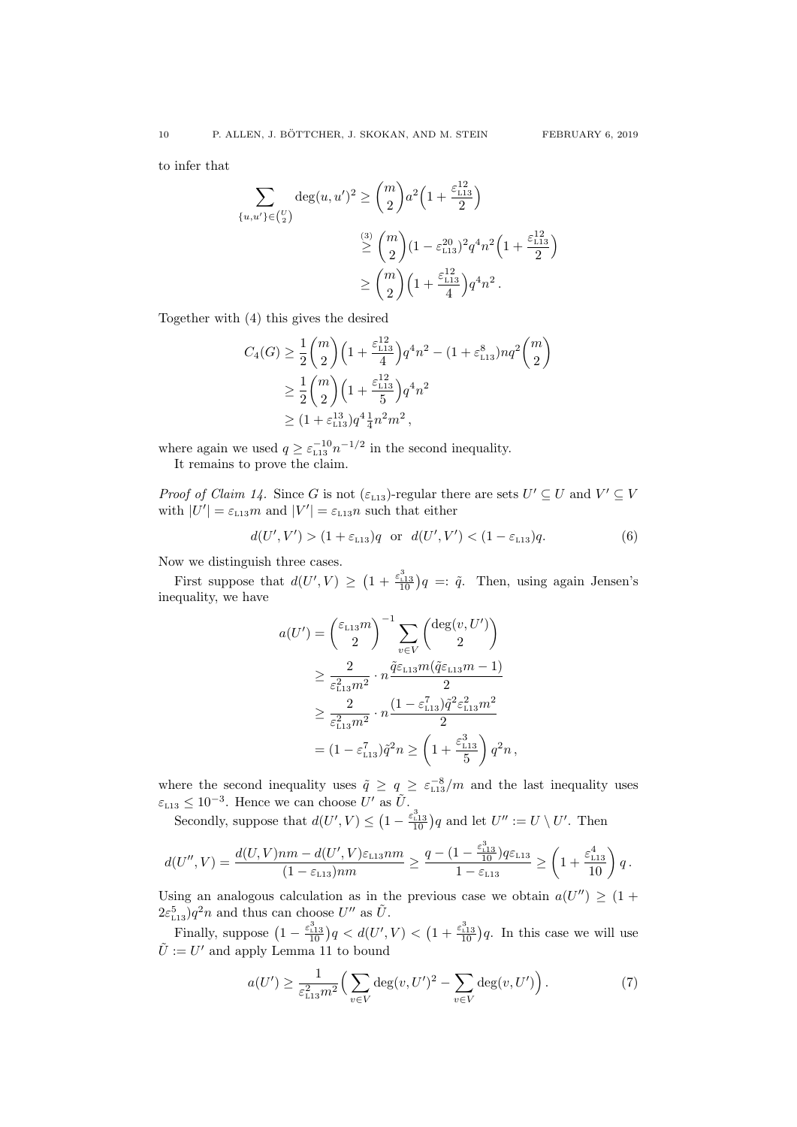to infer that

$$
\sum_{\{u,u'\}\in\binom{U}{2}} \deg(u,u')^2 \ge \binom{m}{2} a^2 \left(1 + \frac{\varepsilon_{113}^{12}}{2}\right)
$$
  

$$
\stackrel{(3)}{\ge} \binom{m}{2} (1 - \varepsilon_{113}^{20})^2 q^4 n^2 \left(1 + \frac{\varepsilon_{113}^{12}}{2}\right)
$$
  

$$
\ge \binom{m}{2} \left(1 + \frac{\varepsilon_{113}^{12}}{4}\right) q^4 n^2.
$$

Together with [\(4\)](#page-8-1) this gives the desired

$$
C_4(G) \ge \frac{1}{2} {m \choose 2} \left( 1 + \frac{\varepsilon_{113}^{12}}{4} \right) q^4 n^2 - (1 + \varepsilon_{113}^8) n q^2 {m \choose 2}
$$
  
 
$$
\ge \frac{1}{2} {m \choose 2} \left( 1 + \frac{\varepsilon_{113}^{12}}{5} \right) q^4 n^2
$$
  
 
$$
\ge (1 + \varepsilon_{113}^{13}) q^4 \frac{1}{4} n^2 m^2 ,
$$

where again we used  $q \geq \varepsilon_{113}^{-10} n^{-1/2}$  $q \geq \varepsilon_{113}^{-10} n^{-1/2}$  $q \geq \varepsilon_{113}^{-10} n^{-1/2}$  in the second inequality.

It remains to prove the claim.

*Proof of Claim [14.](#page-8-2)* Since G is not  $(\varepsilon_{L13})$  $(\varepsilon_{L13})$  $(\varepsilon_{L13})$ -regular there are sets  $U' \subseteq U$  and  $V' \subseteq V$ with  $|U'| = \varepsilon_{L13}m$  $|U'| = \varepsilon_{L13}m$  $|U'| = \varepsilon_{L13}m$  and  $|V'| = \varepsilon_{L13}n$  such that either

<span id="page-9-0"></span>
$$
d(U', V') > (1 + \varepsilon_{L13})q
$$
 or  $d(U', V') < (1 - \varepsilon_{L13})q.$  (6)

Now we distinguish three cases.

First suppose that  $d(U', V) \geq (1 + \frac{\varepsilon_{1,13}^3}{10})q =: \tilde{q}$  $d(U', V) \geq (1 + \frac{\varepsilon_{1,13}^3}{10})q =: \tilde{q}$  $d(U', V) \geq (1 + \frac{\varepsilon_{1,13}^3}{10})q =: \tilde{q}$ . Then, using again Jensen's inequality, we have

$$
a(U') = \left(\frac{\varepsilon_{L13}m}{2}\right)^{-1} \sum_{v \in V} \left(\frac{\deg(v, U')}{2}\right)
$$
  
\n
$$
\geq \frac{2}{\varepsilon_{L13}^2 m^2} \cdot n \frac{\tilde{q}\varepsilon_{L13}m(\tilde{q}\varepsilon_{L13}m - 1)}{2}
$$
  
\n
$$
\geq \frac{2}{\varepsilon_{L13}^2 m^2} \cdot n \frac{(1 - \varepsilon_{L13}^7)\tilde{q}^2 \varepsilon_{L13}^2 m^2}{2}
$$
  
\n
$$
= (1 - \varepsilon_{L13}^7)\tilde{q}^2 n \geq \left(1 + \frac{\varepsilon_{L13}^3}{5}\right)q^2 n,
$$

where the second inequality uses  $\tilde{q} \ge q \ge \epsilon_{113}^{-8}/m$  $\tilde{q} \ge q \ge \epsilon_{113}^{-8}/m$  $\tilde{q} \ge q \ge \epsilon_{113}^{-8}/m$  and the last inequality uses  $\varepsilon_{L13} \leq 10^{-3}$  $\varepsilon_{L13} \leq 10^{-3}$  $\varepsilon_{L13} \leq 10^{-3}$ . Hence we can choose U' as  $\tilde{U}$ .

Secondly, suppose that  $d(U', V) \leq \left(1 - \frac{\varepsilon_{1,13}^3}{10}\right) q$  $d(U', V) \leq \left(1 - \frac{\varepsilon_{1,13}^3}{10}\right) q$  $d(U', V) \leq \left(1 - \frac{\varepsilon_{1,13}^3}{10}\right) q$  and let  $U'' := U \setminus U'$ . Then

$$
d(U'',V)=\frac{d(U,V)nm-d(U',V)\varepsilon_{\mathtt{L}13}nm}{(1-\varepsilon_{\mathtt{L}13})nm}\geq \frac{q-(1-\frac{\varepsilon_{\mathtt{L}13}^3}{10})q\varepsilon_{\mathtt{L}13}}{1-\varepsilon_{\mathtt{L}13}}\geq \left(1+\frac{\varepsilon_{\mathtt{L}13}^4}{10}\right)q\,.
$$

Using an analogous calculation as in the previous case we obtain  $a(U'') \geq (1 +$  $2\varepsilon_{\text{\tiny L}13}^5$  $2\varepsilon_{\text{\tiny L}13}^5$  $2\varepsilon_{\text{\tiny L}13}^5$ ) $q^2n$  and thus can choose  $U''$  as  $\tilde{U}$ .

Finally, suppose  $\left(1-\frac{\varepsilon_{1,13}^3}{10}\right)q < d(U',V) < \left(1+\frac{\varepsilon_{1,13}^3}{10}\right)q$  $\left(1-\frac{\varepsilon_{1,13}^3}{10}\right)q < d(U',V) < \left(1+\frac{\varepsilon_{1,13}^3}{10}\right)q$  $\left(1-\frac{\varepsilon_{1,13}^3}{10}\right)q < d(U',V) < \left(1+\frac{\varepsilon_{1,13}^3}{10}\right)q$ . In this case we will use  $\tilde{U} := U'$  and apply Lemma [11](#page-7-5) to bound

<span id="page-9-1"></span>
$$
a(U') \ge \frac{1}{\varepsilon_{L13}^2 m^2} \Big( \sum_{v \in V} \deg(v, U')^2 - \sum_{v \in V} \deg(v, U') \Big).
$$
 (7)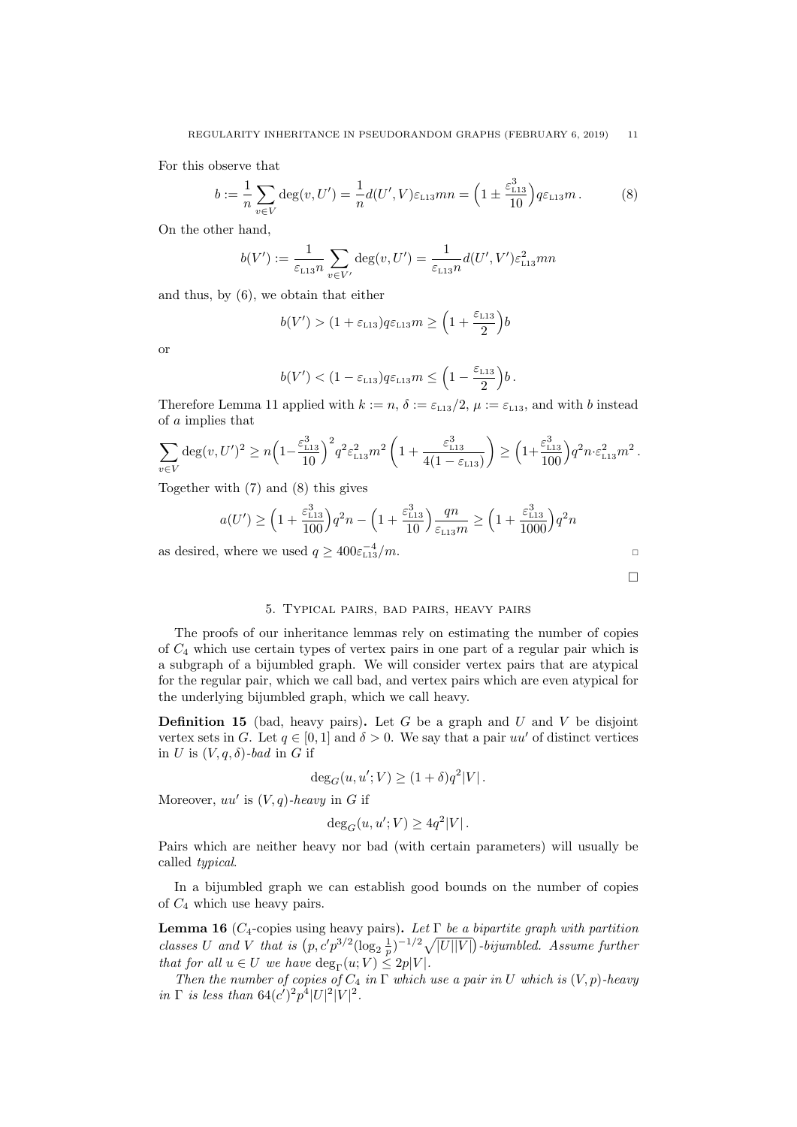For this observe that

<span id="page-10-2"></span>
$$
b := \frac{1}{n} \sum_{v \in V} \deg(v, U') = \frac{1}{n} d(U', V) \varepsilon_{L13} mn = \left(1 \pm \frac{\varepsilon_{L13}^3}{10}\right) q \varepsilon_{L13} m. \tag{8}
$$

On the other hand,

$$
b(V') := \frac{1}{\varepsilon_{L13}n} \sum_{v \in V'} \deg(v, U') = \frac{1}{\varepsilon_{L13}n} d(U', V') \varepsilon_{L13}^2 mn
$$

and thus, by [\(6\)](#page-9-0), we obtain that either

$$
b(V') > (1 + \varepsilon_{L13})q\varepsilon_{L13}m \ge \left(1 + \frac{\varepsilon_{L13}}{2}\right)b
$$

or

$$
b(V') < (1 - \varepsilon_{L13}) q \varepsilon_{L13} m \leq \left(1 - \frac{\varepsilon_{L13}}{2}\right) b.
$$

Therefore Lemma [11](#page-7-5) applied with  $k := n$ ,  $\delta := \varepsilon_{L13}/2$  $\delta := \varepsilon_{L13}/2$  $\delta := \varepsilon_{L13}/2$ ,  $\mu := \varepsilon_{L13}$ , and with b instead of a implies that

$$
\sum_{v \in V} \deg(v, U')^2 \ge n \left( 1 - \frac{\varepsilon_{113}^3}{10} \right)^2 q^2 \varepsilon_{113}^2 m^2 \left( 1 + \frac{\varepsilon_{113}^3}{4(1 - \varepsilon_{113})} \right) \ge \left( 1 + \frac{\varepsilon_{113}^3}{100} \right) q^2 n \cdot \varepsilon_{113}^2 m^2.
$$

Together with [\(7\)](#page-9-1) and [\(8\)](#page-10-2) this gives

$$
a(U') \ge \left(1 + \frac{\varepsilon_{113}^3}{100}\right)q^2n - \left(1 + \frac{\varepsilon_{113}^3}{10}\right)\frac{qn}{\varepsilon_{113}m} \ge \left(1 + \frac{\varepsilon_{113}^3}{1000}\right)q^2n
$$

as desired, where we used  $q \ge 400 \varepsilon_{113}^{-4}/m$  $q \ge 400 \varepsilon_{113}^{-4}/m$  $q \ge 400 \varepsilon_{113}^{-4}/m$ .

 $\Box$ 

# 5. Typical pairs, bad pairs, heavy pairs

<span id="page-10-0"></span>The proofs of our inheritance lemmas rely on estimating the number of copies of  $C_4$  which use certain types of vertex pairs in one part of a regular pair which is a subgraph of a bijumbled graph. We will consider vertex pairs that are atypical for the regular pair, which we call bad, and vertex pairs which are even atypical for the underlying bijumbled graph, which we call heavy.

**Definition 15** (bad, heavy pairs). Let G be a graph and U and V be disjoint vertex sets in G. Let  $q \in [0,1]$  and  $\delta > 0$ . We say that a pair uu' of distinct vertices in U is  $(V, q, \delta)$ -bad in G if

$$
\deg_G(u, u'; V) \ge (1 + \delta)q^2|V|.
$$

Moreover,  $uu'$  is  $(V, q)$ -heavy in G if

$$
\deg_G(u, u'; V) \ge 4q^2|V|.
$$

Pairs which are neither heavy nor bad (with certain parameters) will usually be called typical.

In a bijumbled graph we can establish good bounds on the number of copies of  $C_4$  which use heavy pairs.

<span id="page-10-1"></span>**Lemma 16** ( $C_4$ -copies using heavy pairs). Let  $\Gamma$  be a bipartite graph with partition classes U and V that is  $(p, c'p^{3/2}(\log_2\frac{1}{p})^{-1/2}\sqrt{|U||V|})$ -bijumbled. Assume further that for all  $u \in U$  we have  $\deg_{\Gamma}(u; V) \leq 2p|V|$ .

Then the number of copies of  $C_4$  in  $\Gamma$  which use a pair in U which is  $(V, p)$ -heavy in  $\Gamma$  is less than  $64(c')^2p^4|U|^2|V|^2$ .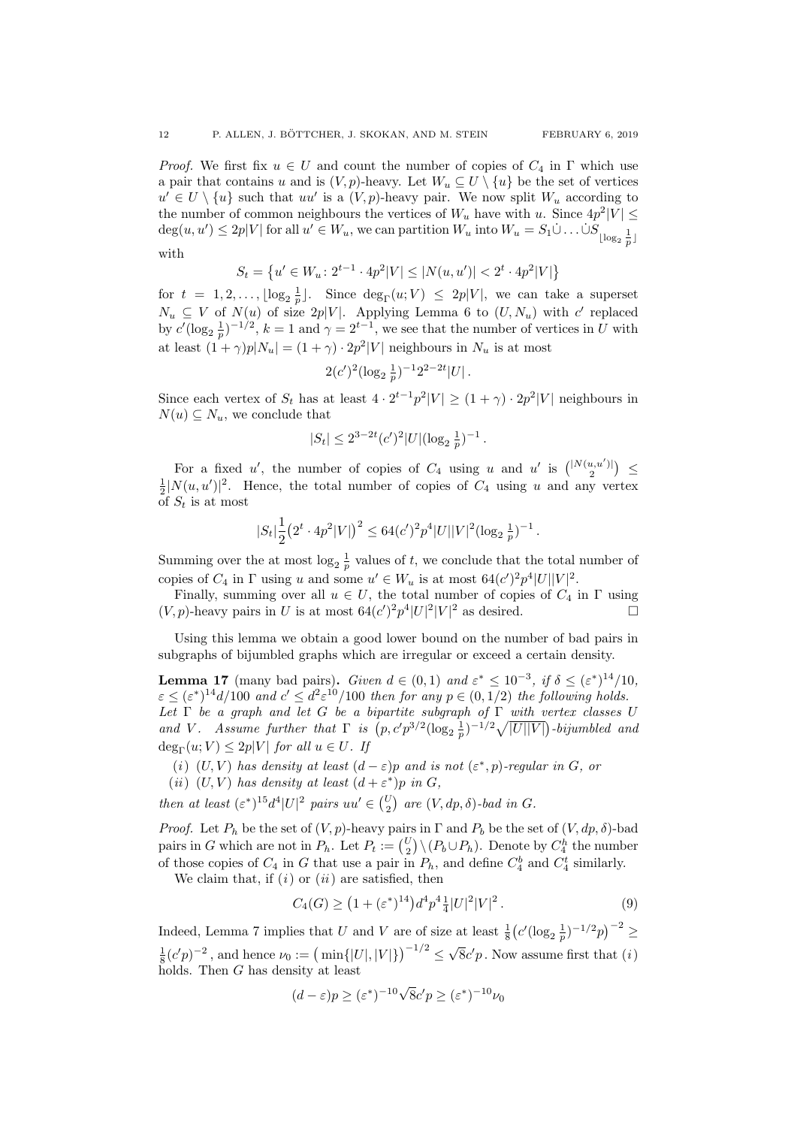*Proof.* We first fix  $u \in U$  and count the number of copies of  $C_4$  in  $\Gamma$  which use a pair that contains u and is  $(V, p)$ -heavy. Let  $W_u \subseteq U \setminus \{u\}$  be the set of vertices  $u' \in U \setminus \{u\}$  such that uu' is a  $(V, p)$ -heavy pair. We now split  $W_u$  according to the number of common neighbours the vertices of  $W_u$  have with u. Since  $4p^2|V| \leq$  $deg(u, u') \leq 2p|V|$  for all  $u' \in W_u$ , we can partition  $W_u$  into  $W_u = S_1 \dot{\cup} \dots \dot{\cup} S_{\lfloor \log_2 \frac{1}{p} \rfloor}$ with

$$
S_t = \left\{ u' \in W_u \colon 2^{t-1} \cdot 4p^2 |V| \le |N(u, u')| < 2^t \cdot 4p^2 |V| \right\}
$$

for  $t = 1, 2, ..., \lfloor \log_2 \frac{1}{p} \rfloor$ . Since  $\deg_{\Gamma}(u; V) \leq 2p|V|$ , we can take a superset  $N_u \subseteq V$  of  $N(u)$  of size  $2p|V|$ . Applying Lemma [6](#page-5-2) to  $(U, N_u)$  with c' replaced by  $c'(\log_2 \frac{1}{p})^{-1/2}$ ,  $k = 1$  and  $\gamma = 2^{t-1}$ , we see that the number of vertices in U with at least  $(1 + \gamma)p|N_u| = (1 + \gamma) \cdot 2p^2|V|$  neighbours in  $N_u$  is at most

$$
2(c')^2(\log_2\frac{1}{p})^{-1}2^{2-2t}|U|.
$$

Since each vertex of  $S_t$  has at least  $4 \cdot 2^{t-1} p^2 |V| \ge (1 + \gamma) \cdot 2p^2 |V|$  neighbours in  $N(u) \subseteq N_u$ , we conclude that

$$
|S_t| \le 2^{3-2t} (c')^2 |U| (\log_2 \frac{1}{p})^{-1}.
$$

For a fixed u', the number of copies of  $C_4$  using u and u' is  $\binom{|N(u,u')|}{2}$   $\leq$  $\frac{1}{2}|N(u, u')|^2$ . Hence, the total number of copies of  $C_4$  using u and any vertex of  $S_t$  is at most

$$
|S_t| \frac{1}{2} (2^t \cdot 4p^2 |V|)^2 \le 64(c')^2 p^4 |U||V|^2 (\log_2 \frac{1}{p})^{-1}.
$$

Summing over the at most  $\log_2 \frac{1}{p}$  values of t, we conclude that the total number of copies of  $C_4$  in  $\Gamma$  using u and some  $u' \in W_u$  is at most  $64(c')^2 p^4 |U||V|^2$ .

Finally, summing over all  $u \in U$ , the total number of copies of  $C_4$  in  $\Gamma$  using  $(V, p)$ -heavy pairs in U is at most  $64(c')^2 p^4 |U|^2 |V|^2$  as desired.

Using this lemma we obtain a good lower bound on the number of bad pairs in subgraphs of bijumbled graphs which are irregular or exceed a certain density.

<span id="page-11-0"></span>**Lemma 17** (many bad pairs). Given  $d \in (0,1)$  and  $\varepsilon^* \leq 10^{-3}$ , if  $\delta \leq (\varepsilon^*)^{14}/10$ ,  $\varepsilon \leq (\varepsilon^*)^{14} d/100$  and  $c' \leq d^2 \varepsilon^{10}/100$  then for any  $p \in (0, 1/2)$  the following holds. Let  $\Gamma$  be a graph and let G be a bipartite subgraph of  $\Gamma$  with vertex classes U and V. Assume further that  $\Gamma$  is  $(p, c'p^{3/2}(\log_2 \frac{1}{p})^{-1/2}\sqrt{|U||V|})$ -bijumbled and  $deg_{\Gamma}(u; V) \leq 2p|V|$  for all  $u \in U$ . If

<span id="page-11-2"></span><span id="page-11-1"></span>(i)  $(U, V)$  has density at least  $(d - \varepsilon)p$  and is not  $(\varepsilon^*, p)$ -regular in G, or (ii)  $(U, V)$  has density at least  $(d + \varepsilon^*)p$  in G,

then at least  $(\varepsilon^*)^{15}d^4|U|^2$  pairs  $uu' \in {U \choose 2}$  are  $(V, dp, \delta)$ -bad in G.

*Proof.* Let  $P_h$  be the set of  $(V, p)$ -heavy pairs in  $\Gamma$  and  $P_b$  be the set of  $(V, dp, \delta)$ -bad pairs in G which are not in  $P_h$ . Let  $P_t := {U \choose 2} \setminus (P_b \cup P_h)$ . Denote by  $C_4^h$  the number of those copies of  $C_4$  in G that use a pair in  $P_h$ , and define  $C_4^b$  and  $C_4^t$  similarly.

We claim that, if  $(i)$  $(i)$  or  $(ii)$  $(ii)$  $(ii)$  are satisfied, then

<span id="page-11-3"></span>
$$
C_4(G) \ge \left(1 + (\varepsilon^*)^{14}\right) d^4 p^4 \frac{1}{4} |U|^2 |V|^2. \tag{9}
$$

Indeed, Lemma [7](#page-5-0) implies that U and V are of size at least  $\frac{1}{8} (c'(\log_2 \frac{1}{p})^{-1/2}p)^{-2} \geq$  $\frac{1}{8}(c'p)^{-2}$ , and hence  $\nu_0 := (\min\{|U|, |V|\})^{-1/2} \le$ √  $\overline{8}c'p$ . Now assume first that  $(i)$  $(i)$ holds. Then G has density at least

$$
(d - \varepsilon)p \ge (\varepsilon^*)^{-10}\sqrt{8}c'p \ge (\varepsilon^*)^{-10}\nu_0
$$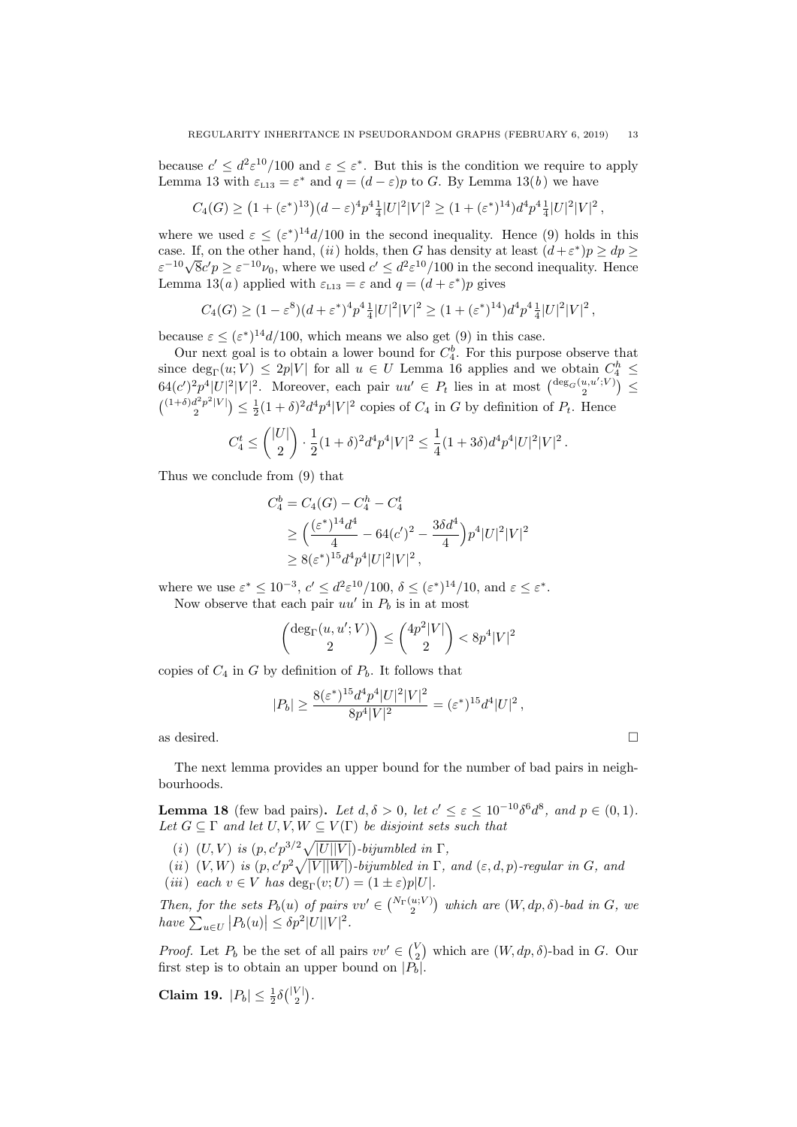because  $c' \leq d^2 \varepsilon^{10}/100$  and  $\varepsilon \leq \varepsilon^*$ . But this is the condition we require to apply Lemma [13](#page-7-1) with  $\varepsilon_{L13} = \varepsilon^*$  and  $q = (d - \varepsilon)p$  to G. By Lemma [13\(](#page-7-1)[b](#page-7-6)) we have

$$
C_4(G) \ge (1 + (\varepsilon^*)^{13})(d - \varepsilon)^4 p^4 \frac{1}{4} |U|^2 |V|^2 \ge (1 + (\varepsilon^*)^{14}) d^4 p^4 \frac{1}{4} |U|^2 |V|^2,
$$

where we used  $\varepsilon \leq (\varepsilon^*)^{14} d/100$  in the second inequality. Hence [\(9\)](#page-11-3) holds in this case. If, on the other hand, ([ii](#page-11-2)) holds, then G has density at least  $(d+\varepsilon^*)p \ge dp \ge$ case. It, on the other hand, (*u*) holds, then G has density at least  $(a + \varepsilon) p \geq ap \geq \varepsilon^{-10} \sqrt{8}c'p \geq \varepsilon^{-10} \nu_0$ , where we used  $c' \leq d^2 \varepsilon^{10}/100$  in the second inequality. Hence Lemma [13\(](#page-7-1)*[a](#page-7-7)*) applied with  $\varepsilon_{L13} = \varepsilon$  $\varepsilon_{L13} = \varepsilon$  $\varepsilon_{L13} = \varepsilon$  and  $q = (d + \varepsilon^*)p$  gives

$$
C_4(G) \ge (1 - \varepsilon^8)(d + \varepsilon^*)^4 p^4 \frac{1}{4} |U|^2 |V|^2 \ge (1 + (\varepsilon^*)^{14}) d^4 p^4 \frac{1}{4} |U|^2 |V|^2,
$$

because  $\varepsilon \leq (\varepsilon^*)^{14} d/100$ , which means we also get [\(9\)](#page-11-3) in this case.

Our next goal is to obtain a lower bound for  $C_4^b$ . For this purpose observe that since  $\deg_{\Gamma}(u; V) \leq 2p|V|$  for all  $u \in U$  Lemma [16](#page-10-1) applies and we obtain  $C_4^h \leq$  $64(c')^2 p^4 |U|^2 |V|^2$ . Moreover, each pair  $uu' \in P_t$  lies in at most  $\binom{\deg_G(u,u';V)}{2} \leq$  $\binom{(1+\delta)d^2p^2|V|}{2} \leq \frac{1}{2}(1+\delta)^2d^4p^4|V|^2$  copies of  $C_4$  in G by definition of  $P_t$ . Hence

$$
C_4^t \le \binom{|U|}{2} \cdot \frac{1}{2}(1+\delta)^2 d^4p^4|V|^2 \le \frac{1}{4}(1+3\delta) d^4p^4|U|^2|V|^2\,.
$$

Thus we conclude from [\(9\)](#page-11-3) that

$$
C_4^b = C_4(G) - C_4^h - C_4^t
$$
  
\n
$$
\geq \left(\frac{(\varepsilon^*)^{14} d^4}{4} - 64(c')^2 - \frac{3\delta d^4}{4}\right) p^4 |U|^2 |V|^2
$$
  
\n
$$
\geq 8(\varepsilon^*)^{15} d^4 p^4 |U|^2 |V|^2,
$$

where we use  $\varepsilon^* \leq 10^{-3}$ ,  $c' \leq d^2 \varepsilon^{10}/100$ ,  $\delta \leq (\varepsilon^*)^{14}/10$ , and  $\varepsilon \leq \varepsilon^*$ . Now observe that each pair  $uu'$  in  $P_b$  is in at most

$$
\binom{\deg_\Gamma(u,u';V)}{2} \leq \binom{4p^2|V|}{2} < 8p^4|V|^2
$$

copies of  $C_4$  in G by definition of  $P_b$ . It follows that

$$
|P_b| \ge \frac{8(\varepsilon^*)^{15} d^4 p^4 |U|^2 |V|^2}{8p^4 |V|^2} = (\varepsilon^*)^{15} d^4 |U|^2,
$$

as desired.  $\Box$ 

The next lemma provides an upper bound for the number of bad pairs in neighbourhoods.

<span id="page-12-0"></span>**Lemma 18** (few bad pairs). Let  $d, \delta > 0$ , let  $c' \leq \varepsilon \leq 10^{-10} \delta^6 d^8$ , and  $p \in (0, 1)$ . Let  $G \subseteq \Gamma$  and let  $U, V, W \subseteq V(\Gamma)$  be disjoint sets such that

(i)  $(U, V)$  is  $(p, c'p^{3/2}\sqrt{|U||V|})$ -bijumbled in  $\Gamma$ ,

<span id="page-12-2"></span>(ii)  $(V, W)$  is  $(p, c'p^2\sqrt{|V||W|})$ -bijumbled in  $\Gamma$ , and  $(\varepsilon, d, p)$ -regular in G, and (iii) each  $v \in V$  has  $\deg_{\Gamma}(v; U) = (1 \pm \varepsilon)p|U|$ .

Then, for the sets  $P_b(u)$  of pairs  $vv' \in \binom{N_{\Gamma}(u;V)}{2}$  which are  $(W, dp, \delta)$ -bad in G, we have  $\sum_{u\in U} |P_b(u)| \leq \delta p^2 |U||V|^2$ .

*Proof.* Let  $P_b$  be the set of all pairs  $vv' \in \binom{V}{2}$  which are  $(W, dp, \delta)$ -bad in G. Our first step is to obtain an upper bound on  $|\tilde{P_b}|$ .

<span id="page-12-1"></span>Claim 19.  $|P_b| \leq \frac{1}{2}\delta\binom{|V|}{2}$ .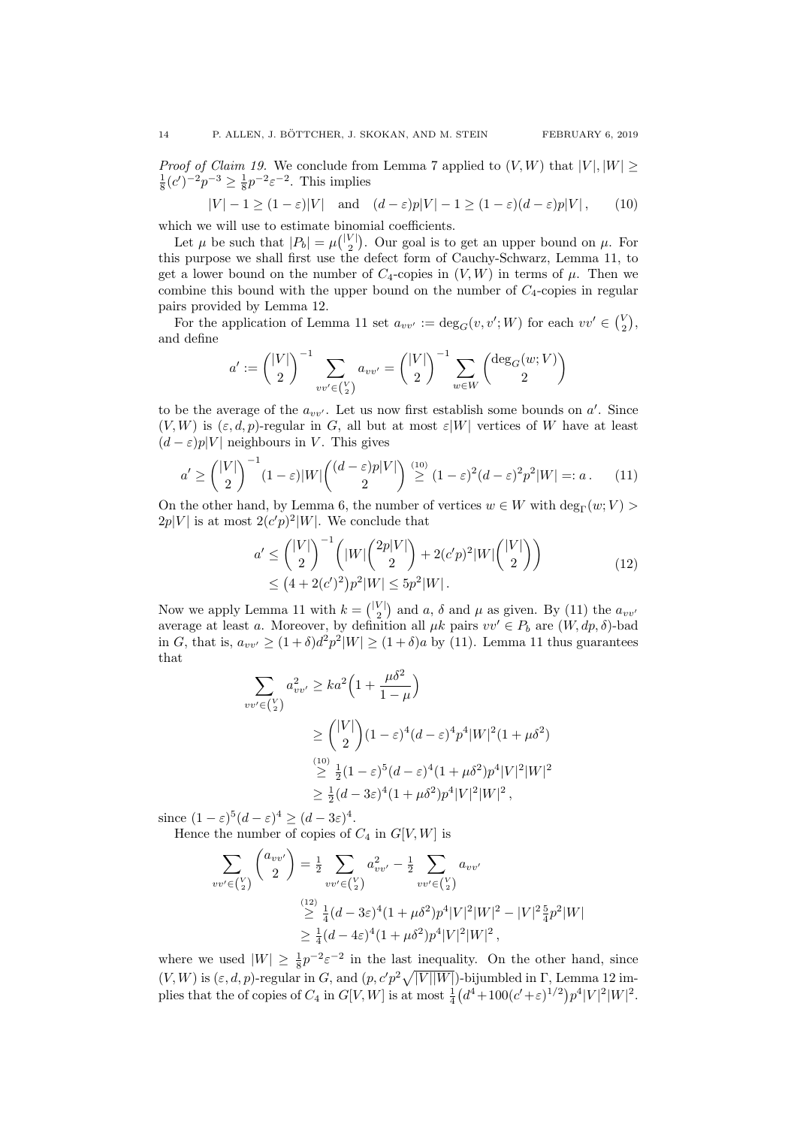*Proof of Claim [19.](#page-12-1)* We conclude from Lemma [7](#page-5-0) applied to  $(V, W)$  that  $|V|, |W| \geq$  $\frac{1}{8}(c')^{-2}p^{-3} \ge \frac{1}{8}p^{-2}\varepsilon^{-2}$ . This implies

<span id="page-13-0"></span>
$$
|V| - 1 \ge (1 - \varepsilon)|V| \quad \text{and} \quad (d - \varepsilon)p|V| - 1 \ge (1 - \varepsilon)(d - \varepsilon)p|V|, \tag{10}
$$

which we will use to estimate binomial coefficients.

Let  $\mu$  be such that  $|P_b| = \mu{\binom{|V|}{2}}$ . Our goal is to get an upper bound on  $\mu$ . For this purpose we shall first use the defect form of Cauchy-Schwarz, Lemma [11,](#page-7-5) to get a lower bound on the number of  $C_4$ -copies in  $(V, W)$  in terms of  $\mu$ . Then we combine this bound with the upper bound on the number of  $C_4$ -copies in regular pairs provided by Lemma [12.](#page-7-2)

For the application of Lemma [11](#page-7-5) set  $a_{vv'} := \deg_G(v, v'; W)$  for each  $vv' \in \binom{V}{2}$ , and define

$$
a' := \binom{|V|}{2}^{-1} \sum_{vv' \in \binom{V}{2}} a_{vv'} = \binom{|V|}{2}^{-1} \sum_{w \in W} \binom{\deg_G(w;V)}{2}
$$

to be the average of the  $a_{vv'}$ . Let us now first establish some bounds on  $a'$ . Since  $(V, W)$  is  $(\varepsilon, d, p)$ -regular in G, all but at most  $\varepsilon |W|$  vertices of W have at least  $(d - \varepsilon)p|V|$  neighbours in V. This gives

<span id="page-13-1"></span>
$$
a' \ge \binom{|V|}{2}^{-1} (1 - \varepsilon)|W| \binom{(d - \varepsilon)p|V|}{2} \stackrel{(10)}{\ge} (1 - \varepsilon)^2 (d - \varepsilon)^2 p^2 |W| =: a. \tag{11}
$$

On the other hand, by Lemma [6,](#page-5-2) the number of vertices  $w \in W$  with  $\deg_{\Gamma}(w; V)$  $2p|V|$  is at most  $2(c'p)^2|W|$ . We conclude that

<span id="page-13-2"></span>
$$
a' \le {\binom{|V|}{2}}^{-1} {\binom{|W|}{2}}^{2p|V|} + 2(c'p)^2|W|{\binom{|V|}{2}}) \le (4 + 2(c')^2)p^2|W| \le 5p^2|W|.
$$
\n(12)

Now we apply Lemma [11](#page-7-5) with  $k = \binom{|V|}{2}$  and  $a, \delta$  and  $\mu$  as given. By [\(11\)](#page-13-1) the  $a_{vv'}$ average at least a. Moreover, by definition all  $\mu k$  pairs  $vv' \in P_b$  are  $(W, dp, \delta)$ -bad in G, that is,  $a_{vv'} \ge (1+\delta)d^2p^2|W| \ge (1+\delta)a$  by [\(11\)](#page-13-1). Lemma [11](#page-7-5) thus guarantees that

$$
\sum_{v' \in {V \choose 2}} a_{vv'}^2 \ge ka^2 \left(1 + \frac{\mu \delta^2}{1 - \mu}\right)
$$
  
\n
$$
\ge {\binom{|V|}{2}} (1 - \varepsilon)^4 (d - \varepsilon)^4 p^4 |W|^2 (1 + \mu \delta^2)
$$
  
\n
$$
\ge \frac{1}{2} (1 - \varepsilon)^5 (d - \varepsilon)^4 (1 + \mu \delta^2) p^4 |V|^2 |W|^2
$$
  
\n
$$
\ge \frac{1}{2} (d - 3\varepsilon)^4 (1 + \mu \delta^2) p^4 |V|^2 |W|^2,
$$

since  $(1 - \varepsilon)^5 (d - \varepsilon)^4 \ge (d - 3\varepsilon)^4$ .

 $\iota$ 

Hence the number of copies of  $C_4$  in  $G[V, W]$  is

$$
\sum_{vv' \in {V \choose 2}} {a_{vv'} \choose 2} = \frac{1}{2} \sum_{vv' \in {V \choose 2}} a_{vv'}^2 - \frac{1}{2} \sum_{vv' \in {V \choose 2}} a_{vv'}
$$
  
\n
$$
\geq \frac{1}{4} (d - 3\varepsilon)^4 (1 + \mu \delta^2) p^4 |V|^2 |W|^2 - |V|^2 \frac{5}{4} p^2 |W|
$$
  
\n
$$
\geq \frac{1}{4} (d - 4\varepsilon)^4 (1 + \mu \delta^2) p^4 |V|^2 |W|^2,
$$

where we used  $|W| \geq \frac{1}{8}p^{-2}\varepsilon^{-2}$  in the last inequality. On the other hand, since  $(V, W)$  is  $(\varepsilon, d, p)$ -regular in G, and  $(p, c'p^2\sqrt{|V||W|})$ -bijumbled in  $\Gamma$ , Lemma [12](#page-7-2) implies that the of copies of  $C_4$  in  $G[V,W]$  is at most  $\frac{1}{4}(d^4+100(c'+\varepsilon)^{1/2})p^4|V|^2|W|^2$ .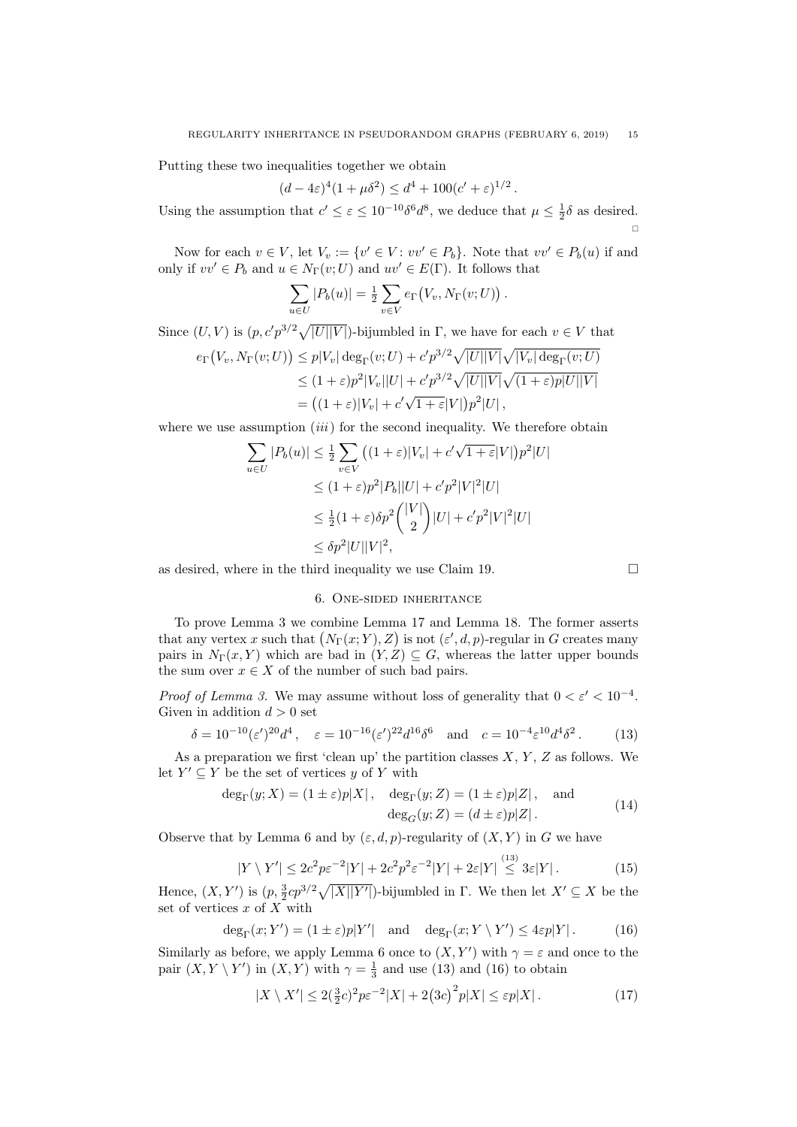Putting these two inequalities together we obtain

$$
(d - 4\varepsilon)^4 (1 + \mu \delta^2) \le d^4 + 100(c' + \varepsilon)^{1/2}.
$$

Using the assumption that  $c' \leq \varepsilon \leq 10^{-10} \delta^6 d^8$ , we deduce that  $\mu \leq \frac{1}{2} \delta$  as desired.  $\Box$ 

Now for each  $v \in V$ , let  $V_v := \{v' \in V : vv' \in P_b\}$ . Note that  $vv' \in P_b(u)$  if and only if  $vv' \in P_b$  and  $u \in N_{\Gamma}(v;U)$  and  $uv' \in E(\Gamma)$ . It follows that

$$
\sum_{u \in U} |P_b(u)| = \frac{1}{2} \sum_{v \in V} e_{\Gamma}(V_v, N_{\Gamma}(v; U)).
$$

Since  $(U, V)$  is  $(p, c'p^{3/2}\sqrt{|U||V|})$ -bijumbled in  $\Gamma$ , we have for each  $v \in V$  that

$$
e_{\Gamma}(V_v, N_{\Gamma}(v; U)) \le p|V_v| \deg_{\Gamma}(v; U) + c' p^{3/2} \sqrt{|U||V|} \sqrt{|V_v| \deg_{\Gamma}(v; U)}
$$
  
\n
$$
\le (1 + \varepsilon)p^2|V_v||U| + c' p^{3/2} \sqrt{|U||V|} \sqrt{(1 + \varepsilon)p|U||V|}
$$
  
\n
$$
= ((1 + \varepsilon)|V_v| + c' \sqrt{1 + \varepsilon}|V|) p^2|U|,
$$

where we use assumption  $(iii)$  $(iii)$  $(iii)$  for the second inequality. We therefore obtain

$$
\sum_{u \in U} |P_b(u)| \le \frac{1}{2} \sum_{v \in V} \left( (1+\varepsilon)|V_v| + c'\sqrt{1+\varepsilon}|V| \right) p^2 |U|
$$
  
\n
$$
\le (1+\varepsilon)p^2 |P_b||U| + c'p^2 |V|^2 |U|
$$
  
\n
$$
\le \frac{1}{2}(1+\varepsilon)\delta p^2 { |V| \choose 2} |U| + c'p^2 |V|^2 |U|
$$
  
\n
$$
\le \delta p^2 |U||V|^2,
$$

<span id="page-14-0"></span>as desired, where in the third inequality we use Claim [19.](#page-12-1)  $\Box$ 

## 6. One-sided inheritance

To prove Lemma [3](#page-2-0) we combine Lemma [17](#page-11-0) and Lemma [18.](#page-12-0) The former asserts that any vertex x such that  $(N_{\Gamma}(x; Y), Z)$  is not  $(\varepsilon', d, p)$ -regular in G creates many pairs in  $N_{\Gamma}(x, Y)$  which are bad in  $(Y, Z) \subseteq G$ , whereas the latter upper bounds the sum over  $x \in X$  of the number of such bad pairs.

*Proof of Lemma [3.](#page-2-0)* We may assume without loss of generality that  $0 < \varepsilon' < 10^{-4}$ . Given in addition  $d > 0$  set

<span id="page-14-1"></span>
$$
\delta = 10^{-10} (\varepsilon')^{20} d^4 \,, \quad \varepsilon = 10^{-16} (\varepsilon')^{22} d^{16} \delta^6 \quad \text{and} \quad c = 10^{-4} \varepsilon^{10} d^4 \delta^2 \,. \tag{13}
$$

As a preparation we first 'clean up' the partition classes  $X, Y, Z$  as follows. We let  $Y' \subseteq Y$  be the set of vertices y of Y with

<span id="page-14-3"></span>
$$
\deg_{\Gamma}(y;X) = (1 \pm \varepsilon)p|X|, \quad \deg_{\Gamma}(y;Z) = (1 \pm \varepsilon)p|Z|, \quad \text{and}
$$

$$
\deg_G(y;Z) = (d \pm \varepsilon)p|Z|.
$$
 (14)

Observe that by Lemma [6](#page-5-2) and by  $(\varepsilon, d, p)$ -regularity of  $(X, Y)$  in G we have

<span id="page-14-5"></span>
$$
|Y \setminus Y'| \le 2c^2 p \varepsilon^{-2} |Y| + 2c^2 p^2 \varepsilon^{-2} |Y| + 2\varepsilon |Y| \stackrel{(13)}{\le} 3\varepsilon |Y| \,. \tag{15}
$$

Hence,  $(X, Y')$  is  $(p, \frac{3}{2}cp^{3/2}\sqrt{|X||Y'|})$ -bijumbled in  $\Gamma$ . We then let  $X' \subseteq X$  be the set of vertices  $x$  of  $X$  with

<span id="page-14-2"></span>
$$
\deg_{\Gamma}(x;Y') = (1 \pm \varepsilon)p|Y'| \text{ and } \deg_{\Gamma}(x;Y \setminus Y') \le 4\varepsilon p|Y|.
$$
 (16)

Similarly as before, we apply Lemma [6](#page-5-2) once to  $(X, Y')$  with  $\gamma = \varepsilon$  and once to the pair  $(X, Y \setminus Y')$  in  $(X, Y)$  with  $\gamma = \frac{1}{3}$  and use [\(13\)](#page-14-1) and [\(16\)](#page-14-2) to obtain

<span id="page-14-4"></span>
$$
|X \setminus X'| \le 2(\frac{3}{2}c)^2 p \varepsilon^{-2} |X| + 2(3c)^2 p |X| \le \varepsilon p |X|.
$$
 (17)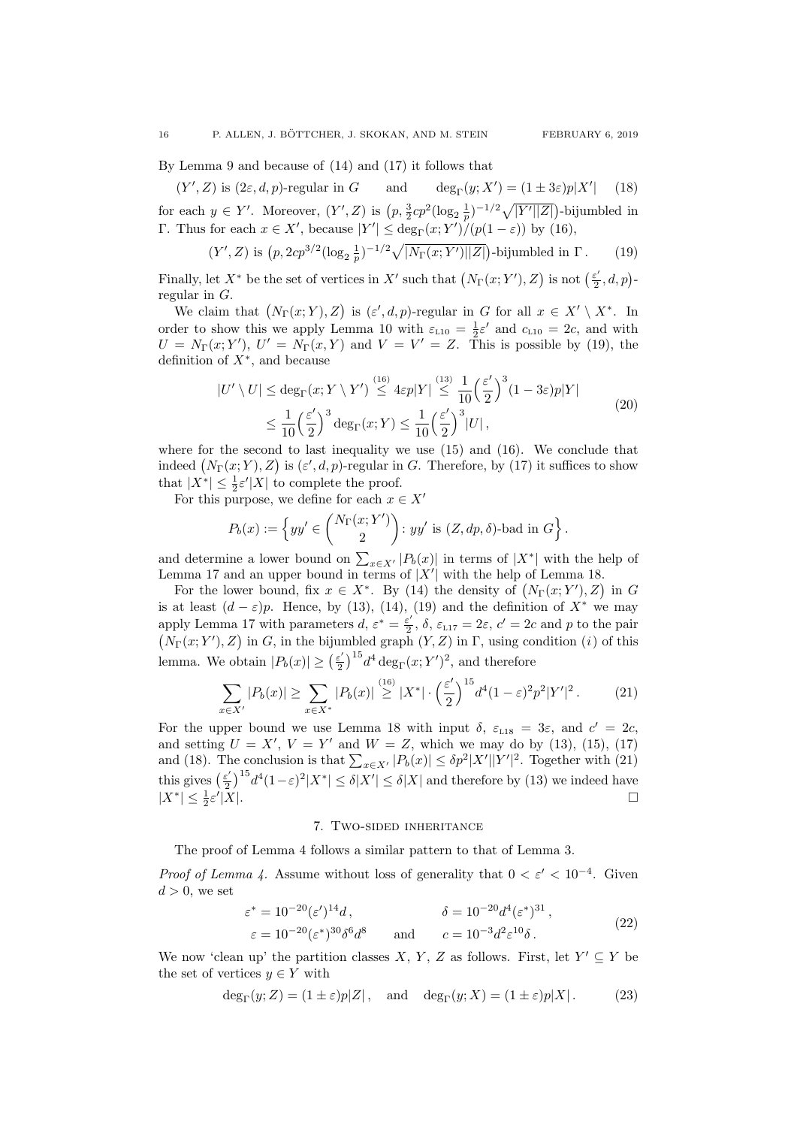By Lemma [9](#page-6-0) and because of [\(14\)](#page-14-3) and [\(17\)](#page-14-4) it follows that

<span id="page-15-2"></span> $(Y', Z)$  is  $(2\varepsilon, d, p)$ -regular in  $G$  and  $deg_{\Gamma}(y; X'')$  $\deg_{\Gamma}(y;X') = (1 \pm 3\varepsilon)p|X'|$  $(18)$ for each  $y \in Y'$ . Moreover,  $(Y', Z)$  is  $\left(p, \frac{3}{2}cp^2(\log_2 \frac{1}{p})^{-1/2}\sqrt{|Y'||Z|}\right)$ -bijumbled in Γ. Thus for each  $x \in X'$ , because  $|Y'|$  ≤ deg<sub>Γ</sub>( $x; Y'$ )/( $p(1 − ε)$ ) by [\(16\)](#page-14-2),

<span id="page-15-1"></span>
$$
(Y', Z)
$$
 is  $(p, 2cp^{3/2}(\log_2 \frac{1}{p})^{-1/2}\sqrt{|N_{\Gamma}(x; Y')||Z|})$ -bijumbled in  $\Gamma$ . (19)

Finally, let  $X^*$  be the set of vertices in  $X'$  such that  $(N_{\Gamma}(x; Y'), Z)$  is not  $\left(\frac{\varepsilon'}{2}\right)$  $\frac{\varepsilon'}{2},d,p$ )regular in G.

We claim that  $(N_{\Gamma}(x; Y), Z)$  is  $(\varepsilon', d, p)$ -regular in G for all  $x \in X' \setminus X^*$ . In order to show this we apply Lemma [10](#page-6-1) with  $\varepsilon_{110} = \frac{1}{2} \varepsilon'$  and  $c_{110} = 2c$ , and with  $U = N_{\Gamma}(x; Y'), U' = N_{\Gamma}(x, Y)$  and  $V = V' = Z$ . This is possible by [\(19\)](#page-15-1), the definition of  $X^*$ , and because

$$
|U' \setminus U| \le \deg_{\Gamma}(x; Y \setminus Y') \stackrel{(16)}{\le} 4\varepsilon p|Y| \stackrel{(13)}{\le} \frac{1}{10} \left(\frac{\varepsilon'}{2}\right)^3 (1 - 3\varepsilon)p|Y|
$$
  

$$
\leq \frac{1}{10} \left(\frac{\varepsilon'}{2}\right)^3 \deg_{\Gamma}(x; Y) \leq \frac{1}{10} \left(\frac{\varepsilon'}{2}\right)^3 |U|,
$$
 (20)

<span id="page-15-6"></span>where for the second to last inequality we use  $(15)$  and  $(16)$ . We conclude that indeed  $(N_{\Gamma}(x;Y), Z)$  is  $(\varepsilon', d, p)$ -regular in G. Therefore, by [\(17\)](#page-14-4) it suffices to show that  $|X^*| \leq \frac{1}{2} \varepsilon' |X|$  to complete the proof.

For this purpose, we define for each  $x \in X'$ 

$$
P_b(x) := \left\{ yy' \in \binom{N_{\Gamma}(x;Y')}{2} : yy' \text{ is } (Z, dp, \delta) \text{-bad in } G \right\}.
$$

and determine a lower bound on  $\sum_{x \in X'} |P_b(x)|$  in terms of  $|X^*|$  with the help of Lemma [17](#page-11-0) and an upper bound in terms of  $|X'|$  with the help of Lemma [18.](#page-12-0)

For the lower bound, fix  $x \in X^*$ . By [\(14\)](#page-14-3) the density of  $(N_{\Gamma}(x;Y'), Z)$  in G is at least  $(d - \varepsilon)p$ . Hence, by [\(13\)](#page-14-1), [\(14\)](#page-14-3), [\(19\)](#page-15-1) and the definition of  $X^*$  we may apply Lemma [17](#page-11-0) with parameters  $d, \varepsilon^* = \frac{\varepsilon^2}{2}$  $\epsilon'_{2}$ ,  $\delta$ ,  $\varepsilon_{L17} = 2\varepsilon$  $\varepsilon_{L17} = 2\varepsilon$  $\varepsilon_{L17} = 2\varepsilon$ ,  $c' = 2c$  and p to the pair  $(N_{\Gamma}(x; Y'), Z)$  $(N_{\Gamma}(x; Y'), Z)$  in G, in the bijumbled graph  $(Y, Z)$  in  $\Gamma$ , using condition (i) of this lemma. We obtain  $|P_b(x)| \geq \left(\frac{\varepsilon^2}{2}\right)$  $\frac{\varepsilon'}{2}$ )<sup>15</sup> $d^4$  deg<sub>Γ</sub>(*x*; *Y'*)<sup>2</sup>, and therefore

<span id="page-15-3"></span>
$$
\sum_{x \in X'} |P_b(x)| \ge \sum_{x \in X^*} |P_b(x)| \stackrel{(16)}{\ge} |X^*| \cdot \left(\frac{\varepsilon'}{2}\right)^{15} d^4 (1 - \varepsilon)^2 p^2 |Y'|^2. \tag{21}
$$

For the upper bound we use Lemma [18](#page-12-0) with input  $\delta$ ,  $\varepsilon_{118} = 3\varepsilon$ , and  $c' = 2c$ , and setting  $U = X'$ ,  $V = Y'$  and  $W = Z$ , which we may do by [\(13\)](#page-14-1), [\(15\)](#page-14-5), [\(17\)](#page-14-4) and [\(18\)](#page-15-2). The conclusion is that  $\sum_{x \in X'} |P_b(x)| \leq \delta p^2 |X'||Y'|^2$ . Together with [\(21\)](#page-15-3) this gives  $(\frac{\varepsilon'}{2})$  $\frac{\varepsilon'}{2}$ )<sup>15</sup> $d^4(1-\varepsilon)^2|X^*| \le \delta|X'| \le \delta|X|$  and therefore by [\(13\)](#page-14-1) we indeed have  $|X^*| \leq \frac{1}{2}\varepsilon'$  $|X|$ .

### 7. Two-sided inheritance

<span id="page-15-0"></span>The proof of Lemma [4](#page-2-1) follows a similar pattern to that of Lemma [3.](#page-2-0)

*Proof of Lemma [4.](#page-2-1)* Assume without loss of generality that  $0 < \varepsilon' < 10^{-4}$ . Given  $d > 0$ , we set

<span id="page-15-4"></span>
$$
\varepsilon^* = 10^{-20} (\varepsilon')^{14} d, \qquad \delta = 10^{-20} d^4 (\varepsilon^*)^{31}, \n\varepsilon = 10^{-20} (\varepsilon^*)^{30} \delta^6 d^8 \qquad \text{and} \qquad c = 10^{-3} d^2 \varepsilon^{10} \delta.
$$
\n(22)

We now 'clean up' the partition classes X, Y, Z as follows. First, let  $Y' \subseteq Y$  be the set of vertices  $y \in Y$  with

<span id="page-15-5"></span>
$$
\deg_{\Gamma}(y; Z) = (1 \pm \varepsilon)p|Z|, \text{ and } \deg_{\Gamma}(y; X) = (1 \pm \varepsilon)p|X|.
$$
 (23)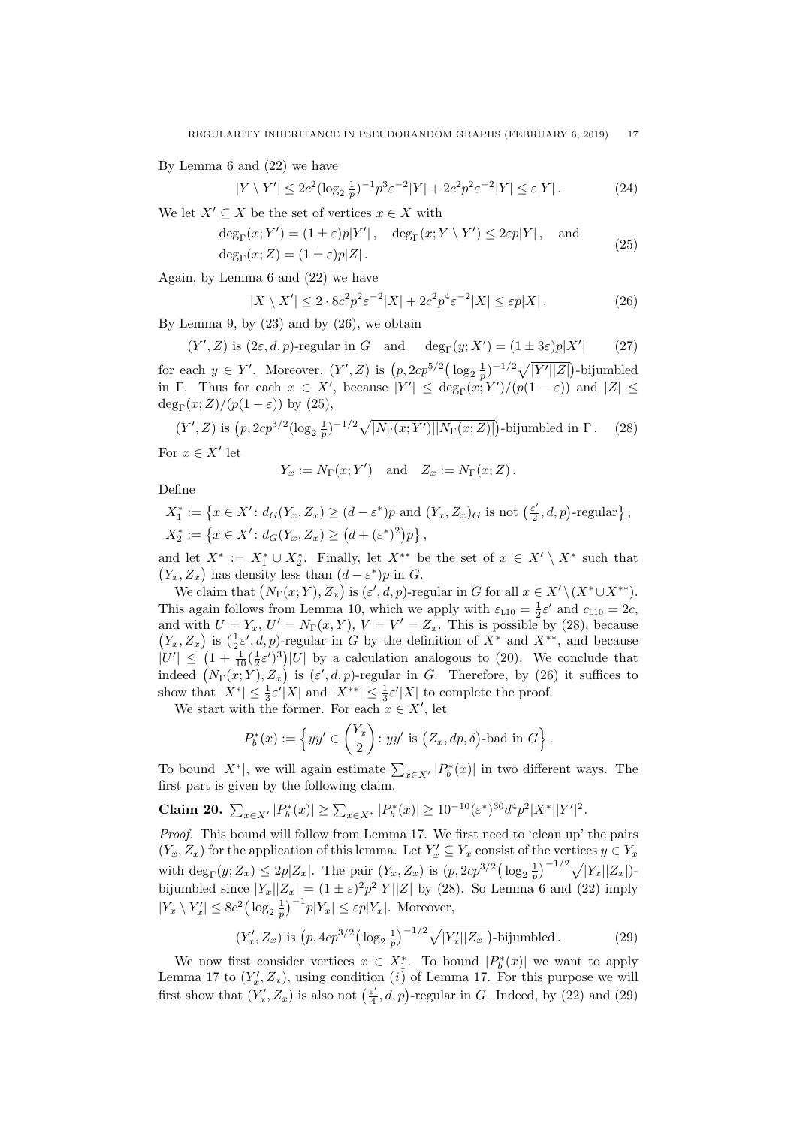By Lemma [6](#page-5-2) and [\(22\)](#page-15-4) we have

$$
|Y \setminus Y'| \le 2c^2 (\log_2 \frac{1}{p})^{-1} p^3 \varepsilon^{-2} |Y| + 2c^2 p^2 \varepsilon^{-2} |Y| \le \varepsilon |Y|.
$$
 (24)

<span id="page-16-1"></span>We let  $X' \subseteq X$  be the set of vertices  $x \in X$  with

$$
\deg_{\Gamma}(x;Y') = (1 \pm \varepsilon)p|Y'|, \quad \deg_{\Gamma}(x;Y \setminus Y') \le 2\varepsilon p|Y|, \text{ and}
$$
  

$$
\deg_{\Gamma}(x;Z) = (1 \pm \varepsilon)p|Z|.
$$
 (25)

Again, by Lemma [6](#page-5-2) and [\(22\)](#page-15-4) we have

<span id="page-16-0"></span>
$$
|X \setminus X'| \le 2 \cdot 8c^2 p^2 \varepsilon^{-2} |X| + 2c^2 p^4 \varepsilon^{-2} |X| \le \varepsilon p |X|.
$$
 (26)

By Lemma [9,](#page-6-0) by  $(23)$  and by  $(26)$ , we obtain

<span id="page-16-4"></span>
$$
(Y', Z) \text{ is } (2\varepsilon, d, p)\text{-regular in } G \quad \text{and} \quad \deg_{\Gamma}(y; X') = (1 \pm 3\varepsilon)p|X'| \tag{27}
$$

for each  $y \in Y'$ . Moreover,  $(Y', Z)$  is  $\left(p, 2cp^{5/2}(\log_2 \frac{1}{p})^{-1/2}\sqrt{|Y'||Z|}\right)$ -bijumbled in Γ. Thus for each  $x \in X'$ , because  $|Y'| \leq \deg_{\Gamma}(x;Y')/(p(1-\varepsilon))$  and  $|Z| \leq$ deg<sub>Γ</sub> $(x;Z)/(p(1-\varepsilon))$  by [\(25\)](#page-16-1),

<span id="page-16-2"></span>
$$
(Y', Z) \text{ is } (p, 2cp^{3/2} (\log_2 \frac{1}{p})^{-1/2} \sqrt{|N_{\Gamma}(x; Y')||N_{\Gamma}(x; Z)|})\text{-bijumbled in } \Gamma. \tag{28}
$$

For  $x \in X'$  let

$$
Y_x := N_{\Gamma}(x;Y') \quad \text{and} \quad Z_x := N_{\Gamma}(x;Z).
$$

Define

$$
X_1^* := \left\{ x \in X' : d_G(Y_x, Z_x) \ge (d - \varepsilon^*)p \text{ and } (Y_x, Z_x)_G \text{ is not } \left(\frac{\varepsilon'}{2}, d, p\right) \text{-regular} \right\},
$$
  

$$
X_2^* := \left\{ x \in X' : d_G(Y_x, Z_x) \ge (d + (\varepsilon^*)^2)p \right\},
$$

and let  $X^* := X_1^* \cup X_2^*$ . Finally, let  $X^{**}$  be the set of  $x \in X' \setminus X^*$  such that  $(Y_x, Z_x)$  has density less than  $(d - \varepsilon^*)p$  in G.

We claim that  $(N_{\Gamma}(x; Y), Z_x)$  is  $(\varepsilon', d, p)$ -regular in G for all  $x \in X' \setminus (X^* \cup X^{**})$ . This again follows from Lemma [10,](#page-6-1) which we apply with  $\varepsilon_{L10} = \frac{1}{2} \varepsilon'$  $\varepsilon_{L10} = \frac{1}{2} \varepsilon'$  $\varepsilon_{L10} = \frac{1}{2} \varepsilon'$  and  $c_{L10} = 2c$ , and with  $U = Y_x$ ,  $U' = N_{\Gamma}(x, Y)$ ,  $V = V' = Z_x$ . This is possible by [\(28\)](#page-16-2), because  $(Y_x, Z_x)$  is  $(\frac{1}{2}\varepsilon', d, p)$ -regular in G by the definition of  $X^*$  and  $X^{**}$ , and because  $|U'| \leq (1 + \frac{1}{10}(\frac{1}{2}\varepsilon')^3)|U|$  by a calculation analogous to [\(20\)](#page-15-6). We conclude that indeed  $(N_{\Gamma}(x;Y), Z_x)$  is  $(\varepsilon', d, p)$ -regular in G. Therefore, by [\(26\)](#page-16-0) it suffices to show that  $|X^*| \leq \frac{1}{3} \varepsilon' |X|$  and  $|X^{**}| \leq \frac{1}{3} \varepsilon' |X|$  to complete the proof.

We start with the former. For each  $x \in X'$ , let

$$
P_b^*(x) := \left\{ yy' \in \binom{Y_x}{2} : yy' \text{ is } (Z_x, dp, \delta) \text{-bad in } G \right\}.
$$

To bound  $|X^*|$ , we will again estimate  $\sum_{x \in X'} |P_b^*(x)|$  in two different ways. The first part is given by the following claim.

<span id="page-16-5"></span>**Claim 20.** 
$$
\sum_{x \in X'} |P_b^*(x)| \ge \sum_{x \in X^*} |P_b^*(x)| \ge 10^{-10} (\varepsilon^*)^{30} d^4 p^2 |X^*||Y'|^2.
$$

Proof. This bound will follow from Lemma [17.](#page-11-0) We first need to 'clean up' the pairs  $(Y_x, Z_x)$  for the application of this lemma. Let  $Y'_x \subseteq Y_x$  consist of the vertices  $y \in Y_x$ with  $\deg_{\Gamma}(y; Z_x) \leq 2p|Z_x|$ . The pair  $(Y_x, Z_x)$  is  $(p, 2cp^{3/2} (\log_2 \frac{1}{p})^{-1/2} \sqrt{|Y_x||Z_x|})$ bijumbled since  $|Y_x||Z_x| = (1 \pm \varepsilon)^2 p^2 |Y||Z|$  by [\(28\)](#page-16-2). So Lemma [6](#page-5-2) and [\(22\)](#page-15-4) imply  $|Y_x \setminus Y'_x| \leq 8c^2 \left(\log_2 \frac{1}{p}\right)^{-1} p|Y_x| \leq \varepsilon p|Y_x|$ . Moreover,

<span id="page-16-3"></span>
$$
(Y'_x, Z_x)
$$
 is  $(p, 4cp^{3/2} (\log_2 \frac{1}{p})^{-1/2} \sqrt{|Y'_x||Z_x|})$ -bijumbled. (29)

We now first consider vertices  $x \in X_1^*$ . To bound  $|P_b^*(x)|$  we want to apply Lemma [17](#page-11-0) to  $(Y'_x, Z_x)$  $(Y'_x, Z_x)$ , using condition (*i*) of Lemma [17.](#page-11-0) For this purpose we will first show that  $(Y_x', Z_x)$  is also not  $\left(\frac{\varepsilon'}{4}\right)$  $\frac{\varepsilon'}{4}$ , d, p)-regular in G. Indeed, by [\(22\)](#page-15-4) and [\(29\)](#page-16-3)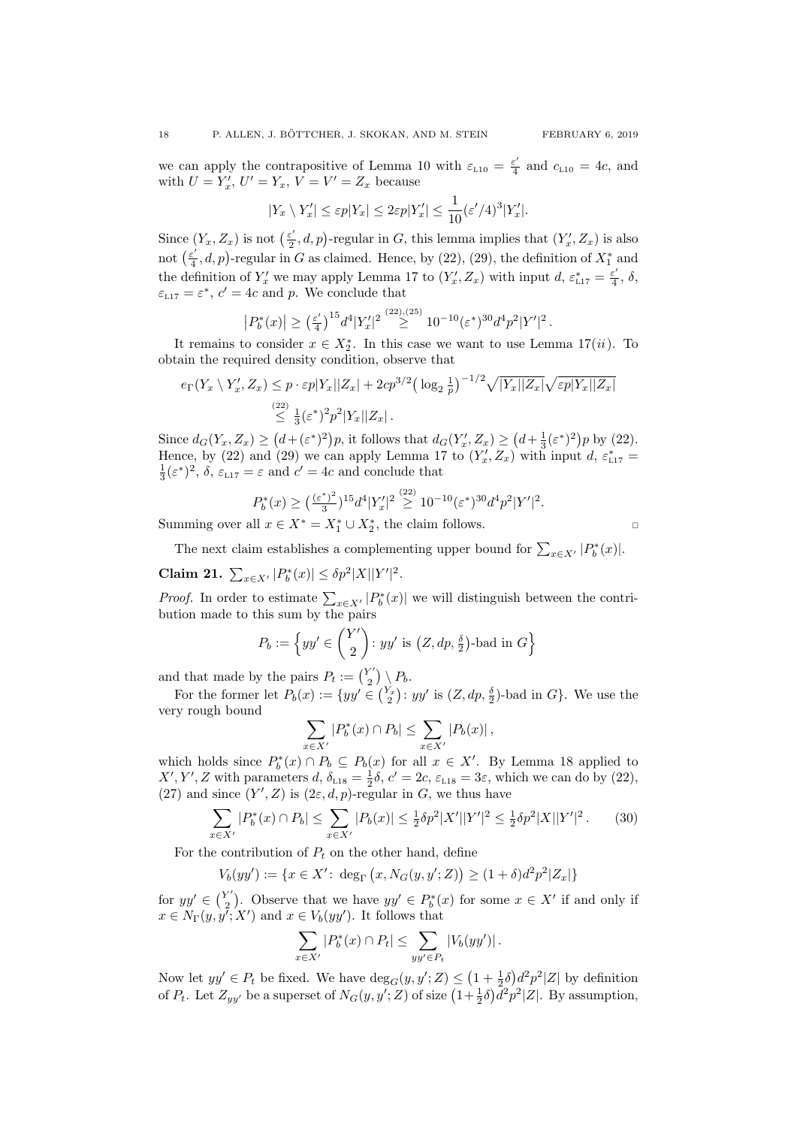we can apply the contrapositive of Lemma [10](#page-6-1) with  $\varepsilon_{L10} = \frac{\varepsilon^2}{4}$  $\frac{\varepsilon}{4}$  and  $c_{L10} = 4c$  $c_{L10} = 4c$  $c_{L10} = 4c$ , and with  $U = Y'_x, U' = Y_x, V = V' = Z_x$  because

$$
|Y_x \setminus Y'_x| \le \varepsilon p |Y_x| \le 2\varepsilon p |Y'_x| \le \frac{1}{10} (\varepsilon'/4)^3 |Y'_x|.
$$

Since  $(Y_x, Z_x)$  is not  $\left(\frac{\varepsilon'}{2}\right)$  $(\underline{z}', d, p)$ -regular in G, this lemma implies that  $(Y_x', Z_x)$  is also not  $\left(\frac{\varepsilon'}{\overline{A}}\right)$  $\frac{\varepsilon'}{4}$ , d, p)-regular in G as claimed. Hence, by [\(22\)](#page-15-4), [\(29\)](#page-16-3), the definition of  $X_1^*$  and the definition of  $Y'_x$  we may apply Lemma [17](#page-11-0) to  $(Y'_x, Z_x)$  with input  $d, \varepsilon_{L17}^* = \frac{\varepsilon^2}{4}$  $\frac{\varepsilon}{4}$ ,  $\delta$ ,  $\varepsilon_{L17} = \varepsilon^*$  $\varepsilon_{L17} = \varepsilon^*$  $\varepsilon_{L17} = \varepsilon^*$ ,  $c' = 4c$  and p. We conclude that

$$
\left| P_b^*(x) \right| \ge \left( \frac{\varepsilon'}{4} \right)^{15} d^4 |Y'_x|^2 \stackrel{(22),(25)}{\ge} 10^{-10} (\varepsilon^*)^{30} d^4 p^2 |Y'|^2 \, .
$$

It remains to consider  $x \in X_2^*$ . In this case we want to use Lemma [17\(](#page-11-0)*[ii](#page-11-2)*). To obtain the required density condition, observe that

$$
e_{\Gamma}(Y_x \setminus Y'_x, Z_x) \le p \cdot \varepsilon p |Y_x||Z_x| + 2cp^{3/2} \left(\log_2 \frac{1}{p}\right)^{-1/2} \sqrt{|Y_x||Z_x|} \sqrt{\varepsilon p |Y_x||Z_x|} \n\le \frac{(22)}{3} \left(\varepsilon^*\right)^2 p^2 |Y_x||Z_x|.
$$

Since  $d_G(Y_x, Z_x) \geq (d+(\varepsilon^*)^2)p$ , it follows that  $d_G(Y'_x, Z_x) \geq (d+\frac{1}{3}(\varepsilon^*)^2)p$  by [\(22\)](#page-15-4). Hence, by [\(22\)](#page-15-4) and [\(29\)](#page-16-3) we can apply Lemma [17](#page-11-0) to  $(Y_x', Z_x)$  with input d,  $\varepsilon_{117}^* =$  $\frac{1}{3}(\varepsilon^*)^2$ ,  $\delta$ ,  $\varepsilon_{L17} = \varepsilon$  $\varepsilon_{L17} = \varepsilon$  $\varepsilon_{L17} = \varepsilon$  and  $c' = 4c$  and conclude that

$$
P_b^*(x) \ge \left(\frac{(\varepsilon^*)^2}{3}\right)^{15} d^4 |Y'_x|^2 \stackrel{(22)}{\ge} 10^{-10} (\varepsilon^*)^{30} d^4 p^2 |Y'|^2.
$$

Summing over all  $x \in X^* = X_1^* \cup X_2^*$ , the claim follows.

The next claim establishes a complementing upper bound for  $\sum_{x \in X'} |P_b^*(x)|$ .

<span id="page-17-1"></span>Claim 21.  $\sum_{x \in X'} |P_b^*(x)| \leq \delta p^2 |X||Y'|^2$ .

*Proof.* In order to estimate  $\sum_{x \in X'} |P_b^*(x)|$  we will distinguish between the contribution made to this sum by the pairs

$$
P_b := \left\{ yy' \in \binom{Y'}{2} \colon yy' \text{ is } \left(Z, dp, \frac{\delta}{2}\right) \text{-bad in } G\right\}
$$

and that made by the pairs  $P_t := \binom{Y'}{2}$  ${Y' \choose 2} \setminus P_b.$ 

For the former let  $P_b(x) := \{yy' \in {Y_x \choose 2} : yy'$  is  $(Z, dp, \frac{\delta}{2})$ -bad in  $G\}$ . We use the very rough bound

$$
\sum_{x \in X'} |P_b^*(x) \cap P_b| \leq \sum_{x \in X'} |P_b(x)|,
$$

which holds since  $P_b^*(x) \cap P_b \subseteq P_b(x)$  for all  $x \in X'$ . By Lemma [18](#page-12-0) applied to  $X', Y', Z$  with parameters d,  $\delta_{L18} = \frac{1}{2}\delta$  $\delta_{L18} = \frac{1}{2}\delta$  $\delta_{L18} = \frac{1}{2}\delta$ ,  $c' = 2c$ ,  $\varepsilon_{L18} = 3\varepsilon$ , which we can do by [\(22\)](#page-15-4), [\(27\)](#page-16-4) and since  $(Y', Z)$  is  $(2\varepsilon, d, p)$ -regular in G, we thus have

<span id="page-17-0"></span>
$$
\sum_{x \in X'} |P_b^*(x) \cap P_b| \le \sum_{x \in X'} |P_b(x)| \le \frac{1}{2} \delta p^2 |X'||Y'|^2 \le \frac{1}{2} \delta p^2 |X||Y'|^2. \tag{30}
$$

For the contribution of  $P_t$  on the other hand, define

$$
V_b(yy') := \{ x \in X' : \deg_{\Gamma}(x, N_G(y, y'; Z)) \ge (1 + \delta) d^2 p^2 |Z_x| \}
$$

for  $yy' \in \binom{Y'}{2}$ <sup>2'</sup>). Observe that we have  $yy' \in P_b^*(x)$  for some  $x \in X'$  if and only if  $x \in N_{\Gamma}(y, y^{\tau}; X^{\prime})$  and  $x \in V_b(yy^{\prime})$ . It follows that

$$
\sum_{x \in X'} |P_b^*(x) \cap P_t| \leq \sum_{yy' \in P_t} |V_b(yy')|.
$$

Now let  $yy' \in P_t$  be fixed. We have  $\deg_G(y, y'; Z) \leq (1 + \frac{1}{2}\delta)d^2p^2|Z|$  by definition of  $P_t$ . Let  $Z_{yy'}$  be a superset of  $N_G(y, y'; Z)$  of size  $(1 + \frac{1}{2}\delta)d^2p^2|Z|$ . By assumption,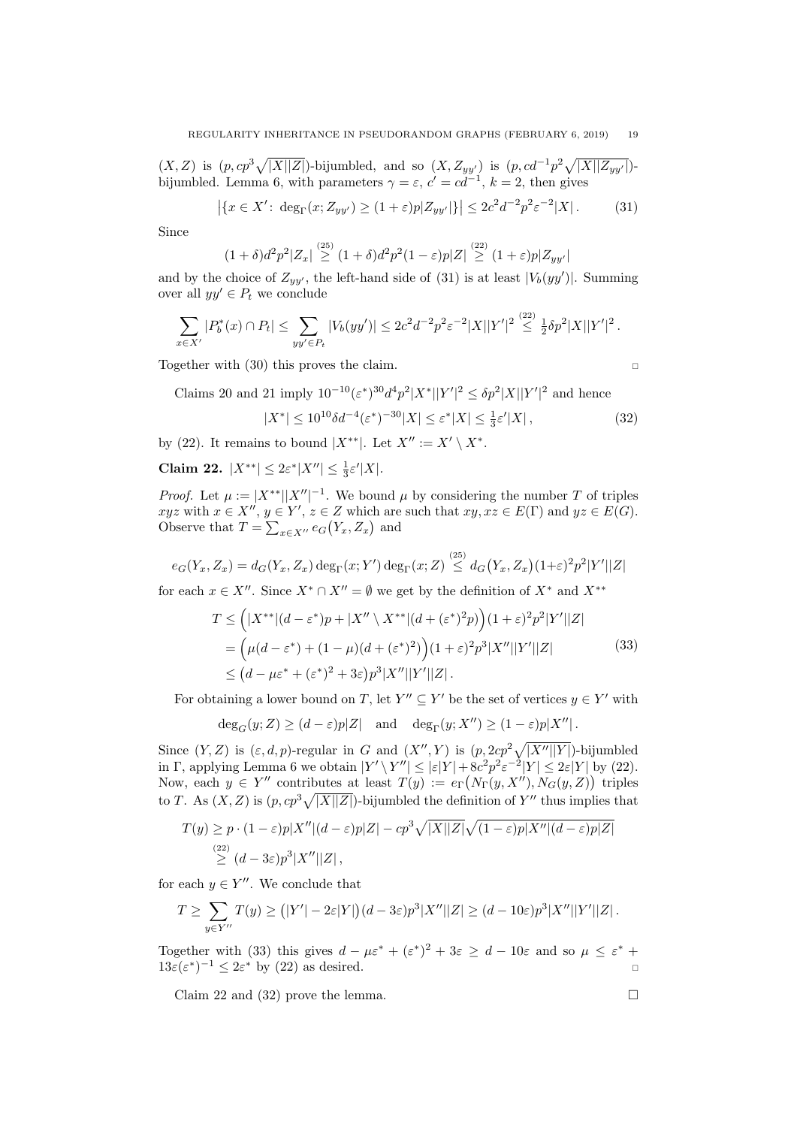$(X,Z)$  is  $(p, cp^3\sqrt{|X||Z|})$ -bijumbled, and so  $(X,Z_{yy'})$  is  $(p, cd^{-1}p^2\sqrt{|X||Z_{yy'}|})$ -bijumbled. Lemma [6,](#page-5-2) with parameters  $\gamma = \varepsilon$ ,  $c' = cd^{-1}$ ,  $k = 2$ , then gives

<span id="page-18-0"></span>
$$
|\{x \in X': \deg_{\Gamma}(x; Z_{yy'}) \ge (1+\varepsilon)p|Z_{yy'}|\}| \le 2c^2 d^{-2} p^2 \varepsilon^{-2} |X|.
$$
 (31)

Since

$$
(1+\delta)d^2p^2|Z_x| \stackrel{(25)}{\geq} (1+\delta)d^2p^2(1-\varepsilon)p|Z| \stackrel{(22)}{\geq} (1+\varepsilon)p|Z_{yy'}|
$$

and by the choice of  $Z_{yy'}$ , the left-hand side of [\(31\)](#page-18-0) is at least  $|V_b(yy')|$ . Summing over all  $yy' \in P_t$  we conclude

$$
\sum_{x \in X'} |P_b^*(x) \cap P_t| \leq \sum_{yy' \in P_t} |V_b(yy')| \leq 2c^2 d^{-2} p^2 \varepsilon^{-2} |X||Y'|^2 \stackrel{(22)}{\leq} \frac{1}{2} \delta p^2 |X||Y'|^2.
$$

Together with [\(30\)](#page-17-0) this proves the claim.

Claims [20](#page-16-5) and [21](#page-17-1) imply  $10^{-10} (\varepsilon^*)^{30} d^4 p^2 |X^*||Y'|^2 \leq \delta p^2 |X||Y'|^2$  and hence

<span id="page-18-3"></span>
$$
|X^*| \le 10^{10} \delta d^{-4} (\varepsilon^*)^{-30} |X| \le \varepsilon^* |X| \le \frac{1}{3} \varepsilon' |X| \,, \tag{32}
$$

by [\(22\)](#page-15-4). It remains to bound  $|X^{**}|$ . Let  $X'' := X' \setminus X^*$ .

<span id="page-18-2"></span>Claim 22.  $|X^{**}| \leq 2\varepsilon^* |X''| \leq \frac{1}{3}\varepsilon' |X|$ .

*Proof.* Let  $\mu := |X^{**}| |X''|^{-1}$ . We bound  $\mu$  by considering the number T of triples  $xyz$  with  $x \in X''$ ,  $y \in Y'$ ,  $z \in Z$  which are such that  $xy, xz \in E(\Gamma)$  and  $yz \in E(G)$ . Observe that  $T = \sum_{x \in X''} e_G(Y_x, Z_x)$  and

$$
e_G(Y_x, Z_x) = d_G(Y_x, Z_x) \deg_{\Gamma}(x; Y') \deg_{\Gamma}(x; Z) \stackrel{(25)}{\leq} d_G(Y_x, Z_x) (1+\varepsilon)^2 p^2 |Y'||Z|
$$

<span id="page-18-1"></span>for each  $x \in X''$ . Since  $X^* \cap X'' = \emptyset$  we get by the definition of  $X^*$  and  $X^{**}$ 

$$
T \leq (|X^{**}|(d-\varepsilon^*)p + |X'' \setminus X^{**}|(d+(\varepsilon^*)^2p))(1+\varepsilon)^2p^2|Y'||Z|
$$
  
= 
$$
(\mu(d-\varepsilon^*) + (1-\mu)(d+(\varepsilon^*)^2))(1+\varepsilon)^2p^3|X''||Y'||Z|
$$
  

$$
\leq (d-\mu\varepsilon^*+(\varepsilon^*)^2+3\varepsilon)p^3|X''||Y'||Z|.
$$
 (33)

For obtaining a lower bound on T, let  $Y'' \subseteq Y'$  be the set of vertices  $y \in Y'$  with

 $\deg_G(y;Z) \geq (d-\varepsilon)p|Z|$  and  $\deg_{\Gamma}(y;X'') \geq (1-\varepsilon)p|X''|$ .

Since  $(Y, Z)$  is  $(\varepsilon, d, p)$ -regular in G and  $(X'', Y)$  is  $(p, 2cp^2\sqrt{|X''||Y|})$ -bijumbled in Γ, applying Lemma [6](#page-5-2) we obtain  $|Y' \setminus Y''| \leq |\varepsilon|Y| + 8c^2 p^2 \varepsilon^{-2} |Y| \leq 2\varepsilon |Y|$  by [\(22\)](#page-15-4). Now, each  $y \in Y''$  contributes at least  $T(y) := e_{\Gamma}(N_{\Gamma}(y, X''), N_G(y, Z))$  triples to T. As  $(X, Z)$  is  $(p, cp^3\sqrt{|X||Z|})$ -bijumbled the definition of Y'' thus implies that

$$
T(y) \ge p \cdot (1 - \varepsilon)p|X''|(d - \varepsilon)p|Z| - cp^3\sqrt{|X||Z|}\sqrt{(1 - \varepsilon)p|X''|(d - \varepsilon)p|Z|}
$$
  
\n
$$
\ge (d - 3\varepsilon)p^3|X''||Z|,
$$

for each  $y \in Y''$ . We conclude that

$$
T \ge \sum_{y \in Y''} T(y) \ge (|Y'| - 2\varepsilon|Y|)(d - 3\varepsilon)p^{3}|X''||Z| \ge (d - 10\varepsilon)p^{3}|X''||Y'||Z|.
$$

Together with [\(33\)](#page-18-1) this gives  $d - \mu \varepsilon^* + (\varepsilon^*)^2 + 3\varepsilon \geq d - 10\varepsilon$  and so  $\mu \leq \varepsilon^*$  +  $13\varepsilon(\varepsilon^*)^{-1} \leq 2\varepsilon^*$  by [\(22\)](#page-15-4) as desired.

Claim [22](#page-18-2) and [\(32\)](#page-18-3) prove the lemma.

$$
\Box
$$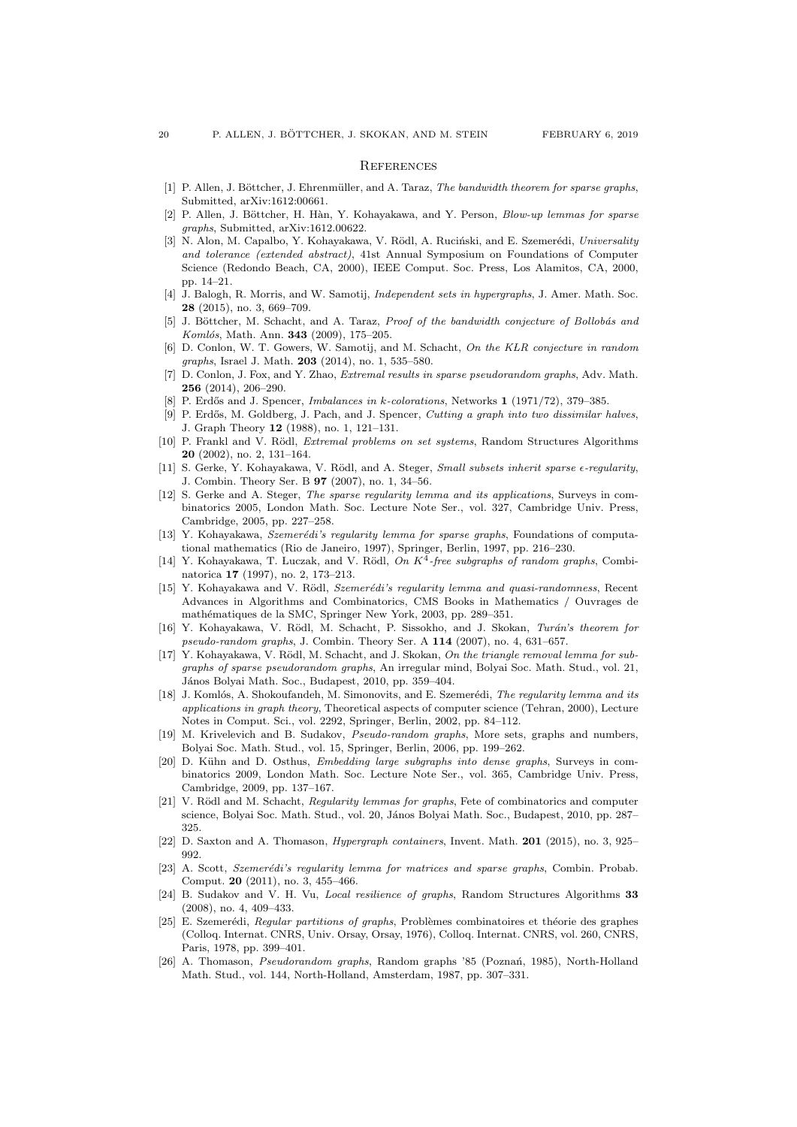#### **REFERENCES**

- <span id="page-19-18"></span>[1] P. Allen, J. Böttcher, J. Ehrenmüller, and A. Taraz, The bandwidth theorem for sparse graphs. Submitted, arXiv:1612:00661.
- <span id="page-19-17"></span>[2] P. Allen, J. Böttcher, H. Hàn, Y. Kohayakawa, and Y. Person, Blow-up lemmas for sparse graphs, Submitted, arXiv:1612.00622.
- <span id="page-19-19"></span>[3] N. Alon, M. Capalbo, Y. Kohayakawa, V. Rödl, A. Ruciński, and E. Szemerédi, Universality and tolerance (extended abstract), 41st Annual Symposium on Foundations of Computer Science (Redondo Beach, CA, 2000), IEEE Comput. Soc. Press, Los Alamitos, CA, 2000, pp. 14–21.
- <span id="page-19-9"></span>[4] J. Balogh, R. Morris, and W. Samotij, Independent sets in hypergraphs, J. Amer. Math. Soc. 28 (2015), no. 3, 669–709.
- <span id="page-19-21"></span>J. Böttcher, M. Schacht, and A. Taraz, Proof of the bandwidth conjecture of Bollobás and Komlós, Math. Ann. **343** (2009), 175-205.
- <span id="page-19-10"></span>[6] D. Conlon, W. T. Gowers, W. Samotij, and M. Schacht, On the KLR conjecture in random graphs, Israel J. Math. 203 (2014), no. 1, 535–580.
- <span id="page-19-7"></span>[7] D. Conlon, J. Fox, and Y. Zhao, *Extremal results in sparse pseudorandom graphs*, Adv. Math. 256 (2014), 206–290.
- <span id="page-19-23"></span>[8] P. Erdős and J. Spencer, *Imbalances in k-colorations*, Networks 1 (1971/72), 379–385.
- <span id="page-19-24"></span>[9] P. Erdős, M. Goldberg, J. Pach, and J. Spencer, Cutting a graph into two dissimilar halves, J. Graph Theory 12 (1988), no. 1, 121–131.
- <span id="page-19-25"></span>[10] P. Frankl and V. Rödl, *Extremal problems on set systems*, Random Structures Algorithms 20 (2002), no. 2, 131–164.
- <span id="page-19-15"></span>[11] S. Gerke, Y. Kohayakawa, V. Rödl, and A. Steger, Small subsets inherit sparse  $\epsilon$ -regularity, J. Combin. Theory Ser. B 97 (2007), no. 1, 34–56.
- <span id="page-19-0"></span>[12] S. Gerke and A. Steger, The sparse regularity lemma and its applications, Surveys in combinatorics 2005, London Math. Soc. Lecture Note Ser., vol. 327, Cambridge Univ. Press, Cambridge, 2005, pp. 227–258.
- <span id="page-19-5"></span>[13] Y. Kohayakawa, Szemerédi's regularity lemma for sparse graphs, Foundations of computational mathematics (Rio de Janeiro, 1997), Springer, Berlin, 1997, pp. 216–230.
- <span id="page-19-8"></span>[14] Y. Kohayakawa, T. Luczak, and V. Rödl, On  $K^4$ -free subgraphs of random graphs, Combinatorica 17 (1997), no. 2, 173–213.
- <span id="page-19-1"></span>[15] Y. Kohayakawa and V. Rödl, Szemerédi's regularity lemma and quasi-randomness, Recent Advances in Algorithms and Combinatorics, CMS Books in Mathematics / Ouvrages de mathématiques de la SMC, Springer New York, 2003, pp. 289-351.
- <span id="page-19-14"></span>[16] Y. Kohayakawa, V. Rödl, M. Schacht, P. Sissokho, and J. Skokan, Turán's theorem for pseudo-random graphs, J. Combin. Theory Ser. A 114 (2007), no. 4, 631–657.
- <span id="page-19-22"></span>[17] Y. Kohayakawa, V. Rödl, M. Schacht, and J. Skokan, On the triangle removal lemma for subgraphs of sparse pseudorandom graphs, An irregular mind, Bolyai Soc. Math. Stud., vol. 21, János Bolyai Math. Soc., Budapest, 2010, pp. 359–404.
- <span id="page-19-2"></span>[18] J. Komlós, A. Shokoufandeh, M. Simonovits, and E. Szemerédi, The regularity lemma and its applications in graph theory, Theoretical aspects of computer science (Tehran, 2000), Lecture Notes in Comput. Sci., vol. 2292, Springer, Berlin, 2002, pp. 84–112.
- <span id="page-19-13"></span>[19] M. Krivelevich and B. Sudakov, Pseudo-random graphs, More sets, graphs and numbers, Bolyai Soc. Math. Stud., vol. 15, Springer, Berlin, 2006, pp. 199–262.
- <span id="page-19-16"></span>[20] D. Kühn and D. Osthus, Embedding large subgraphs into dense graphs, Surveys in combinatorics 2009, London Math. Soc. Lecture Note Ser., vol. 365, Cambridge Univ. Press, Cambridge, 2009, pp. 137–167.
- <span id="page-19-3"></span>[21] V. Rödl and M. Schacht, Regularity lemmas for graphs, Fete of combinatorics and computer science, Bolyai Soc. Math. Stud., vol. 20, János Bolyai Math. Soc., Budapest, 2010, pp. 287– 325.
- <span id="page-19-11"></span>[22] D. Saxton and A. Thomason, *Hypergraph containers*, Invent. Math. **201** (2015), no. 3, 925– 992.
- <span id="page-19-6"></span>[23] A. Scott, Szemerédi's regularity lemma for matrices and sparse graphs, Combin. Probab. Comput. 20 (2011), no. 3, 455–466.
- <span id="page-19-20"></span>[24] B. Sudakov and V. H. Vu, *Local resilience of graphs*, Random Structures Algorithms 33 (2008), no. 4, 409–433.
- <span id="page-19-4"></span>[25] E. Szemerédi, Regular partitions of graphs, Problèmes combinatoires et théorie des graphes (Colloq. Internat. CNRS, Univ. Orsay, Orsay, 1976), Colloq. Internat. CNRS, vol. 260, CNRS, Paris, 1978, pp. 399–401.
- <span id="page-19-12"></span>[26] A. Thomason, Pseudorandom graphs, Random graphs '85 (Poznań, 1985), North-Holland Math. Stud., vol. 144, North-Holland, Amsterdam, 1987, pp. 307–331.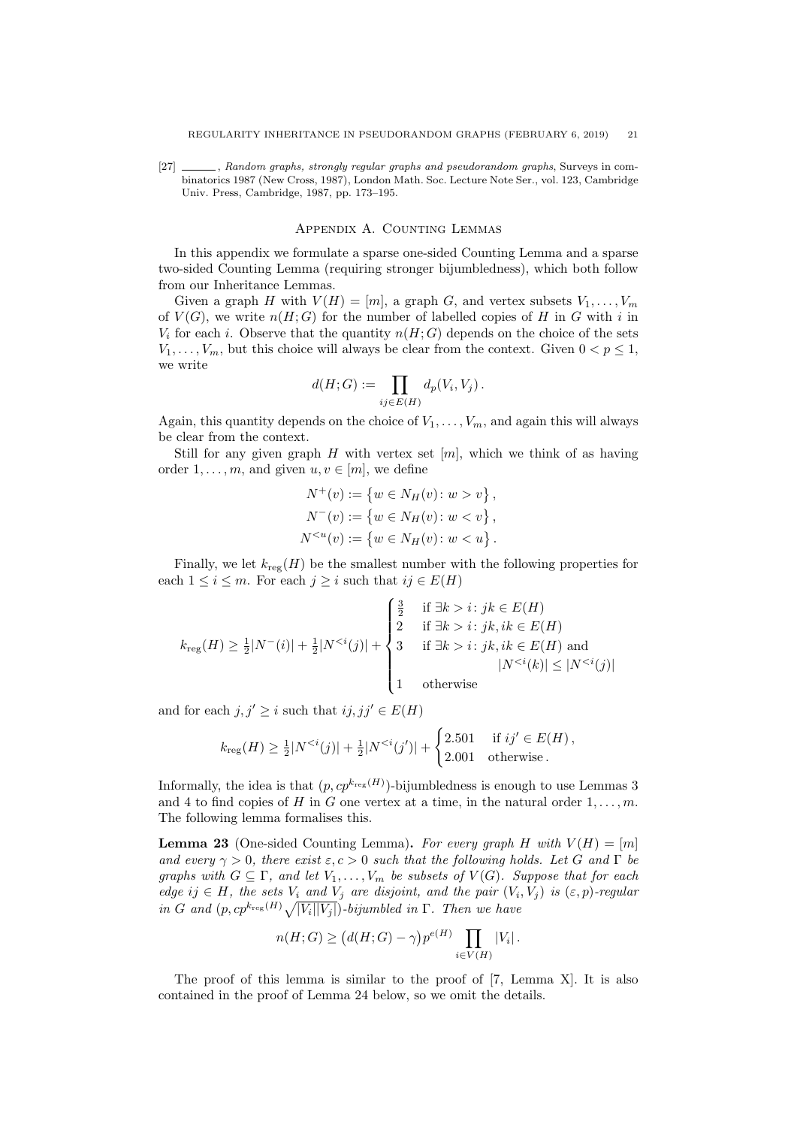<span id="page-20-0"></span>[27]  $\_\_\_\_\$ , Random graphs, strongly regular graphs and pseudorandom graphs, Surveys in combinatorics 1987 (New Cross, 1987), London Math. Soc. Lecture Note Ser., vol. 123, Cambridge Univ. Press, Cambridge, 1987, pp. 173–195.

### Appendix A. Counting Lemmas

In this appendix we formulate a sparse one-sided Counting Lemma and a sparse two-sided Counting Lemma (requiring stronger bijumbledness), which both follow from our Inheritance Lemmas.

Given a graph H with  $V(H) = [m]$ , a graph G, and vertex subsets  $V_1, \ldots, V_m$ of  $V(G)$ , we write  $n(H; G)$  for the number of labelled copies of H in G with i in  $V_i$  for each i. Observe that the quantity  $n(H; G)$  depends on the choice of the sets  $V_1, \ldots, V_m$ , but this choice will always be clear from the context. Given  $0 < p \leq 1$ , we write

$$
d(H;G) := \prod_{ij \in E(H)} d_p(V_i, V_j) .
$$

Again, this quantity depends on the choice of  $V_1, \ldots, V_m$ , and again this will always be clear from the context.

Still for any given graph H with vertex set  $[m]$ , which we think of as having order  $1, \ldots, m$ , and given  $u, v \in [m]$ , we define

$$
N^{+}(v) := \{ w \in N_{H}(v) : w > v \},
$$
  
\n
$$
N^{-}(v) := \{ w \in N_{H}(v) : w < v \},
$$
  
\n
$$
N^{
$$

Finally, we let  $k_{reg}(H)$  be the smallest number with the following properties for each  $1 \leq i \leq m$ . For each  $j \geq i$  such that  $ij \in E(H)$ 

$$
k_{\text{reg}}(H) \ge \frac{1}{2}|N^-(i)| + \frac{1}{2}|N^{<(j)}| + \begin{cases} \frac{3}{2} & \text{if } \exists k > i : jk \in E(H) \\ 2 & \text{if } \exists k > i : jk, ik \in E(H) \\ 3 & \text{if } \exists k > i : jk, ik \in E(H) \text{ and } \\ 1 & \text{otherwise} \end{cases}
$$
\n
$$
|N^{<(i)}| \le |N^{<(j)}|
$$

and for each  $j, j' \geq i$  such that  $ij, jj' \in E(H)$ 

$$
k_{\text{reg}}(H) \ge \frac{1}{2}|N^{
$$

Informally, the idea is that  $(p, cp^{k_{\text{reg}}(H)})$ -bijumbledness is enough to use Lemmas [3](#page-2-0) and [4](#page-2-1) to find copies of H in G one vertex at a time, in the natural order  $1, \ldots, m$ . The following lemma formalises this.

<span id="page-20-1"></span>**Lemma 23** (One-sided Counting Lemma). For every graph H with  $V(H) = [m]$ and every  $\gamma > 0$ , there exist  $\varepsilon, c > 0$  such that the following holds. Let G and  $\Gamma$  be graphs with  $G \subseteq \Gamma$ , and let  $V_1, \ldots, V_m$  be subsets of  $V(G)$ . Suppose that for each edge ij  $\in$  H, the sets  $V_i$  and  $V_j$  are disjoint, and the pair  $(V_i, V_j)$  is  $(\varepsilon, p)$ -regular in G and  $(p, cp^{k_{\text{reg}}(H)}\sqrt{|V_i||V_j|})$ -bijumbled in  $\Gamma$ . Then we have

$$
n(H;G) \ge (d(H;G) - \gamma)p^{e(H)} \prod_{i \in V(H)} |V_i|.
$$

The proof of this lemma is similar to the proof of [\[7,](#page-19-7) Lemma X]. It is also contained in the proof of Lemma [24](#page-21-0) below, so we omit the details.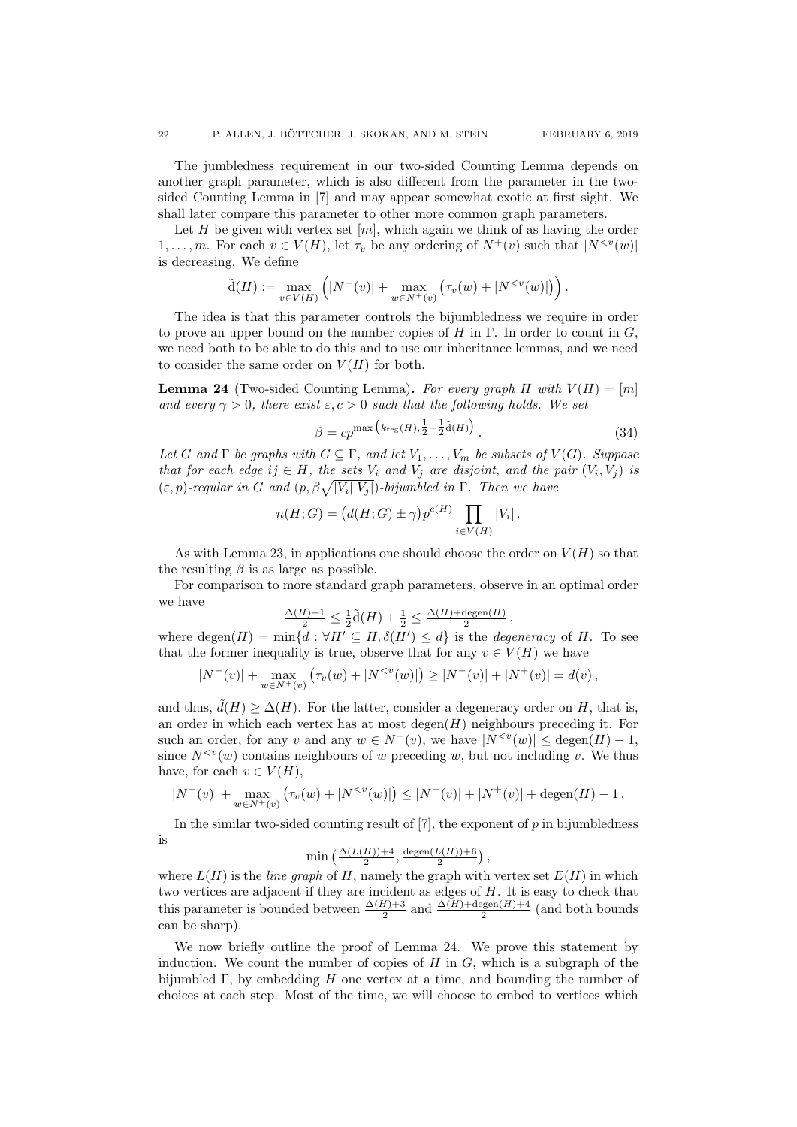The jumbledness requirement in our two-sided Counting Lemma depends on another graph parameter, which is also different from the parameter in the twosided Counting Lemma in [\[7\]](#page-19-7) and may appear somewhat exotic at first sight. We shall later compare this parameter to other more common graph parameters.

Let H be given with vertex set  $[m]$ , which again we think of as having the order 1, ..., m. For each  $v \in V(H)$ , let  $\tau_v$  be any ordering of  $N^+(v)$  such that  $|N^{\lt v}(w)|$ is decreasing. We define

$$
\tilde{d}(H) := \max_{v \in V(H)} \left( |N^-(v)| + \max_{w \in N^+(v)} \left( \tau_v(w) + |N^{< v}(w)| \right) \right).
$$

The idea is that this parameter controls the bijumbledness we require in order to prove an upper bound on the number copies of H in  $\Gamma$ . In order to count in G, we need both to be able to do this and to use our inheritance lemmas, and we need to consider the same order on  $V(H)$  for both.

<span id="page-21-0"></span>**Lemma 24** (Two-sided Counting Lemma). For every graph H with  $V(H) = [m]$ and every  $\gamma > 0$ , there exist  $\varepsilon, c > 0$  such that the following holds. We set

<span id="page-21-1"></span>
$$
\beta = cp^{\max} \left( k_{\text{reg}}(H), \frac{1}{2} + \frac{1}{2} \tilde{d}(H) \right). \tag{34}
$$

Let G and  $\Gamma$  be graphs with  $G \subseteq \Gamma$ , and let  $V_1, \ldots, V_m$  be subsets of  $V(G)$ . Suppose that for each edge  $ij \in H$ , the sets  $V_i$  and  $V_j$  are disjoint, and the pair  $(V_i, V_j)$  is  $(\varepsilon, p)$ -regular in G and  $(p, \beta \sqrt{|V_i||V_j|})$ -bijumbled in  $\Gamma$ . Then we have

$$
n(H;G) = (d(H;G) \pm \gamma)p^{e(H)} \prod_{i \in V(H)} |V_i|.
$$

As with Lemma [23,](#page-20-1) in applications one should choose the order on  $V(H)$  so that the resulting  $\beta$  is as large as possible.

For comparison to more standard graph parameters, observe in an optimal order we have

$$
\tfrac{\Delta(H)+1}{2}\leq\tfrac{1}{2}\tilde{\mathrm{d}}(H)+\tfrac{1}{2}\leq\tfrac{\Delta(H)+\mathrm{degen}(H)}{2}\,,
$$

where degen $(H) = \min\{d : \forall H' \subseteq H, \delta(H') \leq d\}$  is the *degeneracy* of H. To see that the former inequality is true, observe that for any  $v \in V(H)$  we have

$$
|N^-(v)| + \max_{w \in N^+(v)} (\tau_v(w) + |N^{< v}(w)|) \ge |N^-(v)| + |N^+(v)| = d(v),
$$

and thus,  $\tilde{d}(H) \geq \Delta(H)$ . For the latter, consider a degeneracy order on H, that is, an order in which each vertex has at most  $\deg_{en}(H)$  neighbours preceding it. For such an order, for any v and any  $w \in N^+(v)$ , we have  $|N^{\lt v}(w)| \leq \text{degen}(H) - 1$ . since  $N^{< v}(w)$  contains neighbours of w preceding w, but not including v. We thus have, for each  $v \in V(H)$ ,

$$
|N^-(v)| + \max_{w \in N^+(v)} (\tau_v(w) + |N^{
$$

In the similar two-sided counting result of  $[7]$ , the exponent of  $p$  in bijumbledness is

$$
\min\left(\frac{\Delta(L(H))+4}{2},\frac{\text{degen}(L(H))+6}{2}\right),
$$

where  $L(H)$  is the *line graph* of H, namely the graph with vertex set  $E(H)$  in which two vertices are adjacent if they are incident as edges of H. It is easy to check that this parameter is bounded between  $\frac{\Delta(H)+3}{2}$  and  $\frac{\Delta(H)+\text{degen}(H)+4}{2}$  (and both bounds can be sharp).

We now briefly outline the proof of Lemma [24.](#page-21-0) We prove this statement by induction. We count the number of copies of  $H$  in  $G$ , which is a subgraph of the bijumbled  $\Gamma$ , by embedding H one vertex at a time, and bounding the number of choices at each step. Most of the time, we will choose to embed to vertices which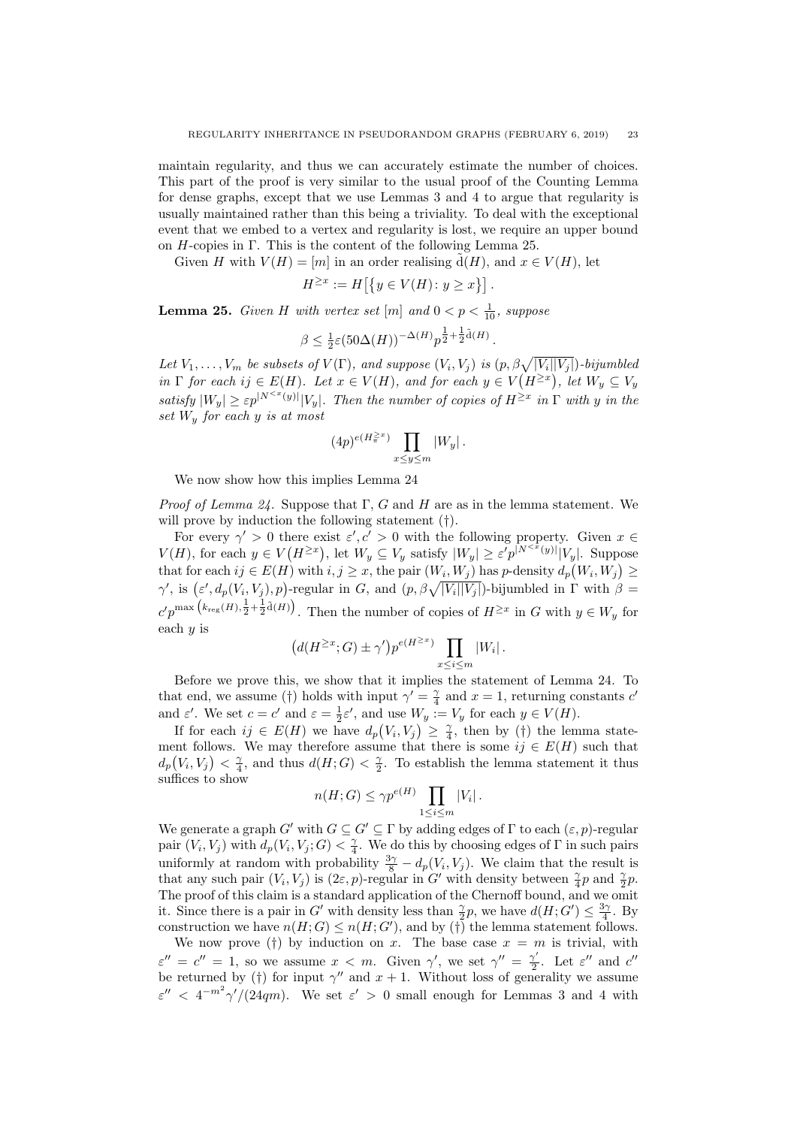maintain regularity, and thus we can accurately estimate the number of choices. This part of the proof is very similar to the usual proof of the Counting Lemma for dense graphs, except that we use Lemmas [3](#page-2-0) and [4](#page-2-1) to argue that regularity is usually maintained rather than this being a triviality. To deal with the exceptional event that we embed to a vertex and regularity is lost, we require an upper bound on  $H$ -copies in Γ. This is the content of the following Lemma [25.](#page-22-0)

Given H with  $V(H) = [m]$  in an order realising  $\tilde{d}(H)$ , and  $x \in V(H)$ , let

$$
H^{\geq x} := H\left[\left\{y \in V(H) \colon y \geq x\right\}\right].
$$

<span id="page-22-0"></span>**Lemma 25.** Given H with vertex set  $[m]$  and  $0 < p < \frac{1}{10}$ , suppose

$$
\beta \leq \frac{1}{2}\varepsilon (50\Delta(H))^{-\Delta(H)} p^{\frac{1}{2} + \frac{1}{2}\tilde{\mathrm{d}}(H)}.
$$

Let  $V_1, \ldots, V_m$  be subsets of  $V(\Gamma)$ , and suppose  $(V_i, V_j)$  is  $(p, \beta \sqrt{|V_i||V_j|})$ -bijumbled in  $\Gamma$  for each ij  $\in E(H)$ . Let  $x \in V(H)$ , and for each  $y \in V(H^{\geq x})$ , let  $W_y \subseteq V_y$ satisfy  $|W_y| \geq \varepsilon p^{|N^{\leq x}(y)|} |V_y|$ . Then the number of copies of  $H^{\geq x}$  in  $\Gamma$  with y in the set  $W_y$  for each y is at most

$$
(4p)^{e(H_{\pi}^{\geq x})} \prod_{x \leq y \leq m} |W_y|.
$$

We now show how this implies Lemma [24](#page-21-0)

*Proof of Lemma [24.](#page-21-0)* Suppose that  $\Gamma$ , G and H are as in the lemma statement. We will prove by induction the following statement (†).

For every  $\gamma' > 0$  there exist  $\varepsilon', c' > 0$  with the following property. Given  $x \in$  $V(H)$ , for each  $y \in V(H^{\geq x})$ , let  $W_y \subseteq V_y$  satisfy  $|W_y| \geq \varepsilon' p^{|N^{\leq x}(y)|} |V_y|$ . Suppose that for each  $ij \in E(H)$  with  $i, j \geq x$ , the pair  $(W_i, W_j)$  has p-density  $d_p(W_i, W_j) \geq$  $\gamma'$ , is  $(\varepsilon', d_p(V_i, V_j), p)$ -regular in G, and  $(p, \beta \sqrt{|V_i||V_j|})$ -bijumbled in  $\Gamma$  with  $\beta =$  $c'p^{\max\left(k_{\text{reg}}(H),\frac{1}{2}+\frac{1}{2}\tilde{d}(H)\right)}$ . Then the number of copies of  $H^{\geq x}$  in G with  $y \in W_y$  for each  $y$  is

$$
\left(d(H^{\geq x};G) \pm \gamma'\right) p^{e(H^{\geq x})} \prod_{x \leq i \leq m} |W_i|.
$$

Before we prove this, we show that it implies the statement of Lemma [24.](#page-21-0) To that end, we assume (†) holds with input  $\gamma' = \frac{\gamma}{4}$  and  $x = 1$ , returning constants c' and  $\varepsilon'$ . We set  $c = c'$  and  $\varepsilon = \frac{1}{2}\varepsilon'$ , and use  $W_y := V_y$  for each  $y \in V(H)$ .

If for each  $ij \in E(H)$  we have  $d_p(V_i, V_j) \geq \frac{\gamma}{4}$ , then by (†) the lemma statement follows. We may therefore assume that there is some  $ij \in E(H)$  such that  $d_p(V_i, V_j) < \frac{\gamma}{4}$ , and thus  $d(H; G) < \frac{\gamma}{2}$ . To establish the lemma statement it thus suffices to show

$$
n(H;G) \le \gamma p^{e(H)} \prod_{1 \le i \le m} |V_i| \, .
$$

We generate a graph G' with  $G \subseteq G' \subseteq \Gamma$  by adding edges of  $\Gamma$  to each  $(\varepsilon, p)$ -regular pair  $(V_i, V_j)$  with  $d_p(V_i, V_j; G) < \frac{\gamma}{4}$ . We do this by choosing edges of  $\Gamma$  in such pairs uniformly at random with probability  $\frac{3\gamma}{8} - d_p(V_i, V_j)$ . We claim that the result is that any such pair  $(V_i, V_j)$  is  $(2\varepsilon, p)$ -regular in G' with density between  $\frac{\gamma}{4}p$  and  $\frac{\gamma}{2}p$ . The proof of this claim is a standard application of the Chernoff bound, and we omit it. Since there is a pair in G' with density less than  $\frac{\gamma}{2}p$ , we have  $d(H; G') \leq \frac{3\gamma}{4}$ . By construction we have  $n(H; G) \le n(H; G')$ , and by  $(\dagger)$  the lemma statement follows.

We now prove (†) by induction on x. The base case  $x = m$  is trivial, with  $\varepsilon'' = c'' = 1$ , so we assume  $x < m$ . Given  $\gamma'$ , we set  $\gamma'' = \frac{\gamma'}{2}$  $\frac{\gamma'}{2}$ . Let  $\varepsilon''$  and  $c''$ be returned by (†) for input  $\gamma''$  and  $x + 1$ . Without loss of generality we assume  $\varepsilon''$  <  $4^{-m^2}\gamma'/(24qm)$  $4^{-m^2}\gamma'/(24qm)$ . We set  $\varepsilon' > 0$  small enough for Lemmas [3](#page-2-0) and 4 with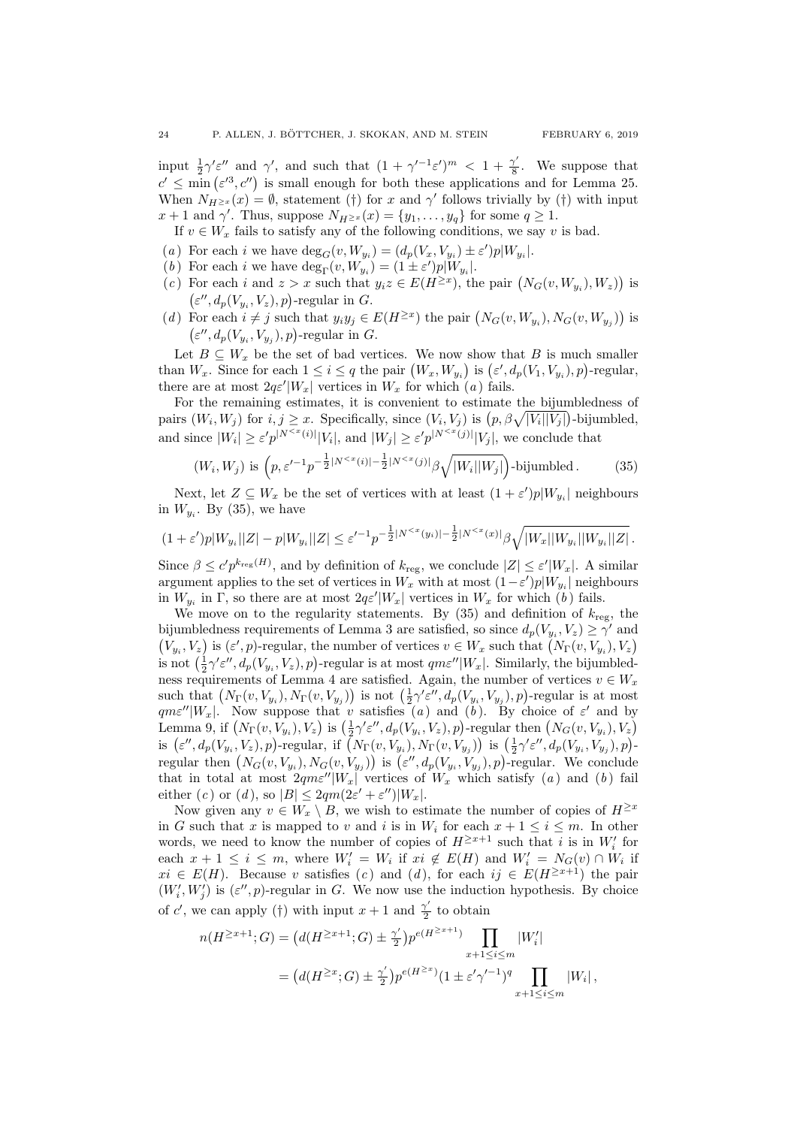input  $\frac{1}{2}\gamma' \varepsilon''$  and  $\gamma'$ , and such that  $(1 + \gamma'^{-1}\varepsilon')^m < 1 + \frac{\gamma'}{8}$  $\frac{\gamma}{8}$ . We suppose that  $c' \n\t\leq \min(\varepsilon'^3, c'')$  is small enough for both these applications and for Lemma [25.](#page-22-0) When  $N_{H^{\geq x}}(x) = \emptyset$ , statement (†) for x and  $\gamma'$  follows trivially by (†) with input  $x+1$  and  $\gamma'$ . Thus, suppose  $N_{H^{\ge x}}(x) = \{y_1, \ldots, y_q\}$  for some  $q \ge 1$ .

If  $v \in W_x$  fails to satisfy any of the following conditions, we say v is bad.

- <span id="page-23-0"></span>(a) For each *i* we have  $deg_G(v, W_{y_i}) = (d_p(V_x, V_{y_i}) \pm \varepsilon')p|W_{y_i}|$ .
- <span id="page-23-2"></span>(b) For each i we have  $\deg_{\Gamma}(v, W_{y_i}) = (1 \pm \varepsilon')p|W_{y_i}|.$
- <span id="page-23-3"></span>(c) For each i and  $z > x$  such that  $y_i z \in E(H^{\geq x})$ , the pair  $(N_G(v, W_{y_i}), W_z)$  is  $(\varepsilon'', d_p(V_{y_i}, V_z), p)$ -regular in G.
- <span id="page-23-4"></span>(d) For each  $i \neq j$  such that  $y_i y_j \in E(H^{\geq x})$  the pair  $(N_G(v, W_{y_i}), N_G(v, W_{y_j}))$  is  $(\varepsilon'', d_p(V_{y_i}, V_{y_j}), p)$ -regular in G.

Let  $B \subseteq W_x$  be the set of bad vertices. We now show that B is much smaller than  $W_x$ . Since for each  $1 \leq i \leq q$  the pair  $(W_x, W_{y_i})$  is  $(\varepsilon', d_p(V_1, V_{y_i}), p)$ -regular, there [a](#page-23-0)re at most  $2q\varepsilon'|W_x|$  vertices in  $W_x$  for which  $(a)$  fails.

For the remaining estimates, it is convenient to estimate the bijumbledness of pairs  $(W_i, W_j)$  for  $i, j \geq x$ . Specifically, since  $(V_i, V_j)$  is  $(p, \beta \sqrt{|V_i||V_j|})$ -bijumbled, and since  $|W_i| \ge \varepsilon' p^{|N^{, and  $|W_j| \ge \varepsilon' p^{|N^{, we conclude that$$ 

<span id="page-23-1"></span>
$$
(W_i, W_j) \text{ is } \left( p, \varepsilon'^{-1} p^{-\frac{1}{2}|N^{
$$

Next, let  $Z \subseteq W_x$  be the set of vertices with at least  $(1 + \varepsilon')p|W_{y_i}|$  neighbours in  $W_{y_i}$ . By [\(35\)](#page-23-1), we have

$$
(1+\varepsilon')p|W_{y_i}||Z|-p|W_{y_i}||Z| \leq \varepsilon'^{-1}p^{-\frac{1}{2}|N^{
$$

Since  $\beta \leq c' p^{k_{\text{reg}}(H)}$ , and by definition of  $k_{\text{reg}}$ , we conclude  $|Z| \leq \varepsilon' |W_x|$ . A similar argument applies to the set of vertices in  $W_x$  with at most  $(1 - \varepsilon')p|W_{y_i}|$  neighbours in  $W_{y_i}$  in  $\Gamma$ , so there are at most  $2q\varepsilon'|W_x|$  vertices in  $W_x$  for which  $(b)$  $(b)$  $(b)$  fails.

We move on to the regularity statements. By  $(35)$  and definition of  $k_{\text{reg}}$ , the bijumbledness requirements of Lemma [3](#page-2-0) are satisfied, so since  $d_p(V_{y_i}, V_z) \ge \gamma'$  and  $(V_{y_i}, V_z)$  is  $(\varepsilon', p)$ -regular, the number of vertices  $v \in W_x$  such that  $(N_{\Gamma}(v, V_{y_i}), V_z)$ is not  $(\frac{1}{2}\gamma'\varepsilon'', d_p(V_{y_i}, V_z), p)$ -regular is at most  $qm\varepsilon''|W_x|$ . Similarly, the bijumbled-ness requirements of Lemma [4](#page-2-1) are satisfied. Again, the number of vertices  $v \in W_x$ such that  $(N_{\Gamma}(v, V_{y_i}), N_{\Gamma}(v, V_{y_j}))$  is not  $(\frac{1}{2}\gamma' \varepsilon'', d_p(V_{y_i}, V_{y_j}), p)$ -regular is at most  $q m \varepsilon'' |W_x|$  $q m \varepsilon'' |W_x|$  $q m \varepsilon'' |W_x|$ . Now suppose that v satisfies (a) and (b[\).](#page-23-2) By choice of  $\varepsilon'$  and by Lemma [9,](#page-6-0) if  $(N_{\Gamma}(v, V_{y_i}), V_z)$  is  $(\frac{1}{2}\gamma' \varepsilon'', d_p(V_{y_i}, V_z), p)$ -regular then  $(N_G(v, V_{y_i}), V_z)$ is  $(\varepsilon'', d_p(V_{y_i}, V_z), p)$ -regular, if  $(N_{\Gamma}(v, V_{y_i}), N_{\Gamma}(v, V_{y_j}))$  is  $(\frac{1}{2}\gamma' \varepsilon'', d_p(V_{y_i}, V_{y_j}), p)$ regular then  $(N_G(v, V_{y_i}), N_G(v, V_{y_j}))$  is  $(\varepsilon'', d_p(V_{y_i}, V_{y_j}), p)$ -regular. We conclude th[a](#page-23-0)t in total at most  $2qme''|W_x|$  vertices of  $W_x$  which satisfy (a) and ([b](#page-23-2)) fail either ([c](#page-23-3)) or (d[\),](#page-23-4) so  $|B| \leq 2qm(2\varepsilon' + \varepsilon'')|W_x|$ .

Now given any  $v \in W_x \setminus B$ , we wish to estimate the number of copies of  $H^{\geq x}$ in G such that x is mapped to v and i is in  $W_i$  for each  $x + 1 \leq i \leq m$ . In other words, we need to know the number of copies of  $H^{\geq x+1}$  such that i is in  $W_i'$  for each  $x + 1 \leq i \leq m$ , where  $W'_i = W_i$  if  $xi \notin E(H)$  and  $W'_i = N_G(v) \cap W_i$  if  $xi \in E(H)$ . Be[c](#page-23-3)ause v satisfies (c) an[d](#page-23-4) (d), for each  $ij \in E(H^{\geq x+1})$  the pair  $(W'_i, W'_j)$  is  $(\varepsilon'', p)$ -regular in G. We now use the induction hypothesis. By choice of c', we can apply (†) with input  $x + 1$  and  $\frac{\gamma'}{2}$  $\frac{\gamma}{2}$  to obtain

$$
n(H^{\ge x+1}; G) = (d(H^{\ge x+1}; G) \pm \frac{\gamma'}{2}) p^{e(H^{\ge x+1})} \prod_{x+1 \le i \le m} |W'_i|
$$
  
=  $(d(H^{\ge x}; G) \pm \frac{\gamma'}{2}) p^{e(H^{\ge x})} (1 \pm \varepsilon' \gamma'^{-1})^q \prod_{x+1 \le i \le m} |W_i|,$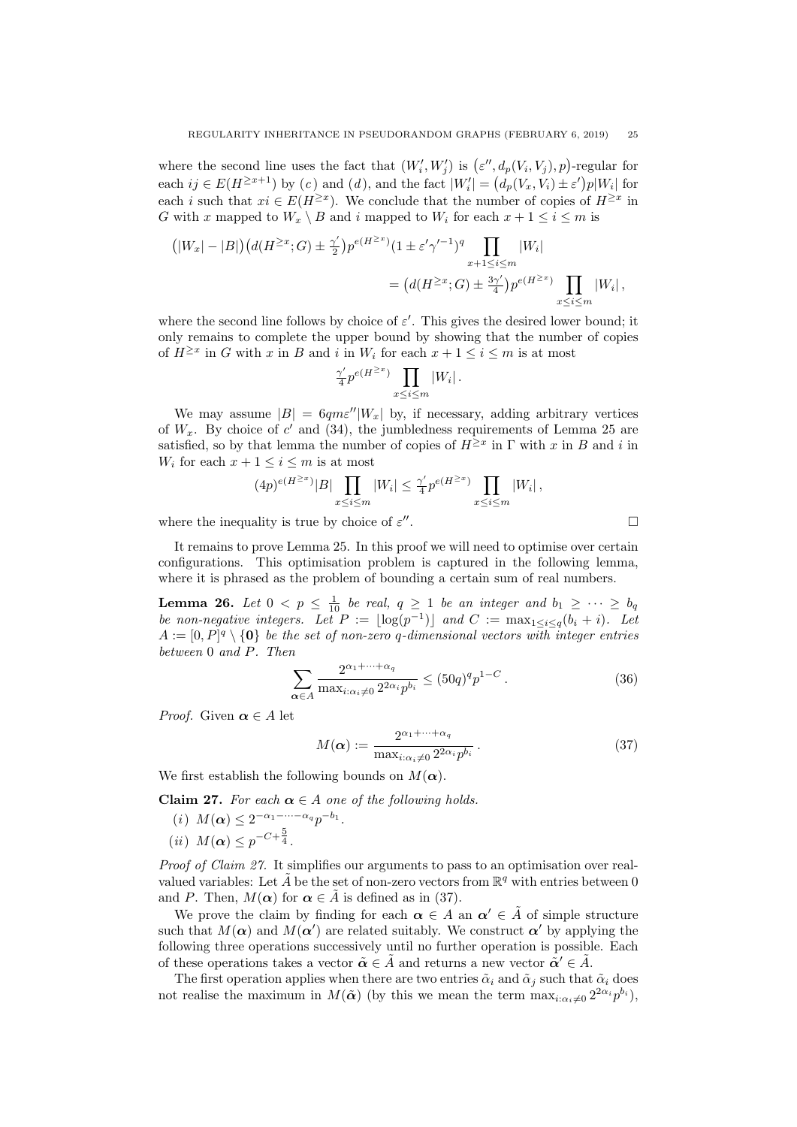where the second line uses the fact that  $(W'_i, W'_j)$  is  $(\varepsilon'', d_p(V_i, V_j), p)$ -regular for ea[c](#page-23-3)h  $ij \in E(H^{\geq x+1})$  by  $(c)$  and  $(d)$ , and the fact  $|W_i'| = (d_p(V_x, V_i) \pm \varepsilon')p|W_i|$  for each *i* such that  $xi \in E(H^{\geq x})$ . We conclude that the number of copies of  $H^{\geq x}$  in G with x mapped to  $W_x \setminus B$  and i mapped to  $W_i$  for each  $x + 1 \leq i \leq m$  is

$$
(|W_x| - |B|) (d(H^{\geq x}; G) \pm \frac{\gamma'}{2}) p^{e(H^{\geq x})} (1 \pm \varepsilon' \gamma'^{-1})^q \prod_{x+1 \leq i \leq m} |W_i|
$$
  
=  $(d(H^{\geq x}; G) \pm \frac{3\gamma'}{4}) p^{e(H^{\geq x})} \prod_{x \leq i \leq m} |W_i|,$ 

where the second line follows by choice of  $\varepsilon'$ . This gives the desired lower bound; it only remains to complete the upper bound by showing that the number of copies of  $H^{\geq x}$  in G with x in B and i in  $W_i$  for each  $x + 1 \leq i \leq m$  is at most

$$
\frac{\gamma'}{4}p^{e(H^{\geq x})}\prod_{x\leq i\leq m}|W_i|.
$$

We may assume  $|B| = 6qm\varepsilon''|W_x|$  by, if necessary, adding arbitrary vertices of  $W_x$ . By choice of  $c'$  and [\(34\)](#page-21-1), the jumbledness requirements of Lemma [25](#page-22-0) are satisfied, so by that lemma the number of copies of  $H^{\geq x}$  in  $\Gamma$  with x in B and i in  $W_i$  for each  $x + 1 \leq i \leq m$  is at most

$$
(4p)^{e(H^{\ge x})}|B|\prod_{x\le i\le m}|W_i|\le \frac{\gamma'}{4}p^{e(H^{\ge x})}\prod_{x\le i\le m}|W_i|,
$$

where the inequality is true by choice of  $\varepsilon$ "

It remains to prove Lemma [25.](#page-22-0) In this proof we will need to optimise over certain configurations. This optimisation problem is captured in the following lemma, where it is phrased as the problem of bounding a certain sum of real numbers.

<span id="page-24-5"></span>**Lemma 26.** Let  $0 < p \leq \frac{1}{10}$  be real,  $q \geq 1$  be an integer and  $b_1 \geq \cdots \geq b_q$ be non-negative integers. Let  $P := \lfloor \log(p^{-1}) \rfloor$  and  $C := \max_{1 \leq i \leq q} (b_i + i)$ . Let  $A := [0, P]^q \setminus \{0\}$  be the set of non-zero q-dimensional vectors with integer entries between 0 and P. Then

<span id="page-24-4"></span>
$$
\sum_{\alpha \in A} \frac{2^{\alpha_1 + \dots + \alpha_q}}{\max_{i:\alpha_i \neq 0} 2^{2\alpha_i} p^{b_i}} \le (50q)^q p^{1-C} \,. \tag{36}
$$

*Proof.* Given  $\alpha \in A$  let

<span id="page-24-1"></span>
$$
M(\alpha) := \frac{2^{\alpha_1 + \dots + \alpha_q}}{\max_{i:\alpha_i \neq 0} 2^{2\alpha_i} p^{b_i}}.
$$
 (37)

We first establish the following bounds on  $M(\alpha)$ .

<span id="page-24-0"></span>Claim 27. For each  $\alpha \in A$  one of the following holds.

<span id="page-24-3"></span><span id="page-24-2"></span>(*i*)  $M(\boldsymbol{\alpha}) \leq 2^{-\alpha_1 - \cdots - \alpha_q} p^{-b_1}.$ (*ii*)  $M(\alpha) \leq p^{-C + \frac{5}{4}}$ .

Proof of Claim [27.](#page-24-0) It simplifies our arguments to pass to an optimisation over realvalued variables: Let  $\tilde{A}$  be the set of non-zero vectors from  $\mathbb{R}^q$  with entries between 0 and P. Then,  $M(\alpha)$  for  $\alpha \in \tilde{A}$  is defined as in [\(37\)](#page-24-1).

We prove the claim by finding for each  $\alpha \in A$  an  $\alpha' \in \tilde{A}$  of simple structure such that  $M(\alpha)$  and  $M(\alpha')$  are related suitably. We construct  $\alpha'$  by applying the following three operations successively until no further operation is possible. Each of these operations takes a vector  $\tilde{\boldsymbol{\alpha}} \in \tilde{A}$  and returns a new vector  $\tilde{\boldsymbol{\alpha}}' \in \tilde{A}$ .

The first operation applies when there are two entries  $\tilde{\alpha}_i$  and  $\tilde{\alpha}_j$  such that  $\tilde{\alpha}_i$  does not realise the maximum in  $M(\tilde{\boldsymbol{\alpha}})$  (by this we mean the term  $\max_{i:\alpha_i\neq 0} 2^{2\alpha_i} p^{b_i}$ ),

$$
\qquad \qquad .
$$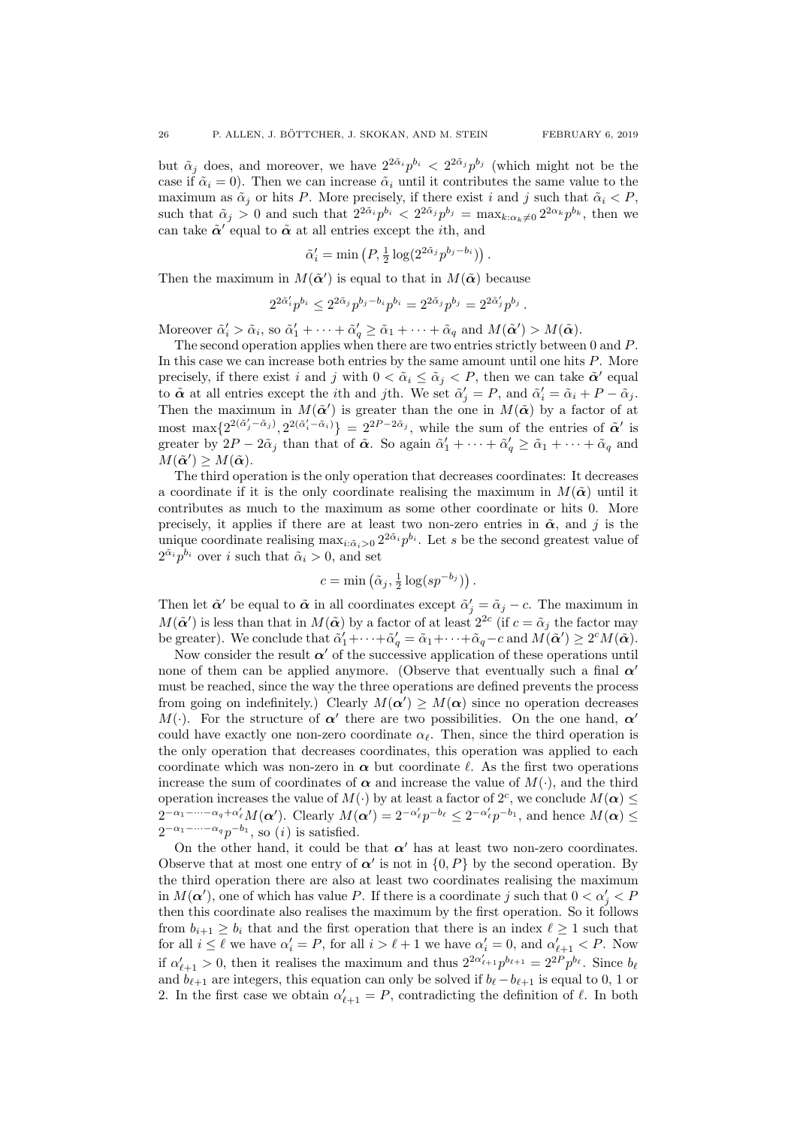but  $\tilde{\alpha}_j$  does, and moreover, we have  $2^{2\tilde{\alpha}_i} p^{b_i} < 2^{2\tilde{\alpha}_j} p^{b_j}$  (which might not be the case if  $\tilde{\alpha}_i = 0$ ). Then we can increase  $\tilde{\alpha}_i$  until it contributes the same value to the maximum as  $\tilde{\alpha}_i$  or hits P. More precisely, if there exist i and j such that  $\tilde{\alpha}_i < P$ . such that  $\tilde{\alpha}_j > 0$  and such that  $2^{2\tilde{\alpha}_i} p^{b_i} < 2^{2\tilde{\alpha}_j} p^{b_j} = \max_{k:\alpha_k \neq 0} 2^{2\alpha_k} p^{b_k}$ , then we can take  $\tilde{\alpha}'$  equal to  $\tilde{\alpha}$  at all entries except the *i*th, and

$$
\tilde{\alpha}'_i = \min\left(P, \frac{1}{2}\log(2^{2\tilde{\alpha}_j}p^{b_j - b_i})\right).
$$

Then the maximum in  $M(\tilde{\boldsymbol{\alpha}}')$  is equal to that in  $M(\tilde{\boldsymbol{\alpha}})$  because

$$
2^{2\tilde{\alpha}'_i}p^{b_i} \leq 2^{2\tilde{\alpha}_j}p^{b_j - b_i}p^{b_i} = 2^{2\tilde{\alpha}_j}p^{b_j} = 2^{2\tilde{\alpha}'_j}p^{b_j} .
$$

Moreover  $\tilde{\alpha}'_i > \tilde{\alpha}_i$ , so  $\tilde{\alpha}'_1 + \cdots + \tilde{\alpha}'_q \ge \tilde{\alpha}_1 + \cdots + \tilde{\alpha}_q$  and  $M(\tilde{\boldsymbol{\alpha}}') > M(\tilde{\boldsymbol{\alpha}})$ .

The second operation applies when there are two entries strictly between 0 and P. In this case we can increase both entries by the same amount until one hits P. More precisely, if there exist i and j with  $0 < \tilde{\alpha}_i \leq \tilde{\alpha}_j < P$ , then we can take  $\tilde{\boldsymbol{\alpha}}'$  equal to  $\tilde{\boldsymbol{\alpha}}$  at all entries except the *i*th and *j*th. We set  $\tilde{\alpha}'_j = P$ , and  $\tilde{\alpha}'_i = \tilde{\alpha}_i + P - \tilde{\alpha}_j$ . Then the maximum in  $M(\tilde{\boldsymbol{\alpha}}')$  is greater than the one in  $M(\tilde{\boldsymbol{\alpha}})$  by a factor of at most max $\{2^{2(\tilde{\alpha}'_j-\tilde{\alpha}_j)}, 2^{2(\tilde{\alpha}'_i-\tilde{\alpha}_i)}\} = 2^{2P-2\tilde{\alpha}_j}$ , while the sum of the entries of  $\tilde{\alpha}'$  is greater by  $2P - 2\tilde{\alpha}_j$  than that of  $\tilde{\alpha}$ . So again  $\tilde{\alpha}'_1 + \cdots + \tilde{\alpha}'_q \ge \tilde{\alpha}_1 + \cdots + \tilde{\alpha}_q$  and  $M(\tilde{\boldsymbol{\alpha}}') \geq M(\tilde{\boldsymbol{\alpha}}).$ 

The third operation is the only operation that decreases coordinates: It decreases a coordinate if it is the only coordinate realising the maximum in  $M(\tilde{\alpha})$  until it contributes as much to the maximum as some other coordinate or hits 0. More precisely, it applies if there are at least two non-zero entries in  $\tilde{\alpha}$ , and j is the unique coordinate realising  $\max_{i:\tilde{\alpha}_i>0} 2^{2\tilde{\alpha}_i} p^{b_i}$ . Let s be the second greatest value of  $2^{\tilde{\alpha}_i} p^{b_i}$  over *i* such that  $\tilde{\alpha}_i > 0$ , and set

$$
c = \min\left(\tilde{\alpha}_j, \frac{1}{2}\log(sp^{-b_j})\right).
$$

Then let  $\tilde{\alpha}'$  be equal to  $\tilde{\alpha}$  in all coordinates except  $\tilde{\alpha}'_j = \tilde{\alpha}_j - c$ . The maximum in  $M(\tilde{\boldsymbol{\alpha}}')$  is less than that in  $M(\tilde{\boldsymbol{\alpha}})$  by a factor of at least  $2^{2c}$  (if  $c = \tilde{\alpha}_j$  the factor may be greater). We conclude that  $\tilde{\alpha}'_1 + \cdots + \tilde{\alpha}'_q = \tilde{\alpha}_1 + \cdots + \tilde{\alpha}_q - c$  and  $M(\tilde{\boldsymbol{\alpha}}') \geq 2^c M(\tilde{\boldsymbol{\alpha}})$ .

Now consider the result  $\alpha'$  of the successive application of these operations until none of them can be applied anymore. (Observe that eventually such a final  $\alpha'$ must be reached, since the way the three operations are defined prevents the process from going on indefinitely.) Clearly  $M(\alpha') \geq M(\alpha)$  since no operation decreases M(.). For the structure of  $\alpha'$  there are two possibilities. On the one hand,  $\alpha'$ could have exactly one non-zero coordinate  $\alpha_{\ell}$ . Then, since the third operation is the only operation that decreases coordinates, this operation was applied to each coordinate which was non-zero in  $\alpha$  but coordinate  $\ell$ . As the first two operations increase the sum of coordinates of  $\alpha$  and increase the value of  $M(\cdot)$ , and the third operation increases the value of  $M(\cdot)$  by at least a factor of  $2^c$ , we conclude  $M(\alpha) \leq$  $2^{-\alpha_1-\cdots-\alpha_q+\alpha'_\ell}M(\alpha')$ . Clearly  $M(\alpha')=2^{-\alpha'_\ell}p^{-b_\ell}\leq 2^{-\alpha'_\ell}p^{-b_1}$ , and hence  $M(\alpha)\leq$  $2^{-\alpha_1-\cdots-\alpha_q}p^{-b_1}$ , so [\(](#page-24-2)*i*) is satisfied.

On the other hand, it could be that  $\alpha'$  has at least two non-zero coordinates. Observe that at most one entry of  $\alpha'$  is not in  $\{0, P\}$  by the second operation. By the third operation there are also at least two coordinates realising the maximum in  $M(\alpha')$ , one of which has value P. If there is a coordinate j such that  $0 < \alpha'_{j} < P$ then this coordinate also realises the maximum by the first operation. So it follows from  $b_{i+1} \geq b_i$  that and the first operation that there is an index  $\ell \geq 1$  such that for all  $i \leq \ell$  we have  $\alpha'_i = P$ , for all  $i > \ell + 1$  we have  $\alpha'_i = 0$ , and  $\alpha'_{\ell+1} < P$ . Now if  $\alpha'_{\ell+1} > 0$ , then it realises the maximum and thus  $2^{2\alpha'_{\ell+1}} p^{b_{\ell+1}} = 2^{2P} p^{b_{\ell}}$ . Since  $b_{\ell}$ and  $b_{\ell+1}$  are integers, this equation can only be solved if  $b_{\ell} - b_{\ell+1}$  is equal to 0, 1 or 2. In the first case we obtain  $\alpha'_{\ell+1} = P$ , contradicting the definition of  $\ell$ . In both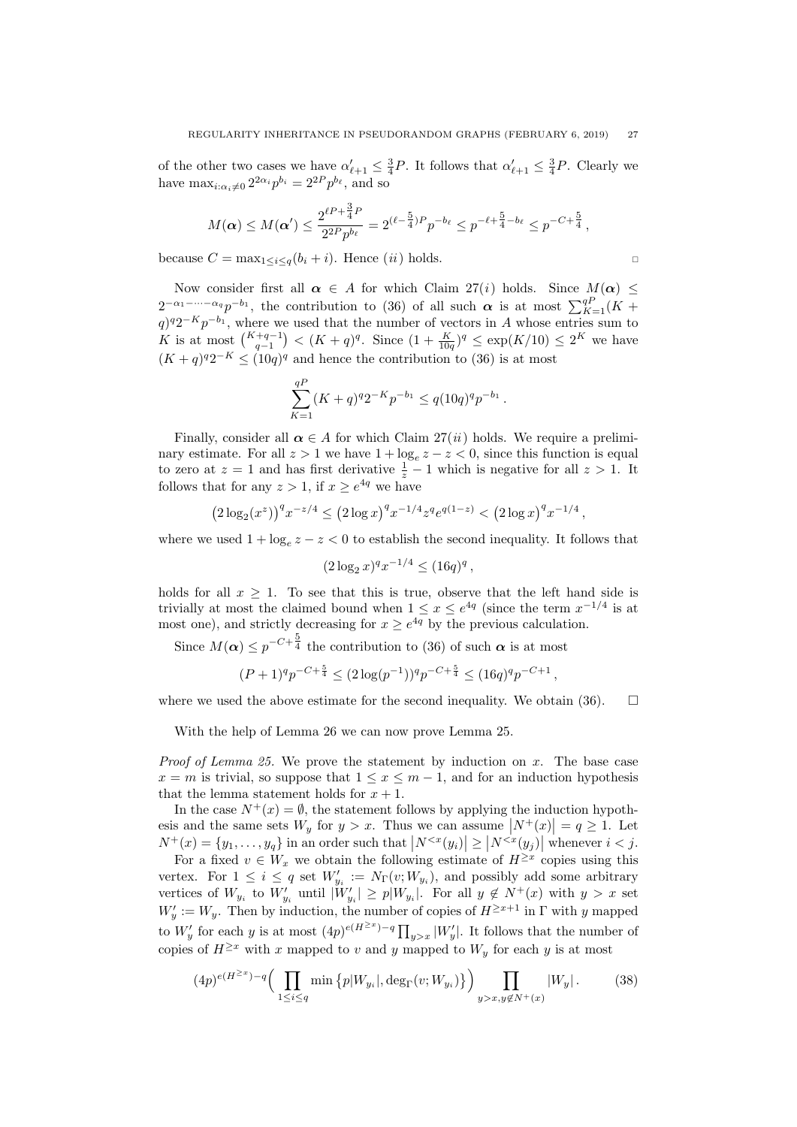of the other two cases we have  $\alpha'_{\ell+1} \leq \frac{3}{4}P$ . It follows that  $\alpha'_{\ell+1} \leq \frac{3}{4}P$ . Clearly we have  $\max_{i:\alpha_i\neq 0} 2^{2\alpha_i} p^{b_i} = 2^{2P} p^{b_\ell}$ , and so

$$
M(\alpha) \le M(\alpha') \le \frac{2^{\ell P + \frac{3}{4}P}}{2^{2P}p^{b_{\ell}}} = 2^{(\ell - \frac{5}{4})P}p^{-b_{\ell}} \le p^{-\ell + \frac{5}{4} - b_{\ell}} \le p^{-C + \frac{5}{4}},
$$

because  $C = \max_{1 \leq i \leq q} (b_i + i)$ . Hence  $(ii)$  $(ii)$  $(ii)$  holds.

Now consider first all  $\alpha \in A$  for which Claim [27](#page-24-0)[\(](#page-24-2)i) holds. Since  $M(\alpha) \leq$  $2^{-\alpha_1-\cdots-\alpha_q}p^{-b_1}$ , the contribution to [\(36\)](#page-24-4) of all such  $\alpha$  is at most  $\sum_{K=1}^{qP}(K +$  $q$ )<sup> $q$ </sup>2<sup>-K</sup>p<sup>-b<sub>1</sub></sub>, where we used that the number of vectors in A whose entries sum to</sup> K is at most  $\binom{K+q-1}{q-1} < (K+q)^q$ . Since  $(1+\frac{K}{10q})^q \leq \exp(K/10) \leq 2^K$  we have  $(K+q)^{q}2^{-K} \leq (10q)^{q}$  and hence the contribution to [\(36\)](#page-24-4) is at most

$$
\sum_{K=1}^{qP} (K+q)^{q} 2^{-K} p^{-b_1} \le q (10q)^q p^{-b_1}.
$$

Finally, consider all  $\alpha \in A$  for which Claim [27\(](#page-24-0)*[ii](#page-24-3)*) holds. We require a preliminary estimate. For all  $z > 1$  we have  $1 + \log_e z - z < 0$ , since this function is equal to zero at  $z = 1$  and has first derivative  $\frac{1}{z} - 1$  which is negative for all  $z > 1$ . It follows that for any  $z > 1$ , if  $x \geq e^{4q}$  we have

$$
(2\log_2(x^z))^q x^{-z/4} \le (2\log x)^q x^{-1/4} z^q e^{q(1-z)} < (2\log x)^q x^{-1/4},
$$

where we used  $1 + \log_e z - z < 0$  to establish the second inequality. It follows that

$$
(2\log_2 x)^q x^{-1/4} \le (16q)^q,
$$

holds for all  $x \geq 1$ . To see that this is true, observe that the left hand side is trivially at most the claimed bound when  $1 \le x \le e^{4q}$  (since the term  $x^{-1/4}$  is at most one), and strictly decreasing for  $x \ge e^{4q}$  by the previous calculation.

Since  $M(\boldsymbol{\alpha}) \leq p^{-C + \frac{5}{4}}$  the contribution to [\(36\)](#page-24-4) of such  $\boldsymbol{\alpha}$  is at most

$$
(P+1)^q p^{-C+\frac{5}{4}} \le (2\log(p^{-1}))^q p^{-C+\frac{5}{4}} \le (16q)^q p^{-C+1},
$$

where we used the above estimate for the second inequality. We obtain [\(36\)](#page-24-4).  $\Box$ 

With the help of Lemma [26](#page-24-5) we can now prove Lemma [25.](#page-22-0)

*Proof of Lemma [25.](#page-22-0)* We prove the statement by induction on  $x$ . The base case  $x = m$  is trivial, so suppose that  $1 \leq x \leq m-1$ , and for an induction hypothesis that the lemma statement holds for  $x + 1$ .

In the case  $N^+(x) = \emptyset$ , the statement follows by applying the induction hypothesis and the same sets  $W_y$  for  $y > x$ . Thus we can assume  $|N^+(x)| = q \ge 1$ . Let  $N^+(x) = \{y_1, \ldots, y_q\}$  in an order such that  $|N^{\lt x}(y_i)| \ge |N^{\lt x}(y_j)|$  whenever  $i < j$ .

For a fixed  $v \in W_x$  we obtain the following estimate of  $H^{\geq x}$  copies using this vertex. For  $1 \leq i \leq q$  set  $W'_{y_i} := N_{\Gamma}(v; W_{y_i})$ , and possibly add some arbitrary vertices of  $W_{y_i}$  to  $W'_{y_i}$  until  $|W'_{y_i}| \geq p|W_{y_i}|$ . For all  $y \notin N^+(x)$  with  $y > x$  set  $W'_y := W_y$ . Then by induction, the number of copies of  $H^{\geq x+1}$  in  $\Gamma$  with y mapped to  $W'_y$  for each y is at most  $(4p)^{e(H^{\geq x})-q} \prod_{y>x} |W'_y|$ . It follows that the number of copies of  $H^{\geq x}$  with x mapped to v and y mapped to  $W_y$  for each y is at most

<span id="page-26-0"></span>
$$
(4p)^{e(H^{\ge x})-q} \Big( \prod_{1 \le i \le q} \min \left\{ p|W_{y_i}|, \deg_{\Gamma}(v; W_{y_i}) \right\} \Big) \prod_{y > x, y \notin N^+(x)} |W_y| \,. \tag{38}
$$